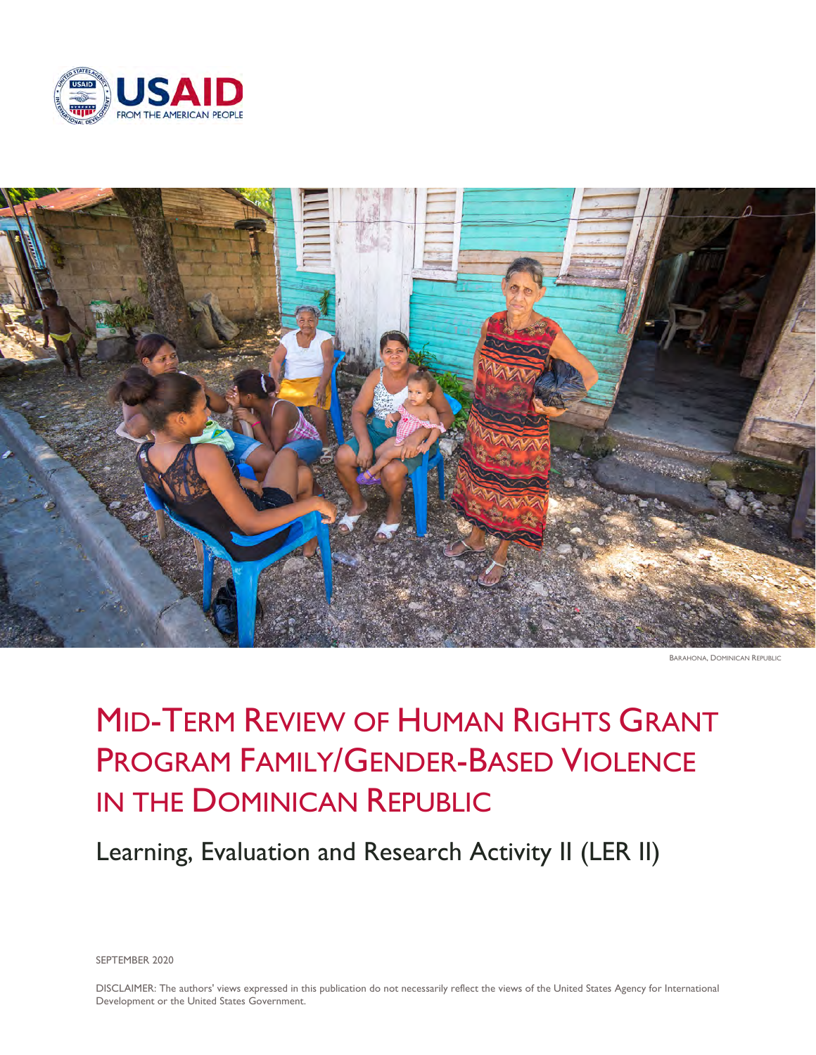



BARAHONA, DOMINICAN REPUBLIC

# MID-TERM REVIEW OF HUMAN RIGHTS GRANT PROGRAM FAMILY/GENDER-BASED VIOLENCE IN THE DOMINICAN REPUBLIC

Learning, Evaluation and Research Activity II (LER II)

SEPTEMBER 2020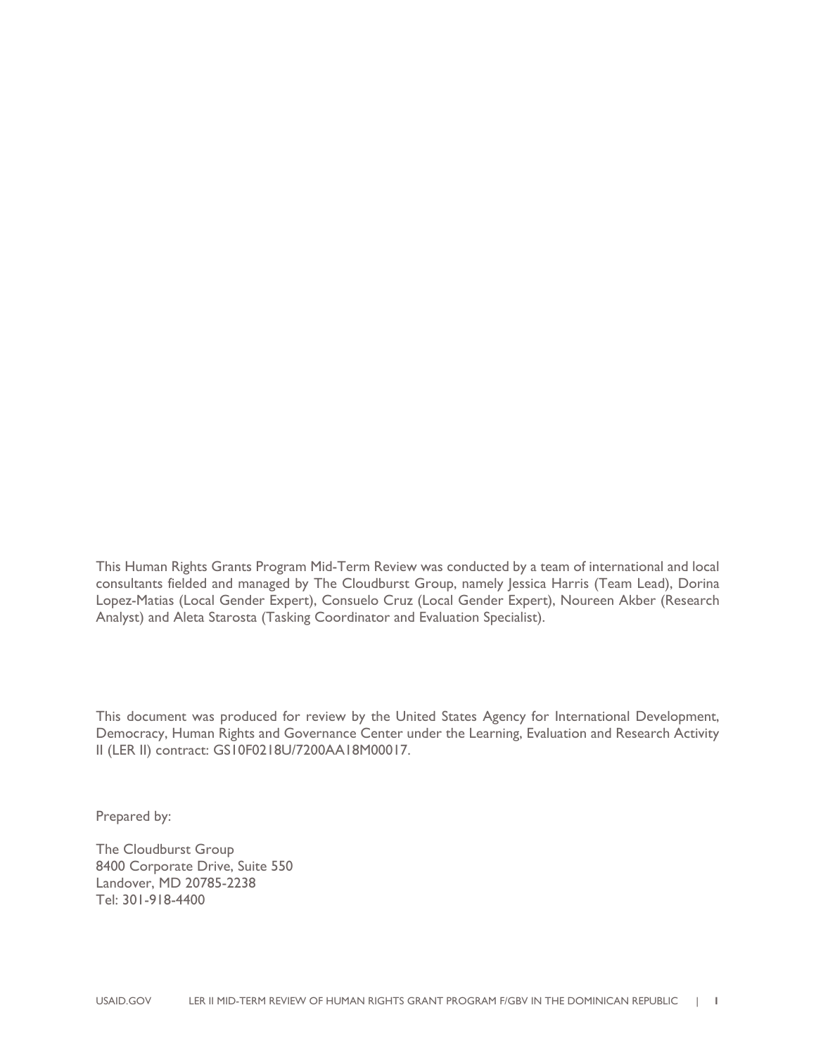This Human Rights Grants Program Mid-Term Review was conducted by a team of international and local consultants fielded and managed by The Cloudburst Group, namely Jessica Harris (Team Lead), Dorina Lopez-Matias (Local Gender Expert), Consuelo Cruz (Local Gender Expert), Noureen Akber (Research Analyst) and Aleta Starosta (Tasking Coordinator and Evaluation Specialist).

This document was produced for review by the United States Agency for International Development, Democracy, Human Rights and Governance Center under the Learning, Evaluation and Research Activity II (LER II) contract: GS10F0218U/7200AA18M00017.

Prepared by:

The Cloudburst Group 8400 Corporate Drive, Suite 550 Landover, MD 20785-2238 Tel: 301-918-4400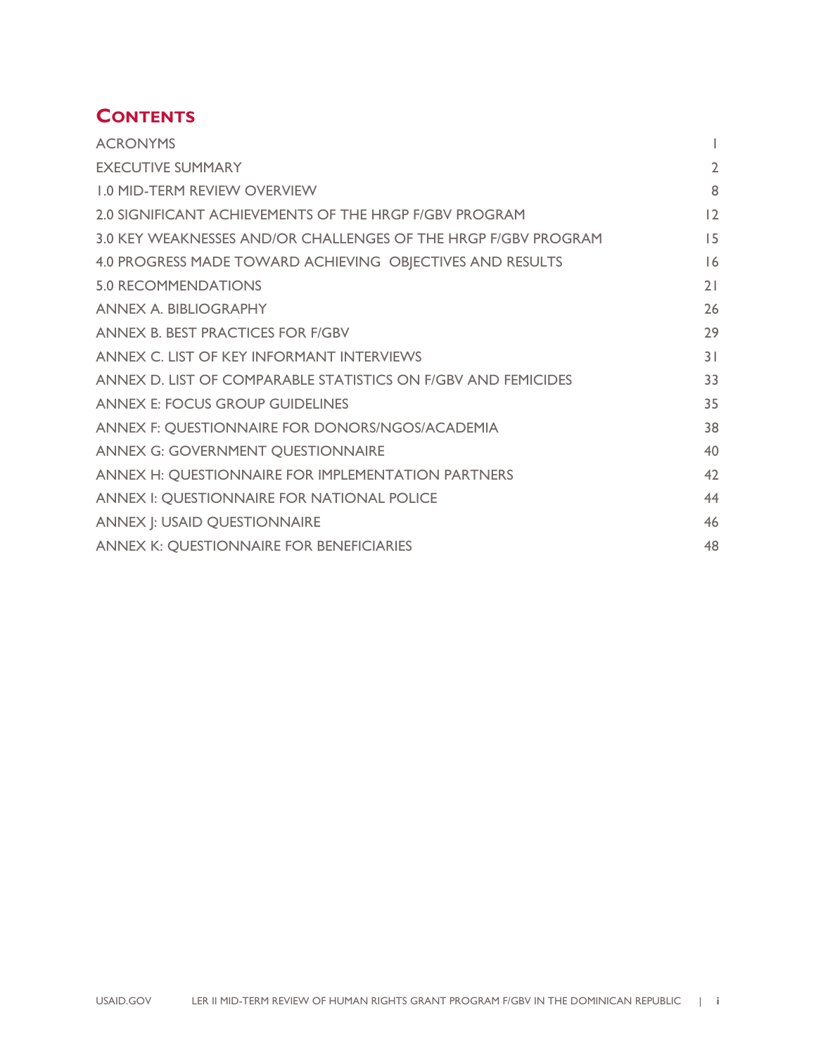## **CONTENTS**

| <b>ACRONYMS</b>                                                |                |
|----------------------------------------------------------------|----------------|
| <b>EXECUTIVE SUMMARY</b>                                       | $\overline{2}$ |
| <b>1.0 MID-TERM REVIEW OVERVIEW</b>                            | 8              |
| 2.0 SIGNIFICANT ACHIEVEMENTS OF THE HRGP F/GBV PROGRAM         | 12             |
| 3.0 KEY WEAKNESSES AND/OR CHALLENGES OF THE HRGP F/GBV PROGRAM | 15             |
| 4.0 PROGRESS MADE TOWARD ACHIEVING OBJECTIVES AND RESULTS      | 16             |
| <b>5.0 RECOMMENDATIONS</b>                                     | 21             |
| <b>ANNEX A. BIBLIOGRAPHY</b>                                   | 26             |
| ANNEX B. BEST PRACTICES FOR F/GBV                              | 29             |
| ANNEX C. LIST OF KEY INFORMANT INTERVIEWS                      | 31             |
| ANNEX D. LIST OF COMPARABLE STATISTICS ON F/GBV AND FEMICIDES  | 33             |
| <b>ANNEX E: FOCUS GROUP GUIDELINES</b>                         | 35             |
| ANNEX F: QUESTIONNAIRE FOR DONORS/NGOS/ACADEMIA                | 38             |
| <b>ANNEX G: GOVERNMENT QUESTIONNAIRE</b>                       | 40             |
| ANNEX H: QUESTIONNAIRE FOR IMPLEMENTATION PARTNERS             | 42             |
| ANNEX I: QUESTIONNAIRE FOR NATIONAL POLICE                     | 44             |
| <b>ANNEX J: USAID QUESTIONNAIRE</b>                            | 46             |
| <b>ANNEX K: QUESTIONNAIRE FOR BENEFICIARIES</b>                | 48             |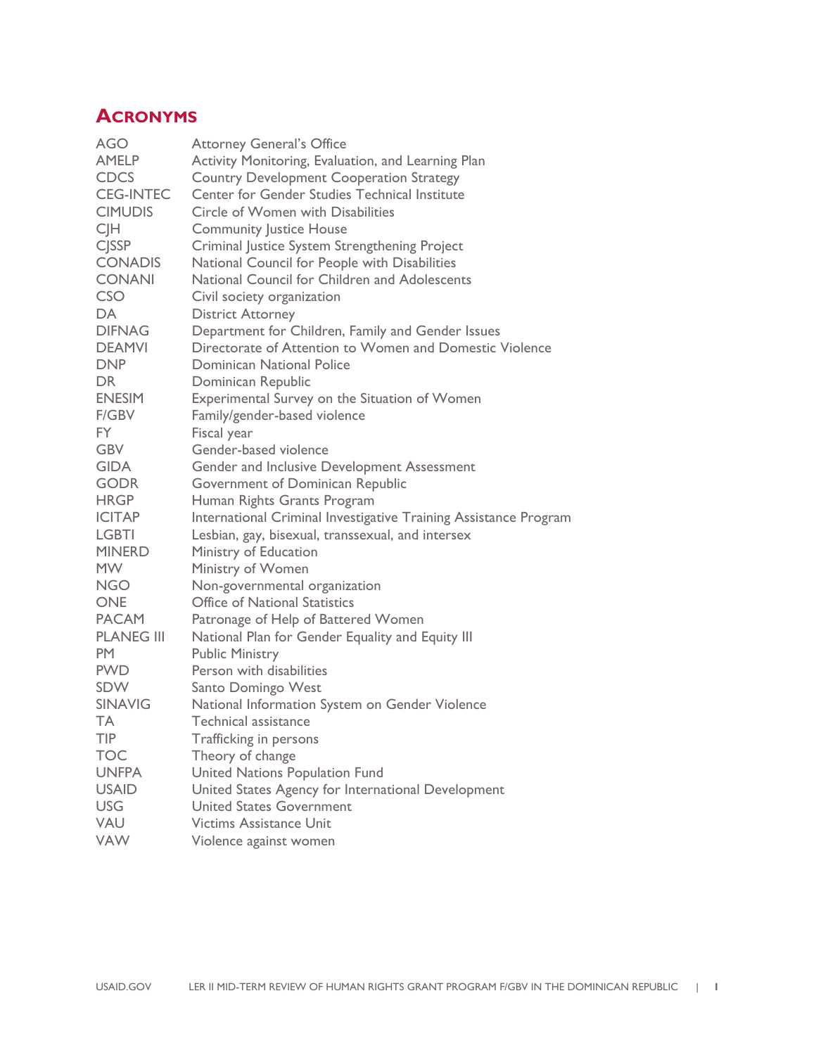## **ACRONYMS**

| <b>Attorney General's Office</b>                                 |
|------------------------------------------------------------------|
| Activity Monitoring, Evaluation, and Learning Plan               |
| <b>Country Development Cooperation Strategy</b>                  |
| Center for Gender Studies Technical Institute                    |
| Circle of Women with Disabilities                                |
| <b>Community Justice House</b>                                   |
| Criminal Justice System Strengthening Project                    |
| National Council for People with Disabilities                    |
| National Council for Children and Adolescents                    |
| Civil society organization                                       |
| <b>District Attorney</b>                                         |
| Department for Children, Family and Gender Issues                |
| Directorate of Attention to Women and Domestic Violence          |
| <b>Dominican National Police</b>                                 |
| Dominican Republic                                               |
| Experimental Survey on the Situation of Women                    |
| Family/gender-based violence                                     |
| Fiscal year                                                      |
| Gender-based violence                                            |
| Gender and Inclusive Development Assessment                      |
|                                                                  |
| Government of Dominican Republic                                 |
| Human Rights Grants Program                                      |
| International Criminal Investigative Training Assistance Program |
| Lesbian, gay, bisexual, transsexual, and intersex                |
| Ministry of Education                                            |
| Ministry of Women                                                |
| Non-governmental organization                                    |
| <b>Office of National Statistics</b>                             |
| Patronage of Help of Battered Women                              |
| National Plan for Gender Equality and Equity III                 |
| <b>Public Ministry</b>                                           |
| Person with disabilities                                         |
| Santo Domingo West                                               |
| National Information System on Gender Violence                   |
| <b>Technical assistance</b>                                      |
| Trafficking in persons                                           |
| Theory of change                                                 |
| <b>United Nations Population Fund</b>                            |
| United States Agency for International Development               |
| <b>United States Government</b>                                  |
| <b>Victims Assistance Unit</b>                                   |
| Violence against women                                           |
|                                                                  |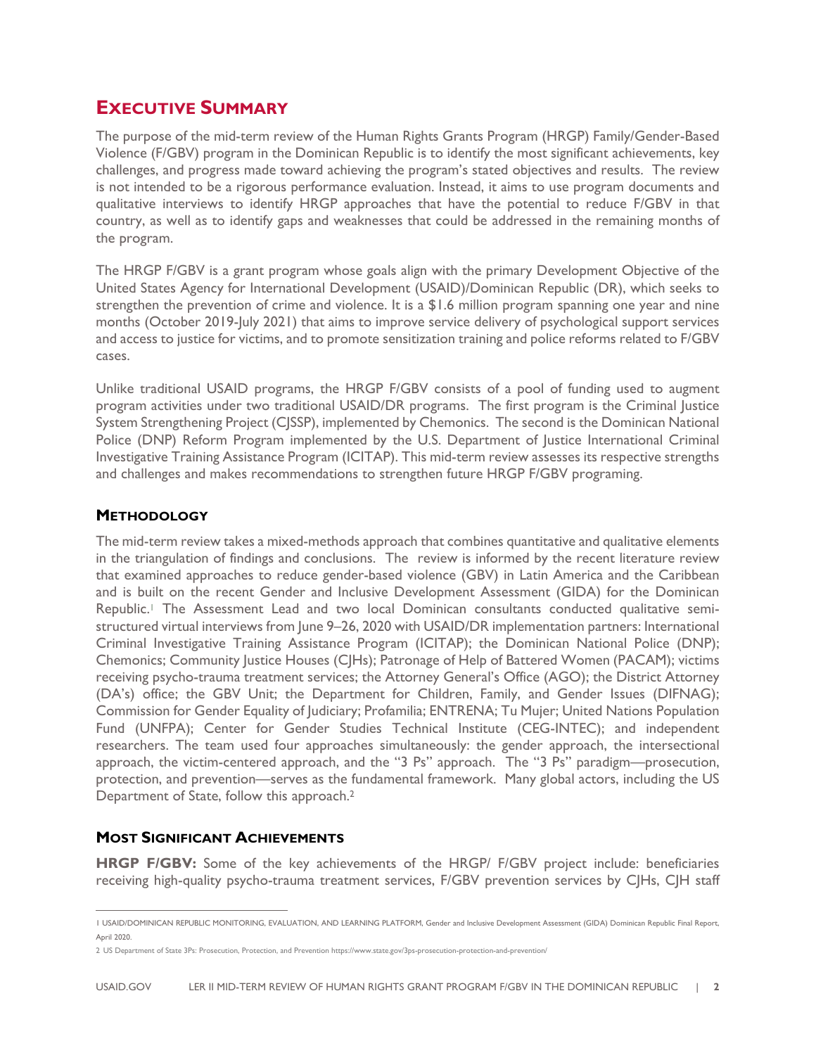### **EXECUTIVE SUMMARY**

The purpose of the mid-term review of the Human Rights Grants Program (HRGP) Family/Gender-Based Violence (F/GBV) program in the Dominican Republic is to identify the most significant achievements, key challenges, and progress made toward achieving the program's stated objectives and results. The review is not intended to be a rigorous performance evaluation. Instead, it aims to use program documents and qualitative interviews to identify HRGP approaches that have the potential to reduce F/GBV in that country, as well as to identify gaps and weaknesses that could be addressed in the remaining months of the program.

The HRGP F/GBV is a grant program whose goals align with the primary Development Objective of the United States Agency for International Development (USAID)/Dominican Republic (DR), which seeks to strengthen the prevention of crime and violence. It is a \$1.6 million program spanning one year and nine months (October 2019-July 2021) that aims to improve service delivery of psychological support services and access to justice for victims, and to promote sensitization training and police reforms related to F/GBV cases.

Unlike traditional USAID programs, the HRGP F/GBV consists of a pool of funding used to augment program activities under two traditional USAID/DR programs. The first program is the Criminal Justice System Strengthening Project (CJSSP), implemented by Chemonics. The second is the Dominican National Police (DNP) Reform Program implemented by the U.S. Department of Justice International Criminal Investigative Training Assistance Program (ICITAP). This mid-term review assesses its respective strengths and challenges and makes recommendations to strengthen future HRGP F/GBV programing.

#### **METHODOLOGY**

The mid-term review takes a mixed-methods approach that combines quantitative and qualitative elements in the triangulation of findings and conclusions. The review is informed by the recent literature review that examined approaches to reduce gender-based violence (GBV) in Latin America and the Caribbean and is built on the recent Gender and Inclusive Development Assessment (GIDA) for the Dominican Republic.1 The Assessment Lead and two local Dominican consultants conducted qualitative semistructured virtual interviews from June 9–26, 2020 with USAID/DR implementation partners: International Criminal Investigative Training Assistance Program (ICITAP); the Dominican National Police (DNP); Chemonics; Community Justice Houses (CJHs); Patronage of Help of Battered Women (PACAM); victims receiving psycho-trauma treatment services; the Attorney General's Office (AGO); the District Attorney (DA's) office; the GBV Unit; the Department for Children, Family, and Gender Issues (DIFNAG); Commission for Gender Equality of Judiciary; Profamilia; ENTRENA; Tu Mujer; United Nations Population Fund (UNFPA); Center for Gender Studies Technical Institute (CEG-INTEC); and independent researchers. The team used four approaches simultaneously: the gender approach, the intersectional approach, the victim-centered approach, and the "3 Ps" approach. The "3 Ps" paradigm—prosecution, protection, and prevention—serves as the fundamental framework. Many global actors, including the US Department of State, follow this approach.2

#### **MOST SIGNIFICANT ACHIEVEMENTS**

**HRGP F/GBV:** Some of the key achievements of the HRGP/ F/GBV project include: beneficiaries receiving high-quality psycho-trauma treatment services, F/GBV prevention services by CJHs, CJH staff

<sup>1</sup> USAID/DOMINICAN REPUBLIC MONITORING, EVALUATION, AND LEARNING PLATFORM, Gender and Inclusive Development Assessment (GIDA) Dominican Republic Final Report, April 2020.

<sup>2</sup> US Department of State 3Ps: Prosecution, Protection, and Prevention https://www.state.gov/3ps-prosecution-protection-and-prevention/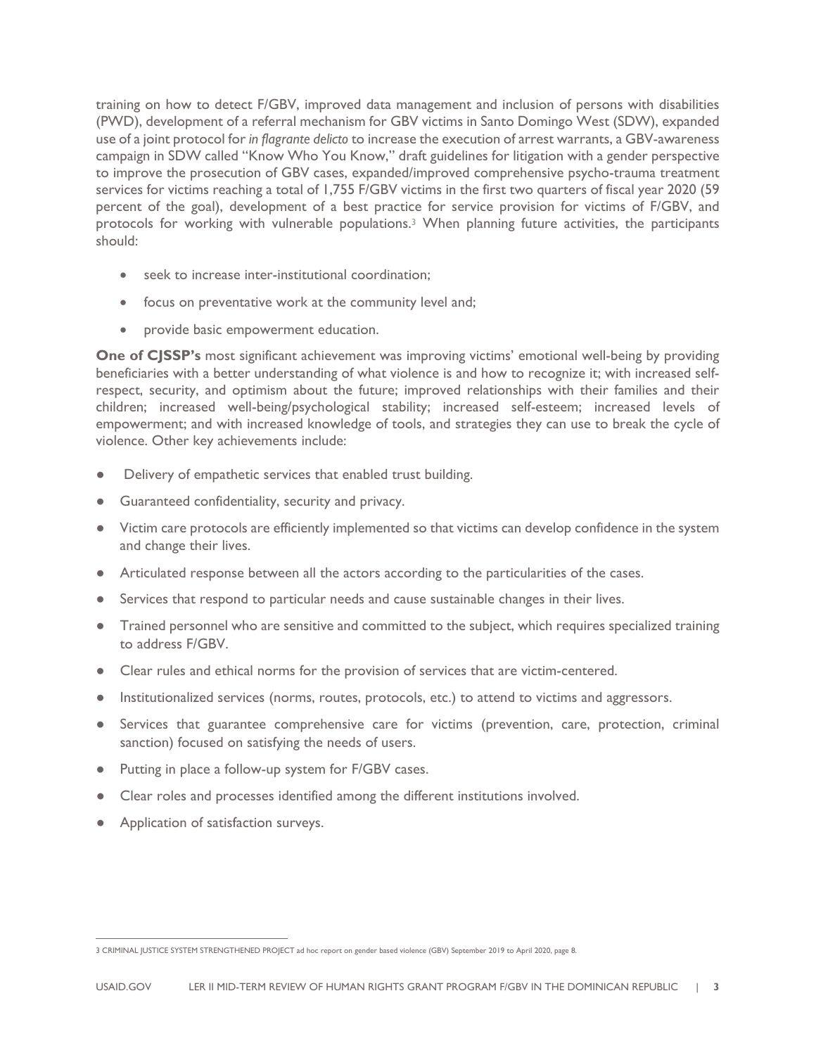training on how to detect F/GBV, improved data management and inclusion of persons with disabilities (PWD), development of a referral mechanism for GBV victims in Santo Domingo West (SDW), expanded use of a joint protocol for *in flagrante delicto* to increase the execution of arrest warrants, a GBV-awareness campaign in SDW called "Know Who You Know," draft guidelines for litigation with a gender perspective to improve the prosecution of GBV cases, expanded/improved comprehensive psycho-trauma treatment services for victims reaching a total of 1,755 F/GBV victims in the first two quarters of fiscal year 2020 (59 percent of the goal), development of a best practice for service provision for victims of F/GBV, and protocols for working with vulnerable populations.3 When planning future activities, the participants should:

- seek to increase inter-institutional coordination:
- focus on preventative work at the community level and;
- provide basic empowerment education.

**One of CJSSP's** most significant achievement was improving victims' emotional well-being by providing beneficiaries with a better understanding of what violence is and how to recognize it; with increased selfrespect, security, and optimism about the future; improved relationships with their families and their children; increased well-being/psychological stability; increased self-esteem; increased levels of empowerment; and with increased knowledge of tools, and strategies they can use to break the cycle of violence. Other key achievements include:

- Delivery of empathetic services that enabled trust building.
- Guaranteed confidentiality, security and privacy.
- Victim care protocols are efficiently implemented so that victims can develop confidence in the system and change their lives.
- Articulated response between all the actors according to the particularities of the cases.
- Services that respond to particular needs and cause sustainable changes in their lives.
- Trained personnel who are sensitive and committed to the subject, which requires specialized training to address F/GBV.
- Clear rules and ethical norms for the provision of services that are victim-centered.
- Institutionalized services (norms, routes, protocols, etc.) to attend to victims and aggressors.
- Services that guarantee comprehensive care for victims (prevention, care, protection, criminal sanction) focused on satisfying the needs of users.
- Putting in place a follow-up system for F/GBV cases.
- Clear roles and processes identified among the different institutions involved.
- Application of satisfaction surveys.

<sup>3</sup> CRIMINAL JUSTICE SYSTEM STRENGTHENED PROJECT ad hoc report on gender based violence (GBV) September 2019 to April 2020, page 8.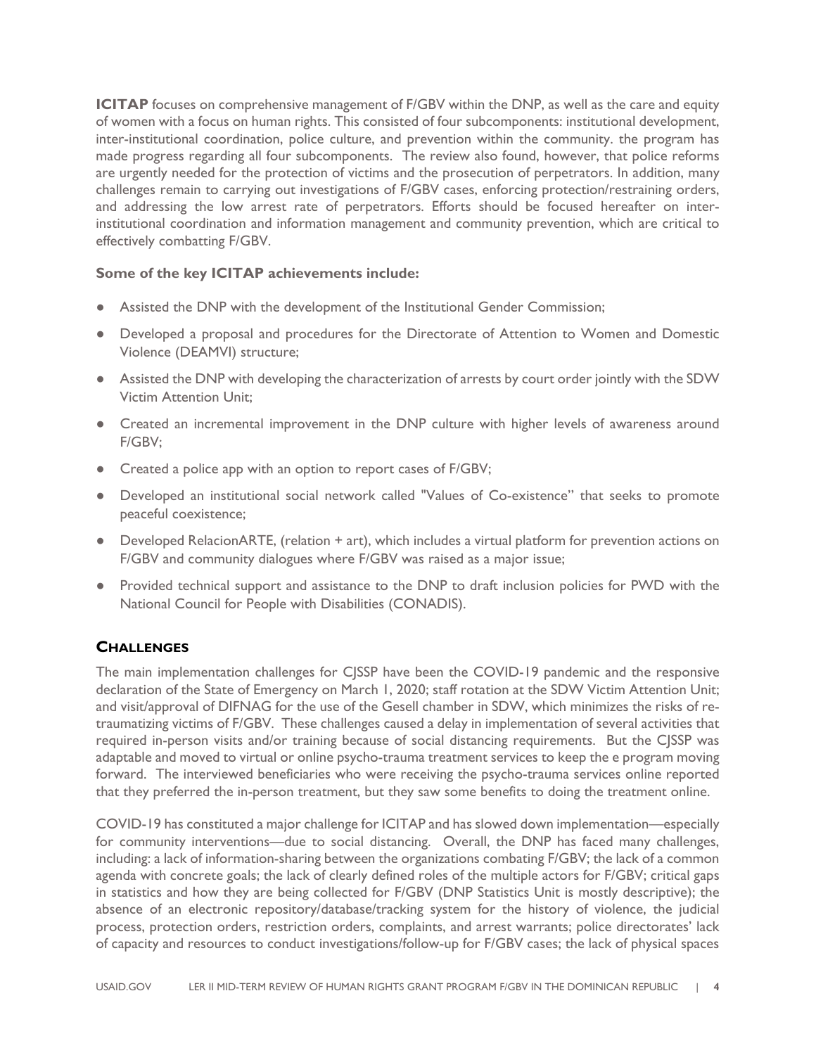**ICITAP** focuses on comprehensive management of F/GBV within the DNP, as well as the care and equity of women with a focus on human rights. This consisted of four subcomponents: institutional development, inter-institutional coordination, police culture, and prevention within the community. the program has made progress regarding all four subcomponents. The review also found, however, that police reforms are urgently needed for the protection of victims and the prosecution of perpetrators. In addition, many challenges remain to carrying out investigations of F/GBV cases, enforcing protection/restraining orders, and addressing the low arrest rate of perpetrators. Efforts should be focused hereafter on interinstitutional coordination and information management and community prevention, which are critical to effectively combatting F/GBV.

#### **Some of the key ICITAP achievements include:**

- Assisted the DNP with the development of the Institutional Gender Commission;
- Developed a proposal and procedures for the Directorate of Attention to Women and Domestic Violence (DEAMVI) structure;
- Assisted the DNP with developing the characterization of arrests by court order jointly with the SDW Victim Attention Unit;
- Created an incremental improvement in the DNP culture with higher levels of awareness around F/GBV;
- Created a police app with an option to report cases of F/GBV;
- Developed an institutional social network called "Values of Co-existence" that seeks to promote peaceful coexistence;
- Developed RelacionARTE, (relation + art), which includes a virtual platform for prevention actions on F/GBV and community dialogues where F/GBV was raised as a major issue;
- Provided technical support and assistance to the DNP to draft inclusion policies for PWD with the National Council for People with Disabilities (CONADIS).

#### **CHALLENGES**

The main implementation challenges for CJSSP have been the COVID-19 pandemic and the responsive declaration of the State of Emergency on March 1, 2020; staff rotation at the SDW Victim Attention Unit; and visit/approval of DIFNAG for the use of the Gesell chamber in SDW, which minimizes the risks of retraumatizing victims of F/GBV. These challenges caused a delay in implementation of several activities that required in-person visits and/or training because of social distancing requirements. But the CJSSP was adaptable and moved to virtual or online psycho-trauma treatment services to keep the e program moving forward. The interviewed beneficiaries who were receiving the psycho-trauma services online reported that they preferred the in-person treatment, but they saw some benefits to doing the treatment online.

COVID-19 has constituted a major challenge for ICITAP and has slowed down implementation—especially for community interventions—due to social distancing. Overall, the DNP has faced many challenges, including: a lack of information-sharing between the organizations combating F/GBV; the lack of a common agenda with concrete goals; the lack of clearly defined roles of the multiple actors for F/GBV; critical gaps in statistics and how they are being collected for F/GBV (DNP Statistics Unit is mostly descriptive); the absence of an electronic repository/database/tracking system for the history of violence, the judicial process, protection orders, restriction orders, complaints, and arrest warrants; police directorates' lack of capacity and resources to conduct investigations/follow-up for F/GBV cases; the lack of physical spaces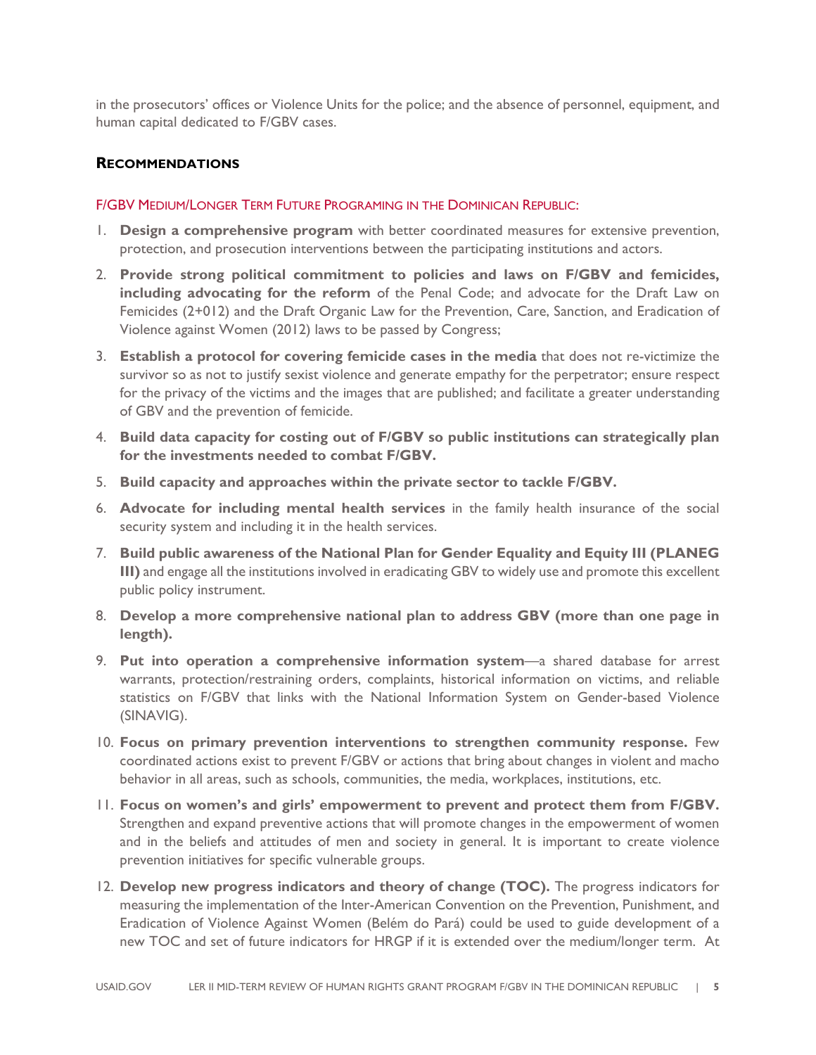in the prosecutors' offices or Violence Units for the police; and the absence of personnel, equipment, and human capital dedicated to F/GBV cases.

#### **RECOMMENDATIONS**

#### F/GBV MEDIUM/LONGER TERM FUTURE PROGRAMING IN THE DOMINICAN REPUBLIC:

- 1. **Design a comprehensive program** with better coordinated measures for extensive prevention, protection, and prosecution interventions between the participating institutions and actors.
- 2. **Provide strong political commitment to policies and laws on F/GBV and femicides, including advocating for the reform** of the Penal Code; and advocate for the Draft Law on Femicides (2+012) and the Draft Organic Law for the Prevention, Care, Sanction, and Eradication of Violence against Women (2012) laws to be passed by Congress;
- 3. **Establish a protocol for covering femicide cases in the media** that does not re-victimize the survivor so as not to justify sexist violence and generate empathy for the perpetrator; ensure respect for the privacy of the victims and the images that are published; and facilitate a greater understanding of GBV and the prevention of femicide.
- 4. **Build data capacity for costing out of F/GBV so public institutions can strategically plan for the investments needed to combat F/GBV.**
- 5. **Build capacity and approaches within the private sector to tackle F/GBV.**
- 6. **Advocate for including mental health services** in the family health insurance of the social security system and including it in the health services.
- 7. **Build public awareness of the National Plan for Gender Equality and Equity III (PLANEG III)** and engage all the institutions involved in eradicating GBV to widely use and promote this excellent public policy instrument.
- 8. **Develop a more comprehensive national plan to address GBV (more than one page in length).**
- 9. **Put into operation a comprehensive information system**—a shared database for arrest warrants, protection/restraining orders, complaints, historical information on victims, and reliable statistics on F/GBV that links with the National Information System on Gender-based Violence (SINAVIG).
- 10. **Focus on primary prevention interventions to strengthen community response.** Few coordinated actions exist to prevent F/GBV or actions that bring about changes in violent and macho behavior in all areas, such as schools, communities, the media, workplaces, institutions, etc.
- 11. **Focus on women's and girls' empowerment to prevent and protect them from F/GBV.** Strengthen and expand preventive actions that will promote changes in the empowerment of women and in the beliefs and attitudes of men and society in general. It is important to create violence prevention initiatives for specific vulnerable groups.
- 12. **Develop new progress indicators and theory of change (TOC).** The progress indicators for measuring the implementation of the Inter-American Convention on the Prevention, Punishment, and Eradication of Violence Against Women (Belém do Pará) could be used to guide development of a new TOC and set of future indicators for HRGP if it is extended over the medium/longer term. At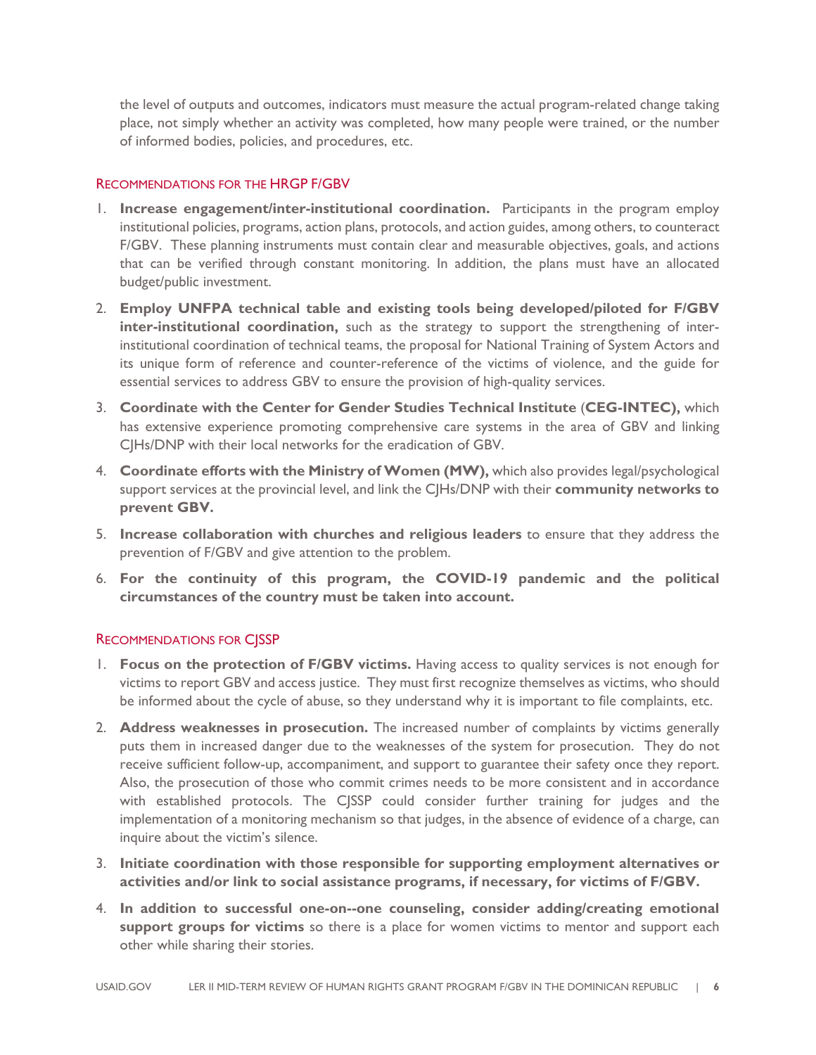the level of outputs and outcomes, indicators must measure the actual program-related change taking place, not simply whether an activity was completed, how many people were trained, or the number of informed bodies, policies, and procedures, etc.

#### RECOMMENDATIONS FOR THE HRGP F/GBV

- 1. **Increase engagement/inter-institutional coordination.** Participants in the program employ institutional policies, programs, action plans, protocols, and action guides, among others, to counteract F/GBV. These planning instruments must contain clear and measurable objectives, goals, and actions that can be verified through constant monitoring. In addition, the plans must have an allocated budget/public investment.
- 2. **Employ UNFPA technical table and existing tools being developed/piloted for F/GBV inter-institutional coordination,** such as the strategy to support the strengthening of interinstitutional coordination of technical teams, the proposal for National Training of System Actors and its unique form of reference and counter-reference of the victims of violence, and the guide for essential services to address GBV to ensure the provision of high-quality services.
- 3. **Coordinate with the Center for Gender Studies Technical Institute** (**CEG-INTEC),** which has extensive experience promoting comprehensive care systems in the area of GBV and linking CJHs/DNP with their local networks for the eradication of GBV.
- 4. **Coordinate efforts with the Ministry of Women (MW),** which also provides legal/psychological support services at the provincial level, and link the CJHs/DNP with their **community networks to prevent GBV.**
- 5. **Increase collaboration with churches and religious leaders** to ensure that they address the prevention of F/GBV and give attention to the problem.
- 6. **For the continuity of this program, the COVID-19 pandemic and the political circumstances of the country must be taken into account.**

#### RECOMMENDATIONS FOR CJSSP

- 1. **Focus on the protection of F/GBV victims.** Having access to quality services is not enough for victims to report GBV and access justice. They must first recognize themselves as victims, who should be informed about the cycle of abuse, so they understand why it is important to file complaints, etc.
- 2. **Address weaknesses in prosecution.** The increased number of complaints by victims generally puts them in increased danger due to the weaknesses of the system for prosecution. They do not receive sufficient follow-up, accompaniment, and support to guarantee their safety once they report. Also, the prosecution of those who commit crimes needs to be more consistent and in accordance with established protocols. The CJSSP could consider further training for judges and the implementation of a monitoring mechanism so that judges, in the absence of evidence of a charge, can inquire about the victim's silence.
- 3. **Initiate coordination with those responsible for supporting employment alternatives or activities and/or link to social assistance programs, if necessary, for victims of F/GBV.**
- 4. **In addition to successful one-on--one counseling, consider adding/creating emotional support groups for victims** so there is a place for women victims to mentor and support each other while sharing their stories.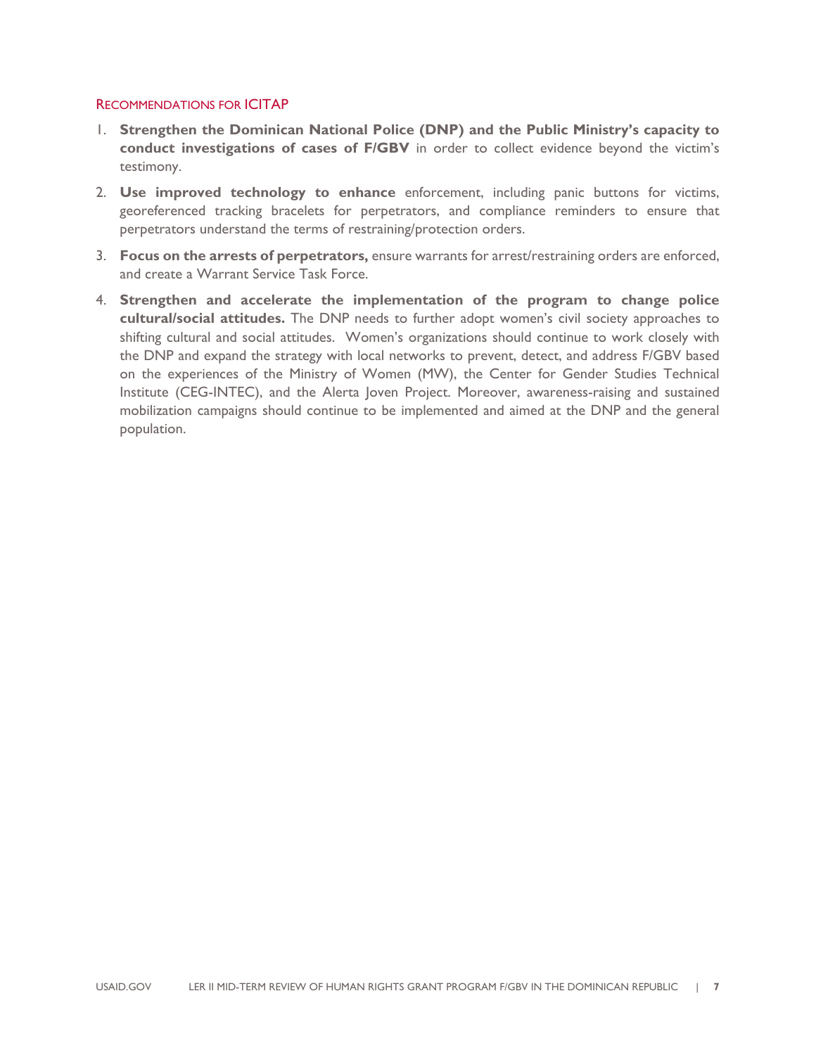#### RECOMMENDATIONS FOR ICITAP

- 1. **Strengthen the Dominican National Police (DNP) and the Public Ministry's capacity to conduct investigations of cases of F/GBV** in order to collect evidence beyond the victim's testimony.
- 2. **Use improved technology to enhance** enforcement, including panic buttons for victims, georeferenced tracking bracelets for perpetrators, and compliance reminders to ensure that perpetrators understand the terms of restraining/protection orders.
- 3. **Focus on the arrests of perpetrators,** ensure warrants for arrest/restraining orders are enforced, and create a Warrant Service Task Force.
- 4. **Strengthen and accelerate the implementation of the program to change police cultural/social attitudes.** The DNP needs to further adopt women's civil society approaches to shifting cultural and social attitudes. Women's organizations should continue to work closely with the DNP and expand the strategy with local networks to prevent, detect, and address F/GBV based on the experiences of the Ministry of Women (MW), the Center for Gender Studies Technical Institute (CEG-INTEC), and the Alerta Joven Project. Moreover, awareness-raising and sustained mobilization campaigns should continue to be implemented and aimed at the DNP and the general population.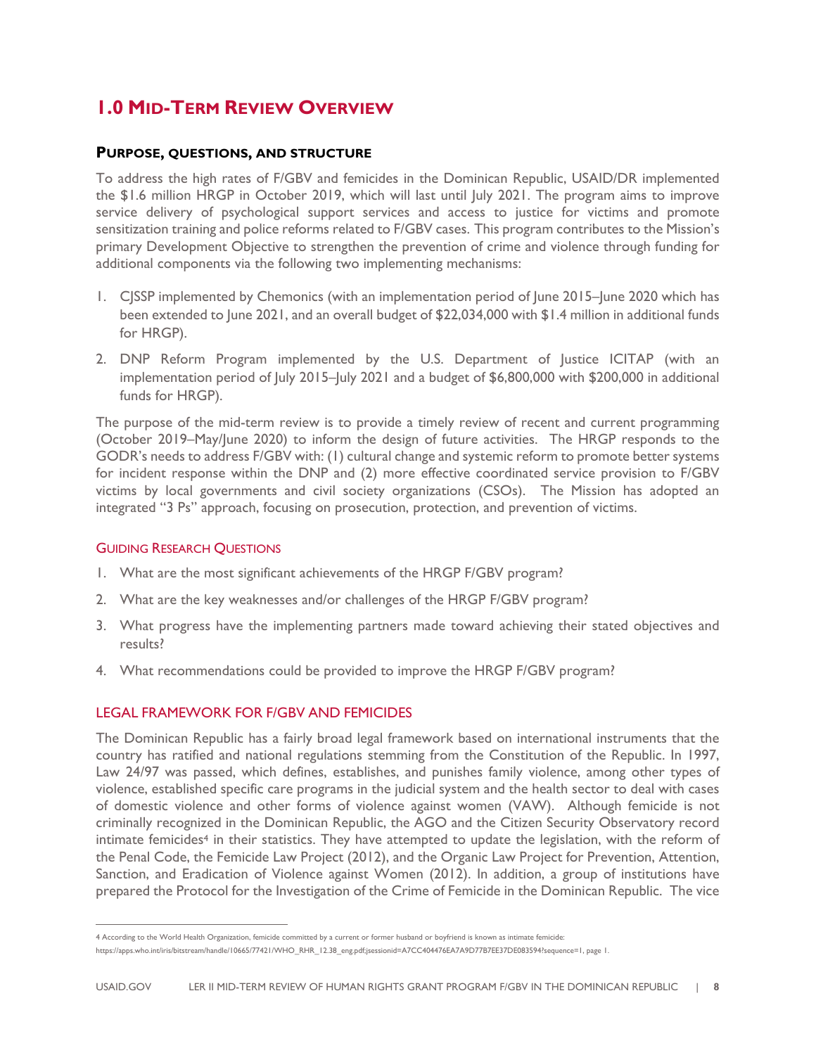## **1.0 MID-TERM REVIEW OVERVIEW**

#### **PURPOSE, QUESTIONS, AND STRUCTURE**

To address the high rates of F/GBV and femicides in the Dominican Republic, USAID/DR implemented the \$1.6 million HRGP in October 2019, which will last until July 2021. The program aims to improve service delivery of psychological support services and access to justice for victims and promote sensitization training and police reforms related to F/GBV cases. This program contributes to the Mission's primary Development Objective to strengthen the prevention of crime and violence through funding for additional components via the following two implementing mechanisms:

- 1. CJSSP implemented by Chemonics (with an implementation period of June 2015–June 2020 which has been extended to June 2021, and an overall budget of \$22,034,000 with \$1.4 million in additional funds for HRGP).
- 2. DNP Reform Program implemented by the U.S. Department of Justice ICITAP (with an implementation period of July 2015–July 2021 and a budget of \$6,800,000 with \$200,000 in additional funds for HRGP).

The purpose of the mid-term review is to provide a timely review of recent and current programming (October 2019–May/June 2020) to inform the design of future activities. The HRGP responds to the GODR's needs to address F/GBV with: (1) cultural change and systemic reform to promote better systems for incident response within the DNP and (2) more effective coordinated service provision to F/GBV victims by local governments and civil society organizations (CSOs). The Mission has adopted an integrated "3 Ps" approach, focusing on prosecution, protection, and prevention of victims.

#### GUIDING RESEARCH QUESTIONS

- 1. What are the most significant achievements of the HRGP F/GBV program?
- 2. What are the key weaknesses and/or challenges of the HRGP F/GBV program?
- 3. What progress have the implementing partners made toward achieving their stated objectives and results?
- 4. What recommendations could be provided to improve the HRGP F/GBV program?

#### LEGAL FRAMEWORK FOR F/GBV AND FEMICIDES

The Dominican Republic has a fairly broad legal framework based on international instruments that the country has ratified and national regulations stemming from the Constitution of the Republic. In 1997, Law 24/97 was passed, which defines, establishes, and punishes family violence, among other types of violence, established specific care programs in the judicial system and the health sector to deal with cases of domestic violence and other forms of violence against women (VAW). Although femicide is not criminally recognized in the Dominican Republic, the AGO and the Citizen Security Observatory record intimate femicides<sup>4</sup> in their statistics. They have attempted to update the legislation, with the reform of the Penal Code, the Femicide Law Project (2012), and the Organic Law Project for Prevention, Attention, Sanction, and Eradication of Violence against Women (2012). In addition, a group of institutions have prepared the Protocol for the Investigation of the Crime of Femicide in the Dominican Republic. The vice

<sup>4</sup> According to the World Health Organization, femicide committed by a current or former husband or boyfriend is known as intimate femicide:

https://apps.who.int/iris/bitstream/handle/10665/77421/WHO\_RHR\_12.38\_eng.pdf;jsessionid=A7CC404476EA7A9D77B7EE37DE083594?sequence=1, page 1.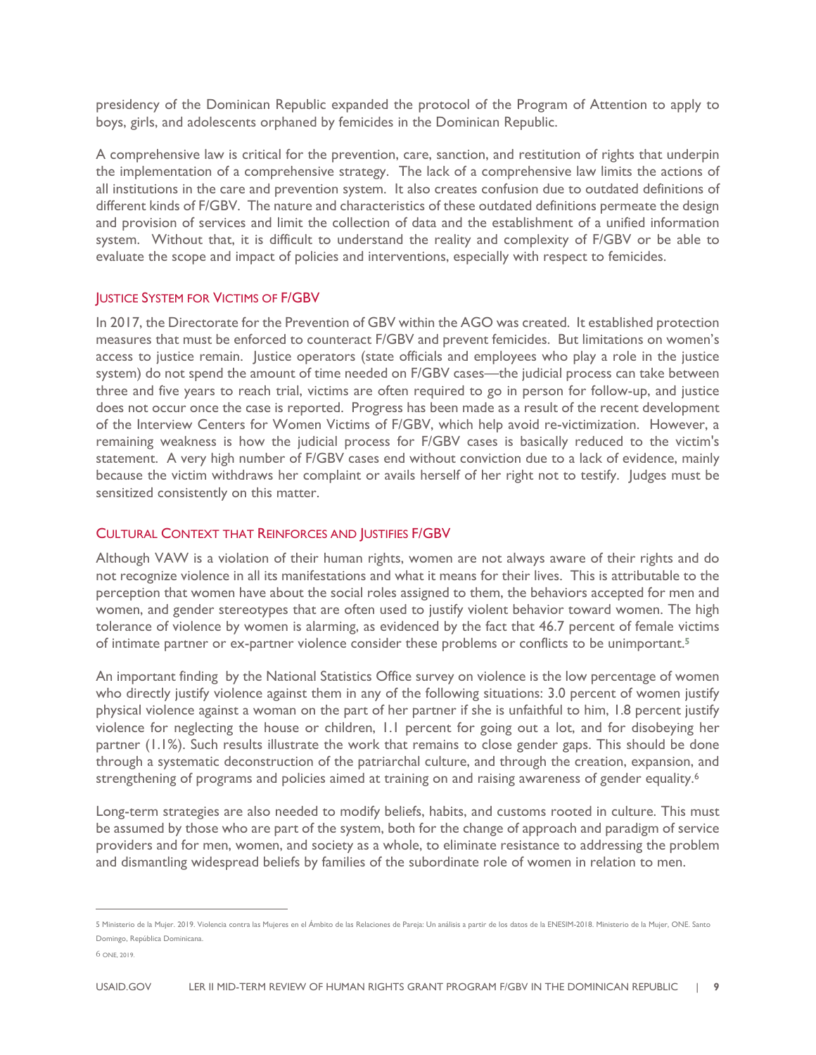presidency of the Dominican Republic expanded the protocol of the Program of Attention to apply to boys, girls, and adolescents orphaned by femicides in the Dominican Republic.

A comprehensive law is critical for the prevention, care, sanction, and restitution of rights that underpin the implementation of a comprehensive strategy. The lack of a comprehensive law limits the actions of all institutions in the care and prevention system. It also creates confusion due to outdated definitions of different kinds of F/GBV. The nature and characteristics of these outdated definitions permeate the design and provision of services and limit the collection of data and the establishment of a unified information system. Without that, it is difficult to understand the reality and complexity of F/GBV or be able to evaluate the scope and impact of policies and interventions, especially with respect to femicides.

#### JUSTICE SYSTEM FOR VICTIMS OF F/GBV

In 2017, the Directorate for the Prevention of GBV within the AGO was created. It established protection measures that must be enforced to counteract F/GBV and prevent femicides. But limitations on women's access to justice remain. Justice operators (state officials and employees who play a role in the justice system) do not spend the amount of time needed on F/GBV cases—the judicial process can take between three and five years to reach trial, victims are often required to go in person for follow-up, and justice does not occur once the case is reported. Progress has been made as a result of the recent development of the Interview Centers for Women Victims of F/GBV, which help avoid re-victimization. However, a remaining weakness is how the judicial process for F/GBV cases is basically reduced to the victim's statement. A very high number of F/GBV cases end without conviction due to a lack of evidence, mainly because the victim withdraws her complaint or avails herself of her right not to testify. Judges must be sensitized consistently on this matter.

#### CULTURAL CONTEXT THAT REINFORCES AND JUSTIFIES F/GBV

Although VAW is a violation of their human rights, women are not always aware of their rights and do not recognize violence in all its manifestations and what it means for their lives. This is attributable to the perception that women have about the social roles assigned to them, the behaviors accepted for men and women, and gender stereotypes that are often used to justify violent behavior toward women. The high tolerance of violence by women is alarming, as evidenced by the fact that 46.7 percent of female victims of intimate partner or ex-partner violence consider these problems or conflicts to be unimportant.**<sup>5</sup>**

An important finding by the National Statistics Office survey on violence is the low percentage of women who directly justify violence against them in any of the following situations: 3.0 percent of women justify physical violence against a woman on the part of her partner if she is unfaithful to him, 1.8 percent justify violence for neglecting the house or children, 1.1 percent for going out a lot, and for disobeying her partner (1.1%). Such results illustrate the work that remains to close gender gaps. This should be done through a systematic deconstruction of the patriarchal culture, and through the creation, expansion, and strengthening of programs and policies aimed at training on and raising awareness of gender equality.<sup>6</sup>

Long-term strategies are also needed to modify beliefs, habits, and customs rooted in culture. This must be assumed by those who are part of the system, both for the change of approach and paradigm of service providers and for men, women, and society as a whole, to eliminate resistance to addressing the problem and dismantling widespread beliefs by families of the subordinate role of women in relation to men.

<sup>5</sup> Ministerio de la Mujer. 2019. Violencia contra las Mujeres en el Ámbito de las Relaciones de Pareja: Un análisis a partir de los datos de la ENESIM-2018. Ministerio de la Mujer, ONE. Santo Domingo, República Dominicana.

<sup>6</sup> ONE, 2019.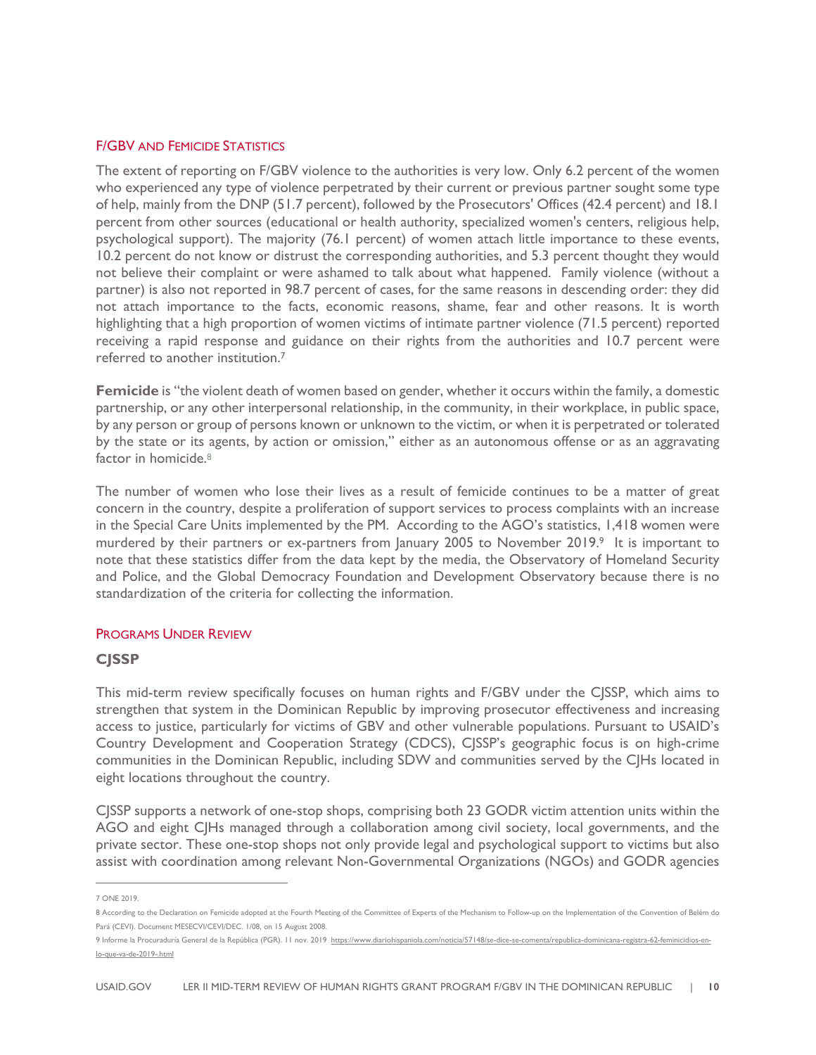#### F/GBV AND FEMICIDE STATISTICS

The extent of reporting on F/GBV violence to the authorities is very low. Only 6.2 percent of the women who experienced any type of violence perpetrated by their current or previous partner sought some type of help, mainly from the DNP (51.7 percent), followed by the Prosecutors' Offices (42.4 percent) and 18.1 percent from other sources (educational or health authority, specialized women's centers, religious help, psychological support). The majority (76.1 percent) of women attach little importance to these events, 10.2 percent do not know or distrust the corresponding authorities, and 5.3 percent thought they would not believe their complaint or were ashamed to talk about what happened. Family violence (without a partner) is also not reported in 98.7 percent of cases, for the same reasons in descending order: they did not attach importance to the facts, economic reasons, shame, fear and other reasons. It is worth highlighting that a high proportion of women victims of intimate partner violence (71.5 percent) reported receiving a rapid response and guidance on their rights from the authorities and 10.7 percent were referred to another institution.7

Femicide is "the violent death of women based on gender, whether it occurs within the family, a domestic partnership, or any other interpersonal relationship, in the community, in their workplace, in public space, by any person or group of persons known or unknown to the victim, or when it is perpetrated or tolerated by the state or its agents, by action or omission," either as an autonomous offense or as an aggravating factor in homicide.<sup>8</sup>

The number of women who lose their lives as a result of femicide continues to be a matter of great concern in the country, despite a proliferation of support services to process complaints with an increase in the Special Care Units implemented by the PM. According to the AGO's statistics, 1,418 women were murdered by their partners or ex-partners from January 2005 to November 2019.<sup>9</sup> It is important to note that these statistics differ from the data kept by the media, the Observatory of Homeland Security and Police, and the Global Democracy Foundation and Development Observatory because there is no standardization of the criteria for collecting the information.

#### PROGRAMS UNDER REVIEW

#### **CJSSP**

This mid-term review specifically focuses on human rights and F/GBV under the CJSSP, which aims to strengthen that system in the Dominican Republic by improving prosecutor effectiveness and increasing access to justice, particularly for victims of GBV and other vulnerable populations. Pursuant to USAID's Country Development and Cooperation Strategy (CDCS), CJSSP's geographic focus is on high-crime communities in the Dominican Republic, including SDW and communities served by the CJHs located in eight locations throughout the country.

CJSSP supports a network of one-stop shops, comprising both 23 GODR victim attention units within the AGO and eight CJHs managed through a collaboration among civil society, local governments, and the private sector. These one-stop shops not only provide legal and psychological support to victims but also assist with coordination among relevant Non-Governmental Organizations (NGOs) and GODR agencies

<sup>7</sup> ONE 2019.

<sup>8</sup> According to the Declaration on Femicide adopted at the Fourth Meeting of the Committee of Experts of the Mechanism to Follow-up on the Implementation of the Convention of Belém do Pará (CEVI). Document MESECVI/CEVI/DEC. 1/08, on 15 August 2008.

<sup>9</sup> Informe la Procuraduría General de la República (PGR). Il nov. 2019 https://www.diariohispaniola.com/noticia/57148/se-dice-se-comenta/republica-dominicana-registra-62-feminicidios-enlo-que-va-de-2019-.html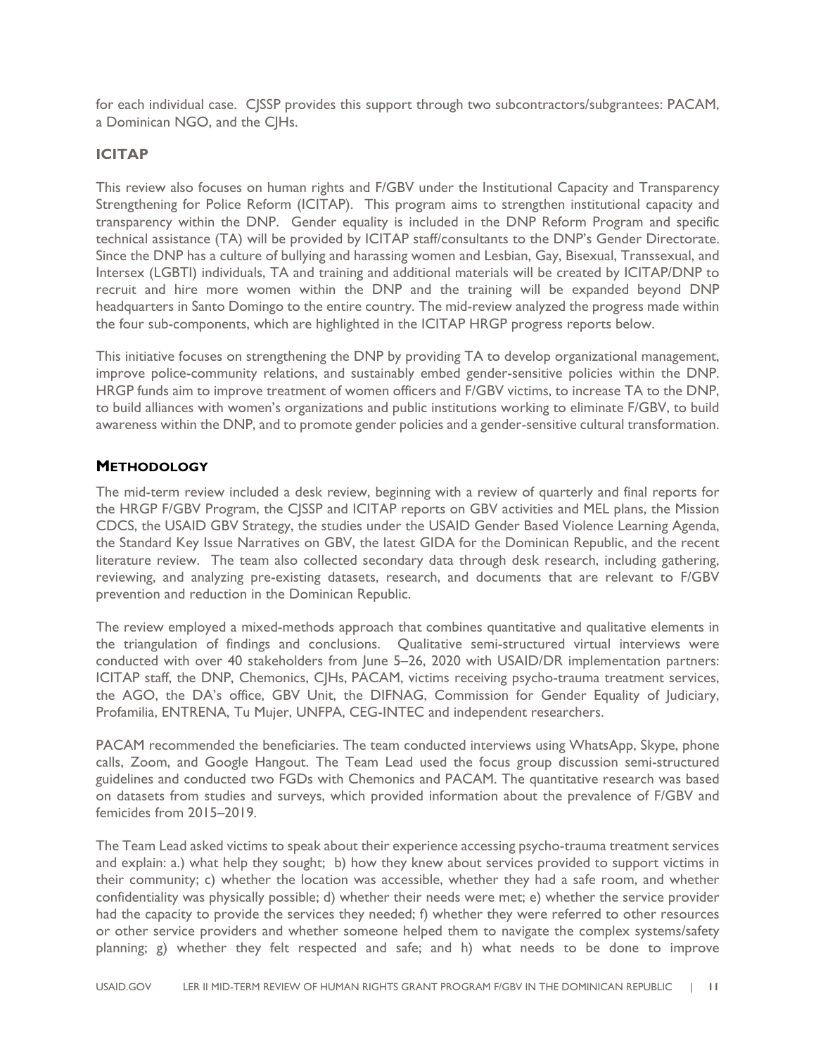for each individual case. CJSSP provides this support through two subcontractors/subgrantees: PACAM, a Dominican NGO, and the C|Hs.

#### **ICITAP**

This review also focuses on human rights and F/GBV under the Institutional Capacity and Transparency Strengthening for Police Reform (ICITAP). This program aims to strengthen institutional capacity and transparency within the DNP. Gender equality is included in the DNP Reform Program and specific technical assistance (TA) will be provided by ICITAP staff/consultants to the DNP's Gender Directorate. Since the DNP has a culture of bullying and harassing women and Lesbian, Gay, Bisexual, Transsexual, and Intersex (LGBTI) individuals, TA and training and additional materials will be created by ICITAP/DNP to recruit and hire more women within the DNP and the training will be expanded beyond DNP headquarters in Santo Domingo to the entire country. The mid-review analyzed the progress made within the four sub-components, which are highlighted in the ICITAP HRGP progress reports below.

This initiative focuses on strengthening the DNP by providing TA to develop organizational management, improve police-community relations, and sustainably embed gender-sensitive policies within the DNP. HRGP funds aim to improve treatment of women officers and F/GBV victims, to increase TA to the DNP, to build alliances with women's organizations and public institutions working to eliminate F/GBV, to build awareness within the DNP, and to promote gender policies and a gender-sensitive cultural transformation.

#### **METHODOLOGY**

The mid-term review included a desk review, beginning with a review of quarterly and final reports for the HRGP F/GBV Program, the CJSSP and ICITAP reports on GBV activities and MEL plans, the Mission CDCS, the USAID GBV Strategy, the studies under the USAID Gender Based Violence Learning Agenda, the Standard Key Issue Narratives on GBV, the latest GIDA for the Dominican Republic, and the recent literature review. The team also collected secondary data through desk research, including gathering, reviewing, and analyzing pre-existing datasets, research, and documents that are relevant to F/GBV prevention and reduction in the Dominican Republic.

The review employed a mixed-methods approach that combines quantitative and qualitative elements in the triangulation of findings and conclusions. Qualitative semi-structured virtual interviews were conducted with over 40 stakeholders from June 5–26, 2020 with USAID/DR implementation partners: ICITAP staff, the DNP, Chemonics, CJHs, PACAM, victims receiving psycho-trauma treatment services, the AGO, the DA's office, GBV Unit, the DIFNAG, Commission for Gender Equality of Judiciary, Profamilia, ENTRENA, Tu Mujer, UNFPA, CEG-INTEC and independent researchers.

PACAM recommended the beneficiaries. The team conducted interviews using WhatsApp, Skype, phone calls, Zoom, and Google Hangout. The Team Lead used the focus group discussion semi-structured guidelines and conducted two FGDs with Chemonics and PACAM. The quantitative research was based on datasets from studies and surveys, which provided information about the prevalence of F/GBV and femicides from 2015–2019.

The Team Lead asked victims to speak about their experience accessing psycho-trauma treatment services and explain: a.) what help they sought; b) how they knew about services provided to support victims in their community; c) whether the location was accessible, whether they had a safe room, and whether confidentiality was physically possible; d) whether their needs were met; e) whether the service provider had the capacity to provide the services they needed; f) whether they were referred to other resources or other service providers and whether someone helped them to navigate the complex systems/safety planning; g) whether they felt respected and safe; and h) what needs to be done to improve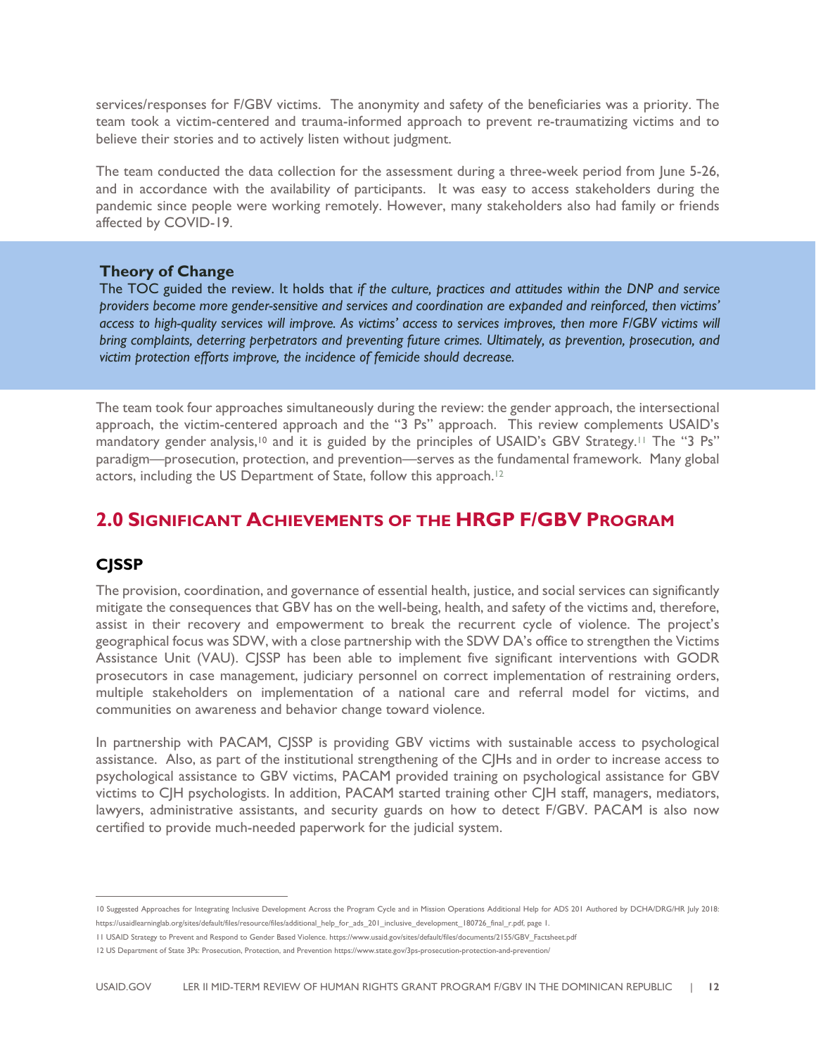services/responses for F/GBV victims. The anonymity and safety of the beneficiaries was a priority. The team took a victim-centered and trauma-informed approach to prevent re-traumatizing victims and to believe their stories and to actively listen without judgment.

The team conducted the data collection for the assessment during a three-week period from June 5-26, and in accordance with the availability of participants. It was easy to access stakeholders during the pandemic since people were working remotely. However, many stakeholders also had family or friends affected by COVID-19.

#### **Theory of Change**

The TOC guided the review. It holds that *if the culture, practices and attitudes within the DNP and service providers become more gender-sensitive and services and coordination are expanded and reinforced, then victims' access to high-quality services will improve. As victims' access to services improves, then more F/GBV victims will bring complaints, deterring perpetrators and preventing future crimes. Ultimately, as prevention, prosecution, and victim protection efforts improve, the incidence of femicide should decrease.*

The team took four approaches simultaneously during the review: the gender approach, the intersectional approach, the victim-centered approach and the "3 Ps" approach. This review complements USAID's mandatory gender analysis,<sup>10</sup> and it is guided by the principles of USAID's GBV Strategy.<sup>11</sup> The "3 Ps" paradigm—prosecution, protection, and prevention—serves as the fundamental framework. Many global actors, including the US Department of State, follow this approach.<sup>12</sup>

### **2.0 SIGNIFICANT ACHIEVEMENTS OF THE HRGP F/GBV PROGRAM**

#### **CJSSP**

The provision, coordination, and governance of essential health, justice, and social services can significantly mitigate the consequences that GBV has on the well-being, health, and safety of the victims and, therefore, assist in their recovery and empowerment to break the recurrent cycle of violence. The project's geographical focus was SDW, with a close partnership with the SDW DA's office to strengthen the Victims Assistance Unit (VAU). CJSSP has been able to implement five significant interventions with GODR prosecutors in case management, judiciary personnel on correct implementation of restraining orders, multiple stakeholders on implementation of a national care and referral model for victims, and communities on awareness and behavior change toward violence.

In partnership with PACAM, CJSSP is providing GBV victims with sustainable access to psychological assistance. Also, as part of the institutional strengthening of the CJHs and in order to increase access to psychological assistance to GBV victims, PACAM provided training on psychological assistance for GBV victims to CJH psychologists. In addition, PACAM started training other CJH staff, managers, mediators, lawyers, administrative assistants, and security guards on how to detect F/GBV. PACAM is also now certified to provide much-needed paperwork for the judicial system.

<sup>10</sup> Suggested Approaches for Integrating Inclusive Development Across the Program Cycle and in Mission Operations Additional Help for ADS 201 Authored by DCHA/DRG/HR July 2018: https://usaidlearninglab.org/sites/default/files/resource/files/additional\_help\_for\_ads\_201\_inclusive\_development\_180726\_final\_r.pdf, page 1.

<sup>11</sup> USAID Strategy to Prevent and Respond to Gender Based Violence. https://www.usaid.gov/sites/default/files/documents/2155/GBV\_Factsheet.pdf

<sup>12</sup> US Department of State 3Ps: Prosecution, Protection, and Prevention https://www.state.gov/3ps-prosecution-protection-and-prevention/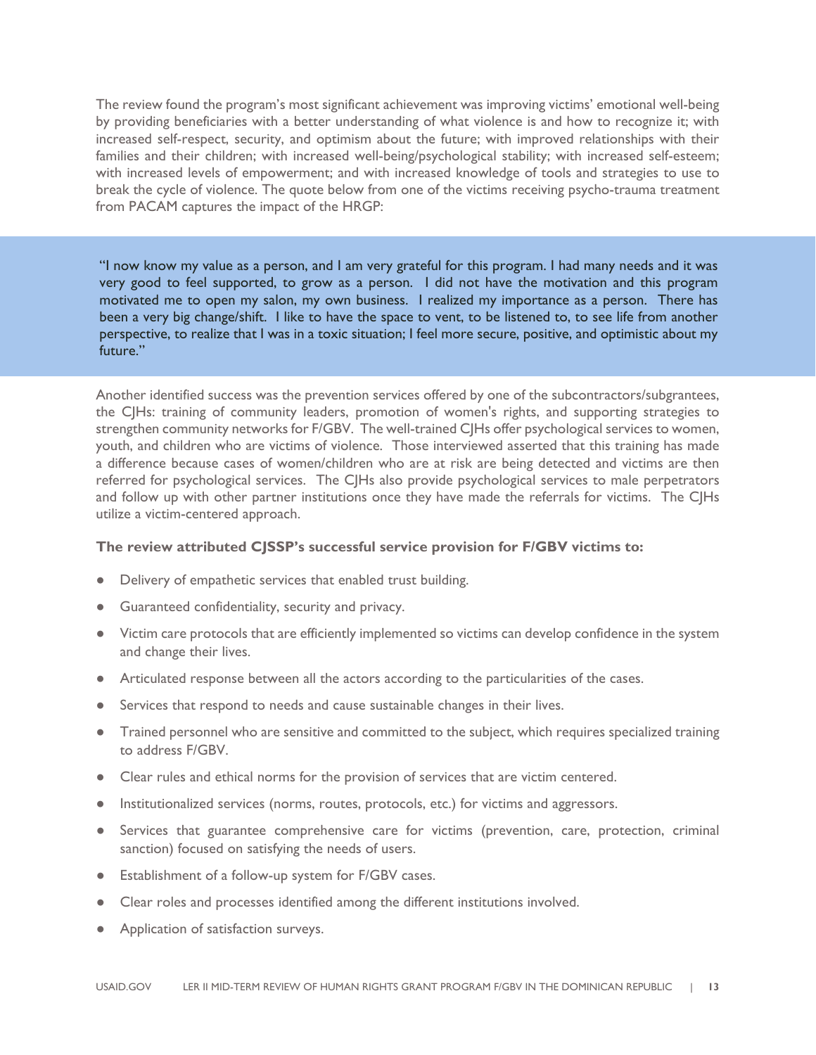The review found the program's most significant achievement was improving victims' emotional well-being by providing beneficiaries with a better understanding of what violence is and how to recognize it; with increased self-respect, security, and optimism about the future; with improved relationships with their families and their children; with increased well-being/psychological stability; with increased self-esteem; with increased levels of empowerment; and with increased knowledge of tools and strategies to use to break the cycle of violence. The quote below from one of the victims receiving psycho-trauma treatment from PACAM captures the impact of the HRGP:

"I now know my value as a person, and I am very grateful for this program. I had many needs and it was very good to feel supported, to grow as a person. I did not have the motivation and this program motivated me to open my salon, my own business. I realized my importance as a person. There has been a very big change/shift. I like to have the space to vent, to be listened to, to see life from another perspective, to realize that I was in a toxic situation; I feel more secure, positive, and optimistic about my future."

Another identified success was the prevention services offered by one of the subcontractors/subgrantees, the CJHs: training of community leaders, promotion of women's rights, and supporting strategies to strengthen community networks for F/GBV. The well-trained CJHs offer psychological services to women, youth, and children who are victims of violence. Those interviewed asserted that this training has made a difference because cases of women/children who are at risk are being detected and victims are then referred for psychological services. The CJHs also provide psychological services to male perpetrators and follow up with other partner institutions once they have made the referrals for victims. The CJHs utilize a victim-centered approach.

#### **The review attributed CJSSP's successful service provision for F/GBV victims to:**

- Delivery of empathetic services that enabled trust building.
- Guaranteed confidentiality, security and privacy.
- Victim care protocols that are efficiently implemented so victims can develop confidence in the system and change their lives.
- Articulated response between all the actors according to the particularities of the cases.
- Services that respond to needs and cause sustainable changes in their lives.
- Trained personnel who are sensitive and committed to the subject, which requires specialized training to address F/GBV.
- Clear rules and ethical norms for the provision of services that are victim centered.
- Institutionalized services (norms, routes, protocols, etc.) for victims and aggressors.
- Services that guarantee comprehensive care for victims (prevention, care, protection, criminal sanction) focused on satisfying the needs of users.
- Establishment of a follow-up system for F/GBV cases.
- Clear roles and processes identified among the different institutions involved.
- Application of satisfaction surveys.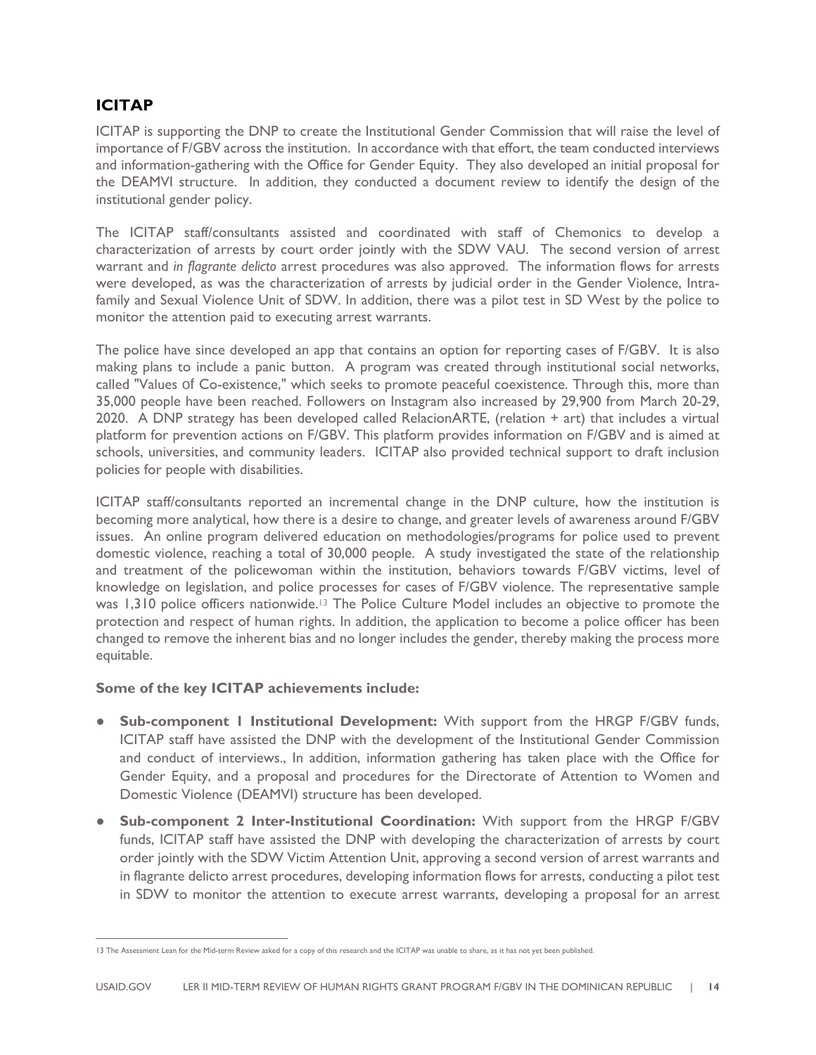### **ICITAP**

ICITAP is supporting the DNP to create the Institutional Gender Commission that will raise the level of importance of F/GBV across the institution. In accordance with that effort, the team conducted interviews and information-gathering with the Office for Gender Equity. They also developed an initial proposal for the DEAMVI structure. In addition, they conducted a document review to identify the design of the institutional gender policy.

The ICITAP staff/consultants assisted and coordinated with staff of Chemonics to develop a characterization of arrests by court order jointly with the SDW VAU. The second version of arrest warrant and *in flagrante delicto* arrest procedures was also approved. The information flows for arrests were developed, as was the characterization of arrests by judicial order in the Gender Violence, Intrafamily and Sexual Violence Unit of SDW. In addition, there was a pilot test in SD West by the police to monitor the attention paid to executing arrest warrants.

The police have since developed an app that contains an option for reporting cases of F/GBV. It is also making plans to include a panic button. A program was created through institutional social networks, called "Values of Co-existence," which seeks to promote peaceful coexistence. Through this, more than 35,000 people have been reached. Followers on Instagram also increased by 29,900 from March 20-29, 2020. A DNP strategy has been developed called RelacionARTE, (relation + art) that includes a virtual platform for prevention actions on F/GBV. This platform provides information on F/GBV and is aimed at schools, universities, and community leaders. ICITAP also provided technical support to draft inclusion policies for people with disabilities.

ICITAP staff/consultants reported an incremental change in the DNP culture, how the institution is becoming more analytical, how there is a desire to change, and greater levels of awareness around F/GBV issues. An online program delivered education on methodologies/programs for police used to prevent domestic violence, reaching a total of 30,000 people. A study investigated the state of the relationship and treatment of the policewoman within the institution, behaviors towards F/GBV victims, level of knowledge on legislation, and police processes for cases of F/GBV violence. The representative sample was 1,310 police officers nationwide.<sup>13</sup> The Police Culture Model includes an objective to promote the protection and respect of human rights. In addition, the application to become a police officer has been changed to remove the inherent bias and no longer includes the gender, thereby making the process more equitable.

#### **Some of the key ICITAP achievements include:**

- **Sub-component 1 Institutional Development:** With support from the HRGP F/GBV funds, ICITAP staff have assisted the DNP with the development of the Institutional Gender Commission and conduct of interviews., In addition, information gathering has taken place with the Office for Gender Equity, and a proposal and procedures for the Directorate of Attention to Women and Domestic Violence (DEAMVI) structure has been developed.
- **Sub-component 2 Inter-Institutional Coordination:** With support from the HRGP F/GBV funds, ICITAP staff have assisted the DNP with developing the characterization of arrests by court order jointly with the SDW Victim Attention Unit, approving a second version of arrest warrants and in flagrante delicto arrest procedures, developing information flows for arrests, conducting a pilot test in SDW to monitor the attention to execute arrest warrants, developing a proposal for an arrest

<sup>13</sup> The Assessment Lean for the Mid-term Review asked for a copy of this research and the ICITAP was unable to share, as it has not yet been published.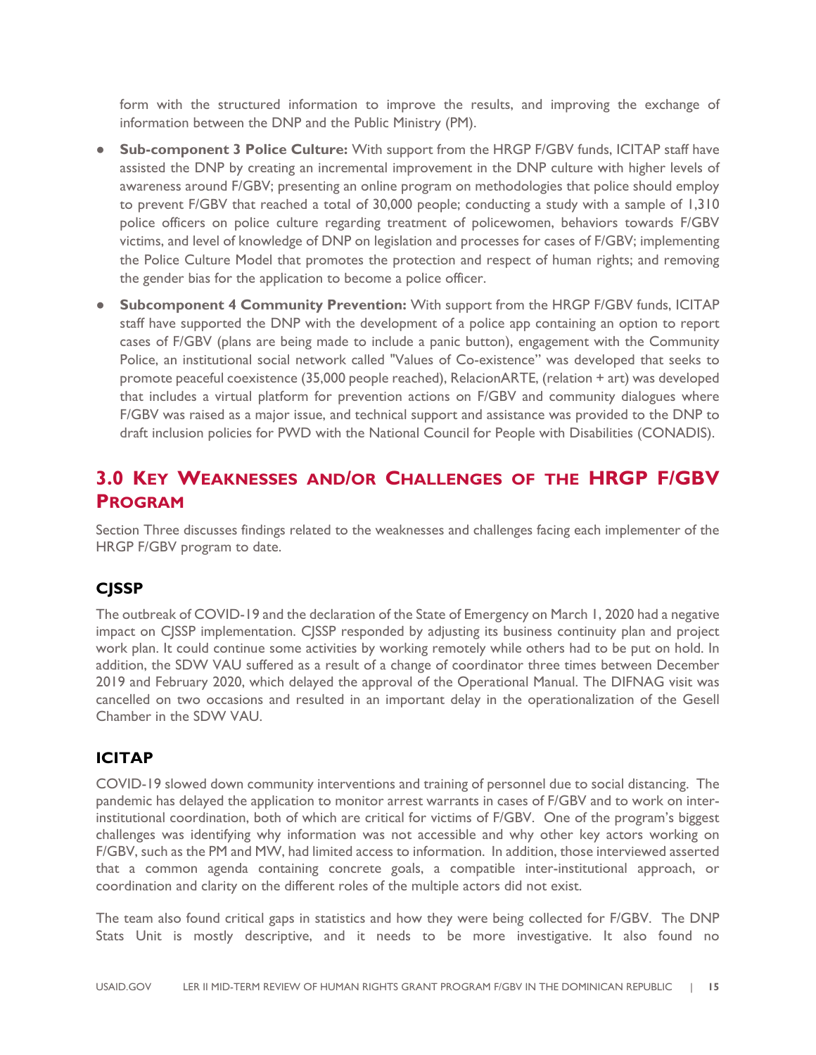form with the structured information to improve the results, and improving the exchange of information between the DNP and the Public Ministry (PM).

- **Sub-component 3 Police Culture:** With support from the HRGP F/GBV funds, ICITAP staff have assisted the DNP by creating an incremental improvement in the DNP culture with higher levels of awareness around F/GBV; presenting an online program on methodologies that police should employ to prevent F/GBV that reached a total of 30,000 people; conducting a study with a sample of 1,310 police officers on police culture regarding treatment of policewomen, behaviors towards F/GBV victims, and level of knowledge of DNP on legislation and processes for cases of F/GBV; implementing the Police Culture Model that promotes the protection and respect of human rights; and removing the gender bias for the application to become a police officer.
- **Subcomponent 4 Community Prevention:** With support from the HRGP F/GBV funds, ICITAP staff have supported the DNP with the development of a police app containing an option to report cases of F/GBV (plans are being made to include a panic button), engagement with the Community Police, an institutional social network called "Values of Co-existence" was developed that seeks to promote peaceful coexistence (35,000 people reached), RelacionARTE, (relation + art) was developed that includes a virtual platform for prevention actions on F/GBV and community dialogues where F/GBV was raised as a major issue, and technical support and assistance was provided to the DNP to draft inclusion policies for PWD with the National Council for People with Disabilities (CONADIS).

### **3.0 KEY WEAKNESSES AND/OR CHALLENGES OF THE HRGP F/GBV PROGRAM**

Section Three discusses findings related to the weaknesses and challenges facing each implementer of the HRGP F/GBV program to date.

#### **CJSSP**

The outbreak of COVID-19 and the declaration of the State of Emergency on March 1, 2020 had a negative impact on CJSSP implementation. CJSSP responded by adjusting its business continuity plan and project work plan. It could continue some activities by working remotely while others had to be put on hold. In addition, the SDW VAU suffered as a result of a change of coordinator three times between December 2019 and February 2020, which delayed the approval of the Operational Manual. The DIFNAG visit was cancelled on two occasions and resulted in an important delay in the operationalization of the Gesell Chamber in the SDW VAU.

#### **ICITAP**

COVID-19 slowed down community interventions and training of personnel due to social distancing. The pandemic has delayed the application to monitor arrest warrants in cases of F/GBV and to work on interinstitutional coordination, both of which are critical for victims of F/GBV. One of the program's biggest challenges was identifying why information was not accessible and why other key actors working on F/GBV, such as the PM and MW, had limited access to information. In addition, those interviewed asserted that a common agenda containing concrete goals, a compatible inter-institutional approach, or coordination and clarity on the different roles of the multiple actors did not exist.

The team also found critical gaps in statistics and how they were being collected for F/GBV. The DNP Stats Unit is mostly descriptive, and it needs to be more investigative. It also found no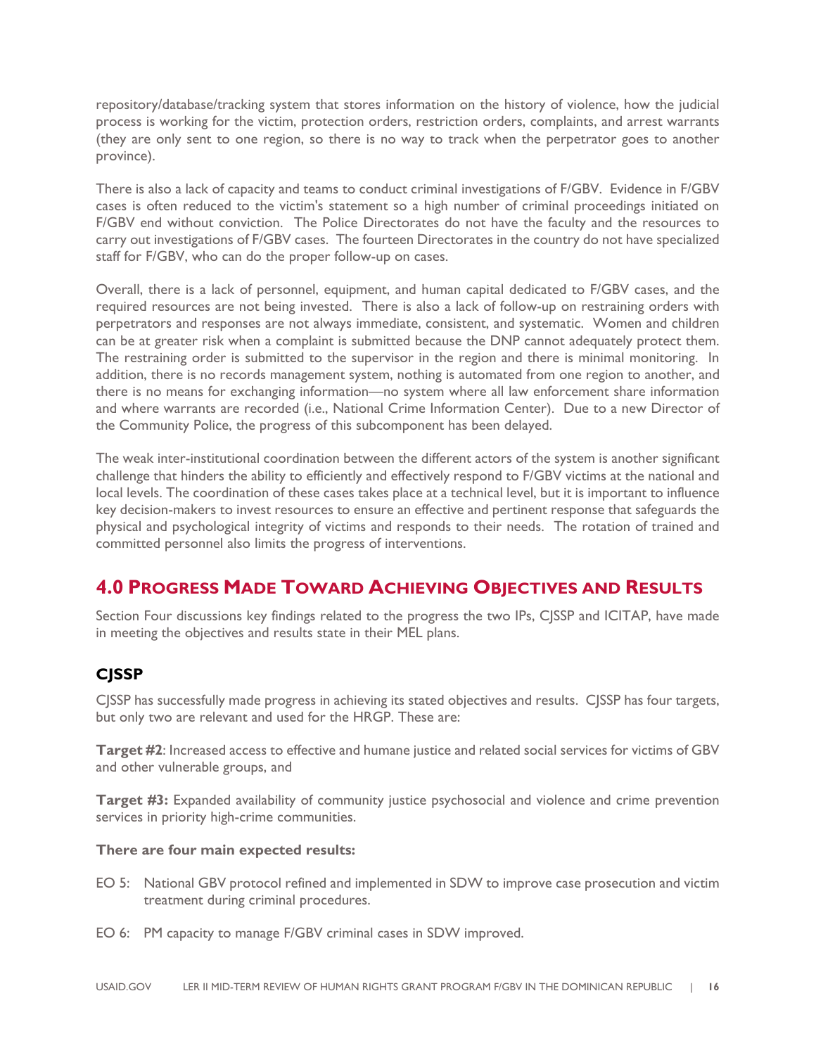repository/database/tracking system that stores information on the history of violence, how the judicial process is working for the victim, protection orders, restriction orders, complaints, and arrest warrants (they are only sent to one region, so there is no way to track when the perpetrator goes to another province).

There is also a lack of capacity and teams to conduct criminal investigations of F/GBV. Evidence in F/GBV cases is often reduced to the victim's statement so a high number of criminal proceedings initiated on F/GBV end without conviction. The Police Directorates do not have the faculty and the resources to carry out investigations of F/GBV cases. The fourteen Directorates in the country do not have specialized staff for F/GBV, who can do the proper follow-up on cases.

Overall, there is a lack of personnel, equipment, and human capital dedicated to F/GBV cases, and the required resources are not being invested. There is also a lack of follow-up on restraining orders with perpetrators and responses are not always immediate, consistent, and systematic. Women and children can be at greater risk when a complaint is submitted because the DNP cannot adequately protect them. The restraining order is submitted to the supervisor in the region and there is minimal monitoring. In addition, there is no records management system, nothing is automated from one region to another, and there is no means for exchanging information—no system where all law enforcement share information and where warrants are recorded (i.e., National Crime Information Center). Due to a new Director of the Community Police, the progress of this subcomponent has been delayed.

The weak inter-institutional coordination between the different actors of the system is another significant challenge that hinders the ability to efficiently and effectively respond to F/GBV victims at the national and local levels. The coordination of these cases takes place at a technical level, but it is important to influence key decision-makers to invest resources to ensure an effective and pertinent response that safeguards the physical and psychological integrity of victims and responds to their needs. The rotation of trained and committed personnel also limits the progress of interventions.

## **4.0 PROGRESS MADE TOWARD ACHIEVING OBJECTIVES AND RESULTS**

Section Four discussions key findings related to the progress the two IPs, CJSSP and ICITAP, have made in meeting the objectives and results state in their MEL plans.

### **CJSSP**

CJSSP has successfully made progress in achieving its stated objectives and results. CJSSP has four targets, but only two are relevant and used for the HRGP. These are:

**Target #2**: Increased access to effective and humane justice and related social services for victims of GBV and other vulnerable groups, and

**Target #3:** Expanded availability of community justice psychosocial and violence and crime prevention services in priority high-crime communities.

#### **There are four main expected results:**

- EO 5: National GBV protocol refined and implemented in SDW to improve case prosecution and victim treatment during criminal procedures.
- EO 6: PM capacity to manage F/GBV criminal cases in SDW improved.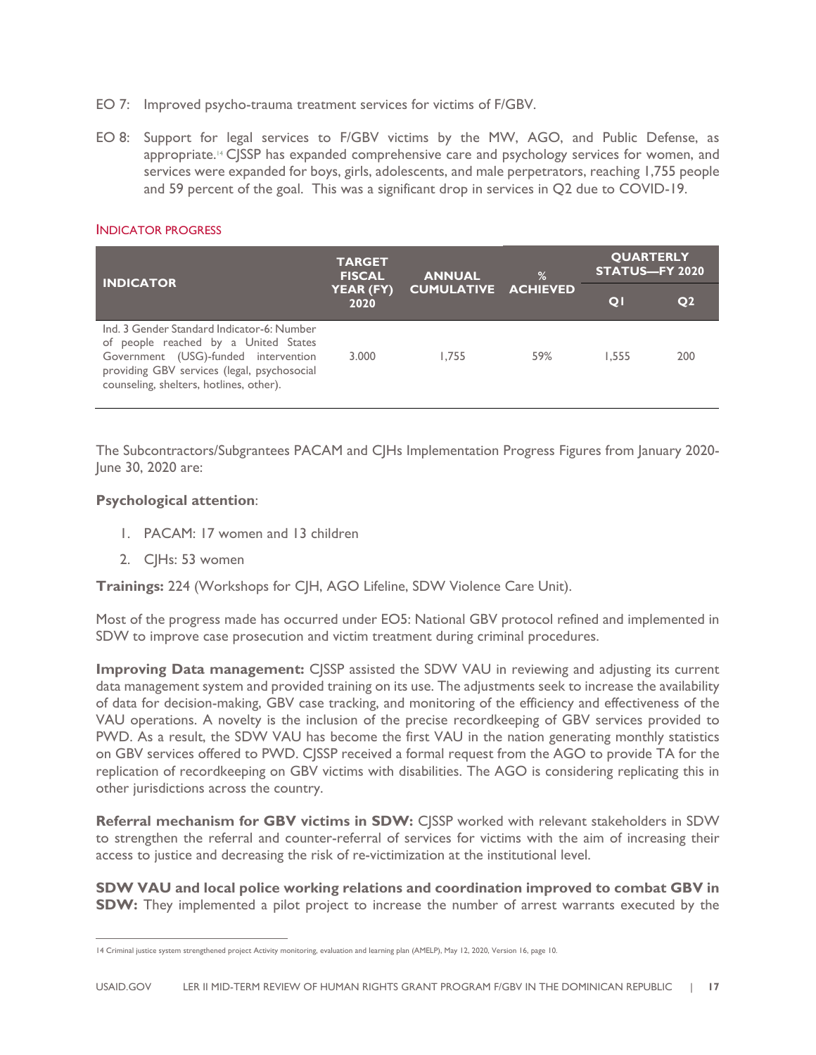- EO 7: Improved psycho-trauma treatment services for victims of F/GBV.
- EO 8: Support for legal services to F/GBV victims by the MW, AGO, and Public Defense, as appropriate.<sup>14</sup> CJSSP has expanded comprehensive care and psychology services for women, and services were expanded for boys, girls, adolescents, and male perpetrators, reaching 1,755 people and 59 percent of the goal. This was a significant drop in services in Q2 due to COVID-19.

| <b>INDICATOR PROGRESS</b> |  |
|---------------------------|--|
|---------------------------|--|

| <b>INDICATOR</b>                                                                                                                                                                                                     | <b>TARGET</b><br><b>FISCAL</b><br><b>ANNUAL</b><br>YEAR (FY)<br>2020 |       | $\%$                       | <b>QUARTERLY</b><br><b>STATUS-FY 2020</b> |                |
|----------------------------------------------------------------------------------------------------------------------------------------------------------------------------------------------------------------------|----------------------------------------------------------------------|-------|----------------------------|-------------------------------------------|----------------|
|                                                                                                                                                                                                                      |                                                                      |       | <b>CUMULATIVE ACHIEVED</b> |                                           | Q <sub>2</sub> |
| Ind. 3 Gender Standard Indicator-6: Number<br>of people reached by a United States<br>Government (USG)-funded intervention<br>providing GBV services (legal, psychosocial<br>counseling, shelters, hotlines, other). | 3.000                                                                | 1.755 | 59%                        | 1.555                                     | 200            |

The Subcontractors/Subgrantees PACAM and CJHs Implementation Progress Figures from January 2020- June 30, 2020 are:

#### **Psychological attention**:

- 1. PACAM: 17 women and 13 children
- 2. CJHs: 53 women

**Trainings:** 224 (Workshops for CJH, AGO Lifeline, SDW Violence Care Unit).

Most of the progress made has occurred under EO5: National GBV protocol refined and implemented in SDW to improve case prosecution and victim treatment during criminal procedures.

**Improving Data management:** CSSP assisted the SDW VAU in reviewing and adjusting its current data management system and provided training on its use. The adjustments seek to increase the availability of data for decision-making, GBV case tracking, and monitoring of the efficiency and effectiveness of the VAU operations. A novelty is the inclusion of the precise recordkeeping of GBV services provided to PWD. As a result, the SDW VAU has become the first VAU in the nation generating monthly statistics on GBV services offered to PWD. CJSSP received a formal request from the AGO to provide TA for the replication of recordkeeping on GBV victims with disabilities. The AGO is considering replicating this in other jurisdictions across the country.

**Referral mechanism for GBV victims in SDW:** CJSSP worked with relevant stakeholders in SDW to strengthen the referral and counter-referral of services for victims with the aim of increasing their access to justice and decreasing the risk of re-victimization at the institutional level.

**SDW VAU and local police working relations and coordination improved to combat GBV in SDW:** They implemented a pilot project to increase the number of arrest warrants executed by the

<sup>14</sup> Criminal justice system strengthened project Activity monitoring, evaluation and learning plan (AMELP), May 12, 2020, Version 16, page 10.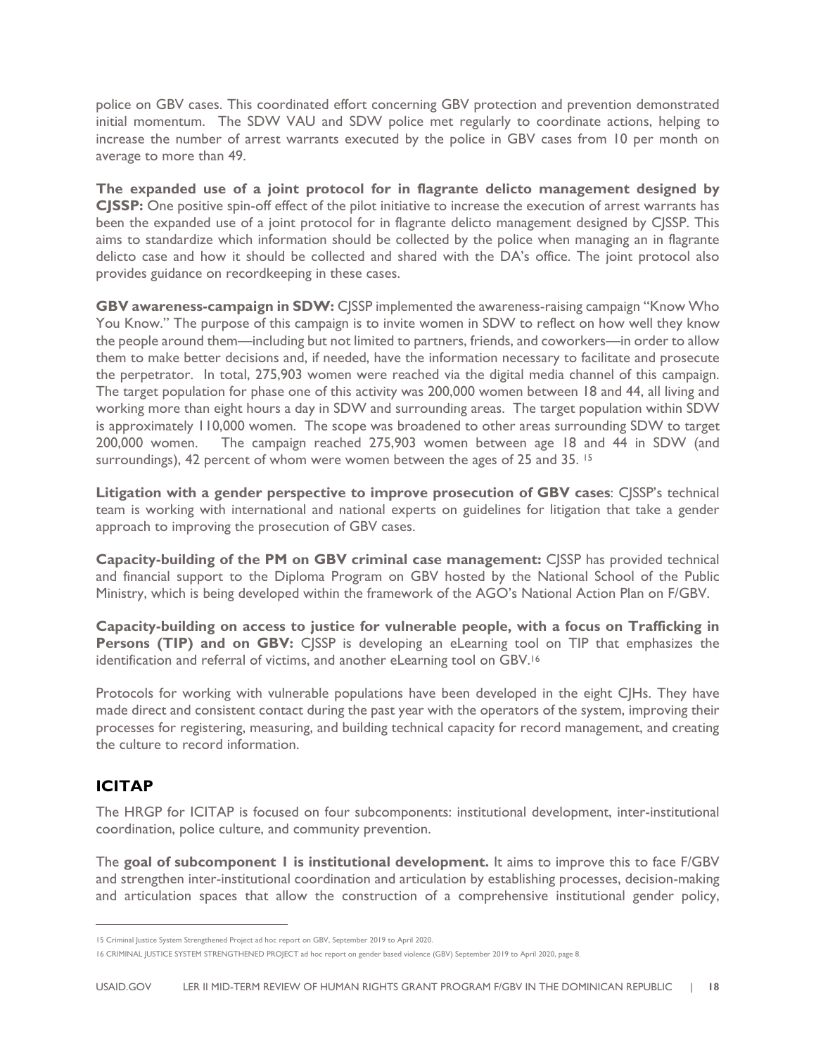police on GBV cases. This coordinated effort concerning GBV protection and prevention demonstrated initial momentum. The SDW VAU and SDW police met regularly to coordinate actions, helping to increase the number of arrest warrants executed by the police in GBV cases from 10 per month on average to more than 49.

**The expanded use of a joint protocol for in flagrante delicto management designed by CJSSP:** One positive spin-off effect of the pilot initiative to increase the execution of arrest warrants has been the expanded use of a joint protocol for in flagrante delicto management designed by CJSSP. This aims to standardize which information should be collected by the police when managing an in flagrante delicto case and how it should be collected and shared with the DA's office. The joint protocol also provides guidance on recordkeeping in these cases.

**GBV awareness-campaign in SDW:** CJSSP implemented the awareness-raising campaign "Know Who You Know." The purpose of this campaign is to invite women in SDW to reflect on how well they know the people around them—including but not limited to partners, friends, and coworkers—in order to allow them to make better decisions and, if needed, have the information necessary to facilitate and prosecute the perpetrator. In total, 275,903 women were reached via the digital media channel of this campaign. The target population for phase one of this activity was 200,000 women between 18 and 44, all living and working more than eight hours a day in SDW and surrounding areas. The target population within SDW is approximately 110,000 women. The scope was broadened to other areas surrounding SDW to target 200,000 women. The campaign reached 275,903 women between age 18 and 44 in SDW (and surroundings), 42 percent of whom were women between the ages of 25 and 35. <sup>15</sup>

**Litigation with a gender perspective to improve prosecution of GBV cases**: CJSSP's technical team is working with international and national experts on guidelines for litigation that take a gender approach to improving the prosecution of GBV cases.

**Capacity-building of the PM on GBV criminal case management:** CJSSP has provided technical and financial support to the Diploma Program on GBV hosted by the National School of the Public Ministry, which is being developed within the framework of the AGO's National Action Plan on F/GBV.

**Capacity-building on access to justice for vulnerable people, with a focus on Trafficking in Persons (TIP) and on GBV:** CSSP is developing an eLearning tool on TIP that emphasizes the identification and referral of victims, and another eLearning tool on GBV.16

Protocols for working with vulnerable populations have been developed in the eight CJHs. They have made direct and consistent contact during the past year with the operators of the system, improving their processes for registering, measuring, and building technical capacity for record management, and creating the culture to record information.

### **ICITAP**

The HRGP for ICITAP is focused on four subcomponents: institutional development, inter-institutional coordination, police culture, and community prevention.

The **goal of subcomponent 1 is institutional development.** It aims to improve this to face F/GBV and strengthen inter-institutional coordination and articulation by establishing processes, decision-making and articulation spaces that allow the construction of a comprehensive institutional gender policy,

<sup>15</sup> Criminal Justice System Strengthened Project ad hoc report on GBV, September 2019 to April 2020.

<sup>16</sup> CRIMINAL JUSTICE SYSTEM STRENGTHENED PROJECT ad hoc report on gender based violence (GBV) September 2019 to April 2020, page 8.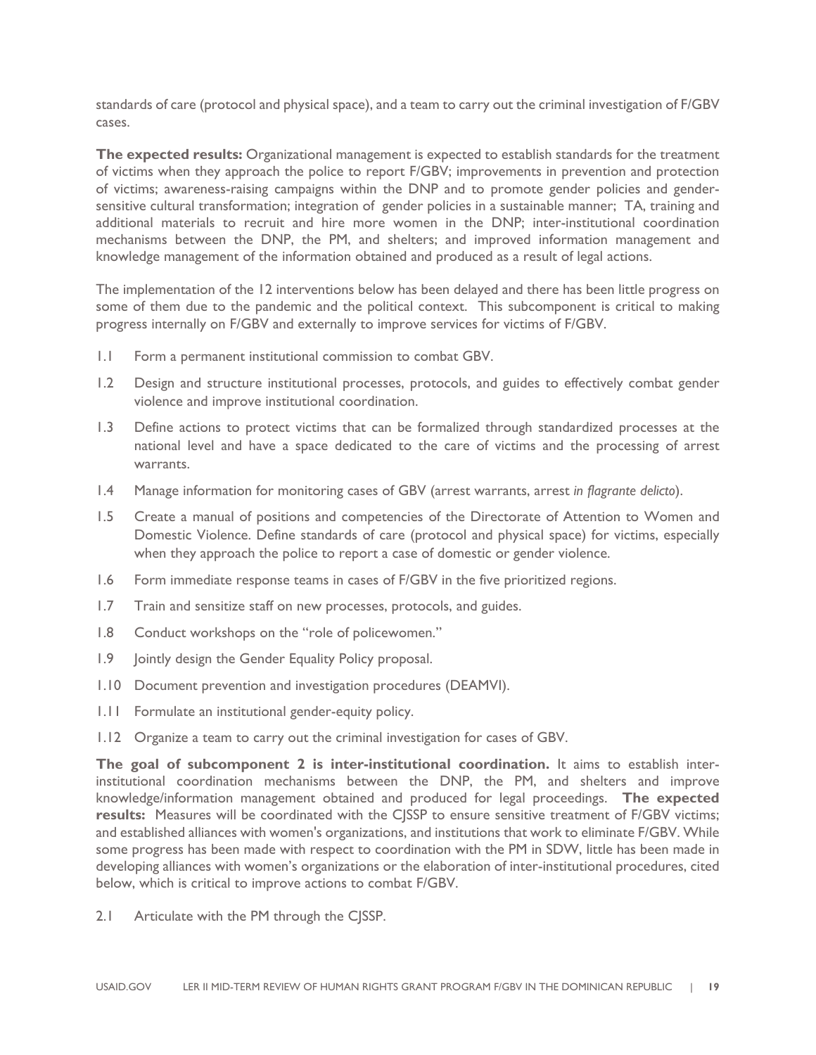standards of care (protocol and physical space), and a team to carry out the criminal investigation of F/GBV cases.

**The expected results:** Organizational management is expected to establish standards for the treatment of victims when they approach the police to report F/GBV; improvements in prevention and protection of victims; awareness-raising campaigns within the DNP and to promote gender policies and gendersensitive cultural transformation; integration of gender policies in a sustainable manner; TA, training and additional materials to recruit and hire more women in the DNP; inter-institutional coordination mechanisms between the DNP, the PM, and shelters; and improved information management and knowledge management of the information obtained and produced as a result of legal actions.

The implementation of the 12 interventions below has been delayed and there has been little progress on some of them due to the pandemic and the political context. This subcomponent is critical to making progress internally on F/GBV and externally to improve services for victims of F/GBV.

- 1.1 Form a permanent institutional commission to combat GBV.
- 1.2 Design and structure institutional processes, protocols, and guides to effectively combat gender violence and improve institutional coordination.
- 1.3 Define actions to protect victims that can be formalized through standardized processes at the national level and have a space dedicated to the care of victims and the processing of arrest warrants.
- 1.4 Manage information for monitoring cases of GBV (arrest warrants, arrest *in flagrante delicto*).
- 1.5 Create a manual of positions and competencies of the Directorate of Attention to Women and Domestic Violence. Define standards of care (protocol and physical space) for victims, especially when they approach the police to report a case of domestic or gender violence.
- 1.6 Form immediate response teams in cases of F/GBV in the five prioritized regions.
- 1.7 Train and sensitize staff on new processes, protocols, and guides.
- 1.8 Conduct workshops on the "role of policewomen."
- 1.9 Jointly design the Gender Equality Policy proposal.
- 1.10 Document prevention and investigation procedures (DEAMVI).
- 1.11 Formulate an institutional gender-equity policy.
- 1.12 Organize a team to carry out the criminal investigation for cases of GBV.

**The goal of subcomponent 2 is inter-institutional coordination.** It aims to establish interinstitutional coordination mechanisms between the DNP, the PM, and shelters and improve knowledge/information management obtained and produced for legal proceedings. **The expected results:** Measures will be coordinated with the CJSSP to ensure sensitive treatment of F/GBV victims; and established alliances with women's organizations, and institutions that work to eliminate F/GBV. While some progress has been made with respect to coordination with the PM in SDW, little has been made in developing alliances with women's organizations or the elaboration of inter-institutional procedures, cited below, which is critical to improve actions to combat F/GBV.

2.1 Articulate with the PM through the CJSSP.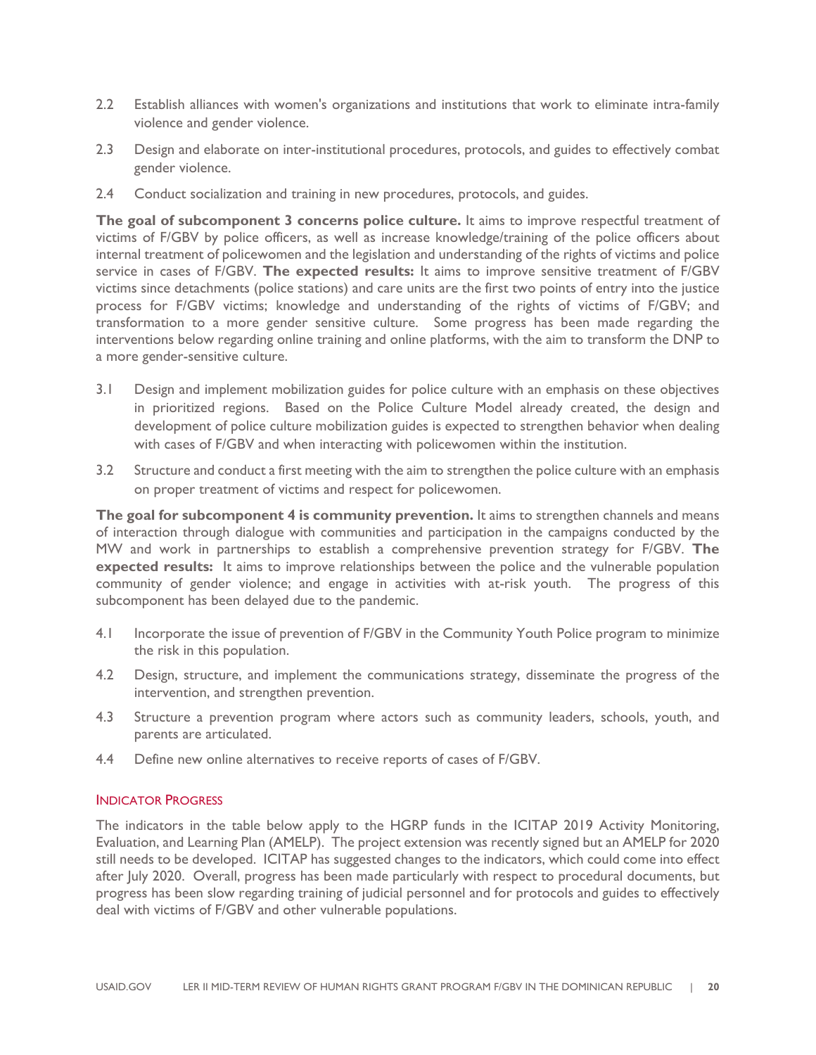- 2.2 Establish alliances with women's organizations and institutions that work to eliminate intra-family violence and gender violence.
- 2.3 Design and elaborate on inter-institutional procedures, protocols, and guides to effectively combat gender violence.
- 2.4 Conduct socialization and training in new procedures, protocols, and guides.

**The goal of subcomponent 3 concerns police culture.** It aims to improve respectful treatment of victims of F/GBV by police officers, as well as increase knowledge/training of the police officers about internal treatment of policewomen and the legislation and understanding of the rights of victims and police service in cases of F/GBV. **The expected results:** It aims to improve sensitive treatment of F/GBV victims since detachments (police stations) and care units are the first two points of entry into the justice process for F/GBV victims; knowledge and understanding of the rights of victims of F/GBV; and transformation to a more gender sensitive culture. Some progress has been made regarding the interventions below regarding online training and online platforms, with the aim to transform the DNP to a more gender-sensitive culture.

- 3.1 Design and implement mobilization guides for police culture with an emphasis on these objectives in prioritized regions. Based on the Police Culture Model already created, the design and development of police culture mobilization guides is expected to strengthen behavior when dealing with cases of F/GBV and when interacting with policewomen within the institution.
- 3.2 Structure and conduct a first meeting with the aim to strengthen the police culture with an emphasis on proper treatment of victims and respect for policewomen.

**The goal for subcomponent 4 is community prevention.** It aims to strengthen channels and means of interaction through dialogue with communities and participation in the campaigns conducted by the MW and work in partnerships to establish a comprehensive prevention strategy for F/GBV. **The expected results:** It aims to improve relationships between the police and the vulnerable population community of gender violence; and engage in activities with at-risk youth.The progress of this subcomponent has been delayed due to the pandemic.

- 4.1 Incorporate the issue of prevention of F/GBV in the Community Youth Police program to minimize the risk in this population.
- 4.2 Design, structure, and implement the communications strategy, disseminate the progress of the intervention, and strengthen prevention.
- 4.3 Structure a prevention program where actors such as community leaders, schools, youth, and parents are articulated.
- 4.4 Define new online alternatives to receive reports of cases of F/GBV.

#### INDICATOR PROGRESS

The indicators in the table below apply to the HGRP funds in the ICITAP 2019 Activity Monitoring, Evaluation, and Learning Plan (AMELP). The project extension was recently signed but an AMELP for 2020 still needs to be developed. ICITAP has suggested changes to the indicators, which could come into effect after July 2020. Overall, progress has been made particularly with respect to procedural documents, but progress has been slow regarding training of judicial personnel and for protocols and guides to effectively deal with victims of F/GBV and other vulnerable populations.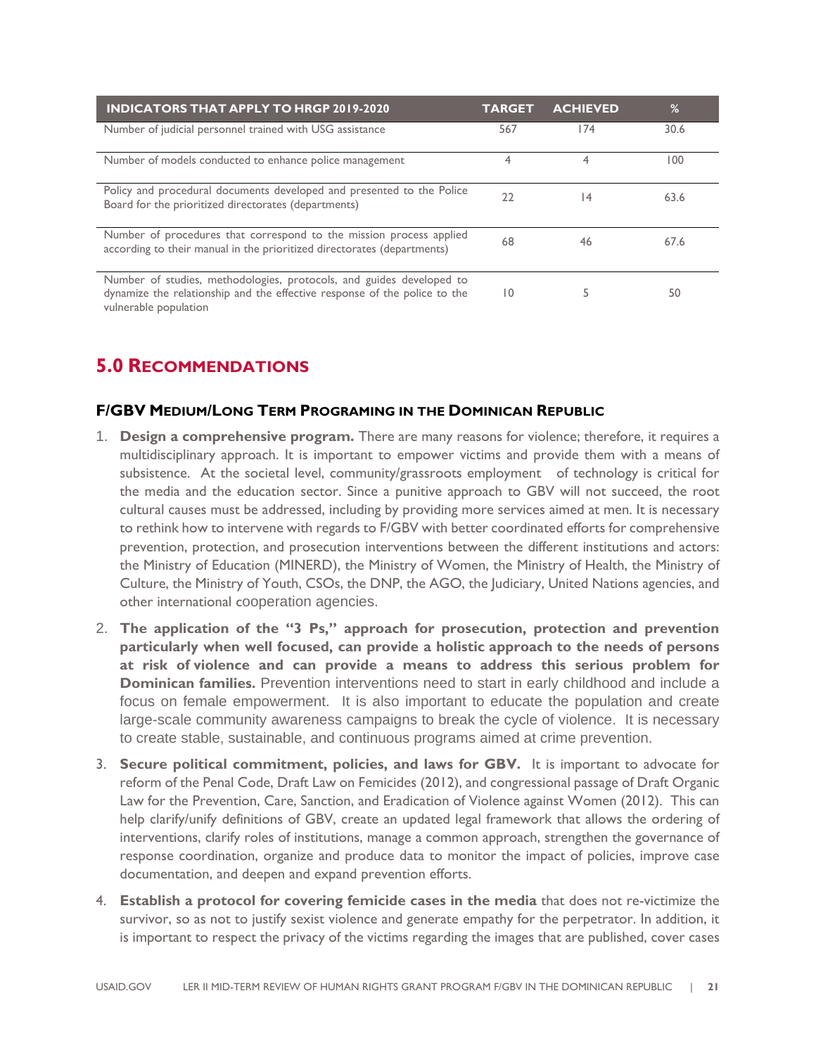| <b>INDICATORS THAT APPLY TO HRGP 2019-2020</b>                                                                                                                             | <b>TARGET</b>   | <b>ACHIEVED</b> | %    |
|----------------------------------------------------------------------------------------------------------------------------------------------------------------------------|-----------------|-----------------|------|
| Number of judicial personnel trained with USG assistance                                                                                                                   | 567             | 174             | 30.6 |
| Number of models conducted to enhance police management                                                                                                                    | 4               |                 | 100  |
| Policy and procedural documents developed and presented to the Police<br>Board for the prioritized directorates (departments)                                              | 22              | $\overline{14}$ | 63.6 |
| Number of procedures that correspond to the mission process applied<br>according to their manual in the prioritized directorates (departments)                             | 68              | 46              | 67.6 |
| Number of studies, methodologies, protocols, and guides developed to<br>dynamize the relationship and the effective response of the police to the<br>vulnerable population | $\overline{10}$ | 5               | 50   |

### **5.0 RECOMMENDATIONS**

#### **F/GBV MEDIUM/LONG TERM PROGRAMING IN THE DOMINICAN REPUBLIC**

- 1. **Design a comprehensive program.** There are many reasons for violence; therefore, it requires a multidisciplinary approach. It is important to empower victims and provide them with a means of subsistence. At the societal level, community/grassroots employment of technology is critical for the media and the education sector. Since a punitive approach to GBV will not succeed, the root cultural causes must be addressed, including by providing more services aimed at men. It is necessary to rethink how to intervene with regards to F/GBV with better coordinated efforts for comprehensive prevention, protection, and prosecution interventions between the different institutions and actors: the Ministry of Education (MINERD), the Ministry of Women, the Ministry of Health, the Ministry of Culture, the Ministry of Youth, CSOs, the DNP, the AGO, the Judiciary, United Nations agencies, and other international cooperation agencies.
- 2. **The application of the "3 Ps," approach for prosecution, protection and prevention particularly when well focused, can provide a holistic approach to the needs of persons at risk of violence and can provide a means to address this serious problem for Dominican families.** Prevention interventions need to start in early childhood and include a focus on female empowerment. It is also important to educate the population and create large-scale community awareness campaigns to break the cycle of violence. It is necessary to create stable, sustainable, and continuous programs aimed at crime prevention.
- 3. **Secure political commitment, policies, and laws for GBV.** It is important to advocate for reform of the Penal Code, Draft Law on Femicides (2012), and congressional passage of Draft Organic Law for the Prevention, Care, Sanction, and Eradication of Violence against Women (2012). This can help clarify/unify definitions of GBV, create an updated legal framework that allows the ordering of interventions, clarify roles of institutions, manage a common approach, strengthen the governance of response coordination, organize and produce data to monitor the impact of policies, improve case documentation, and deepen and expand prevention efforts.
- 4. **Establish a protocol for covering femicide cases in the media** that does not re-victimize the survivor, so as not to justify sexist violence and generate empathy for the perpetrator. In addition, it is important to respect the privacy of the victims regarding the images that are published, cover cases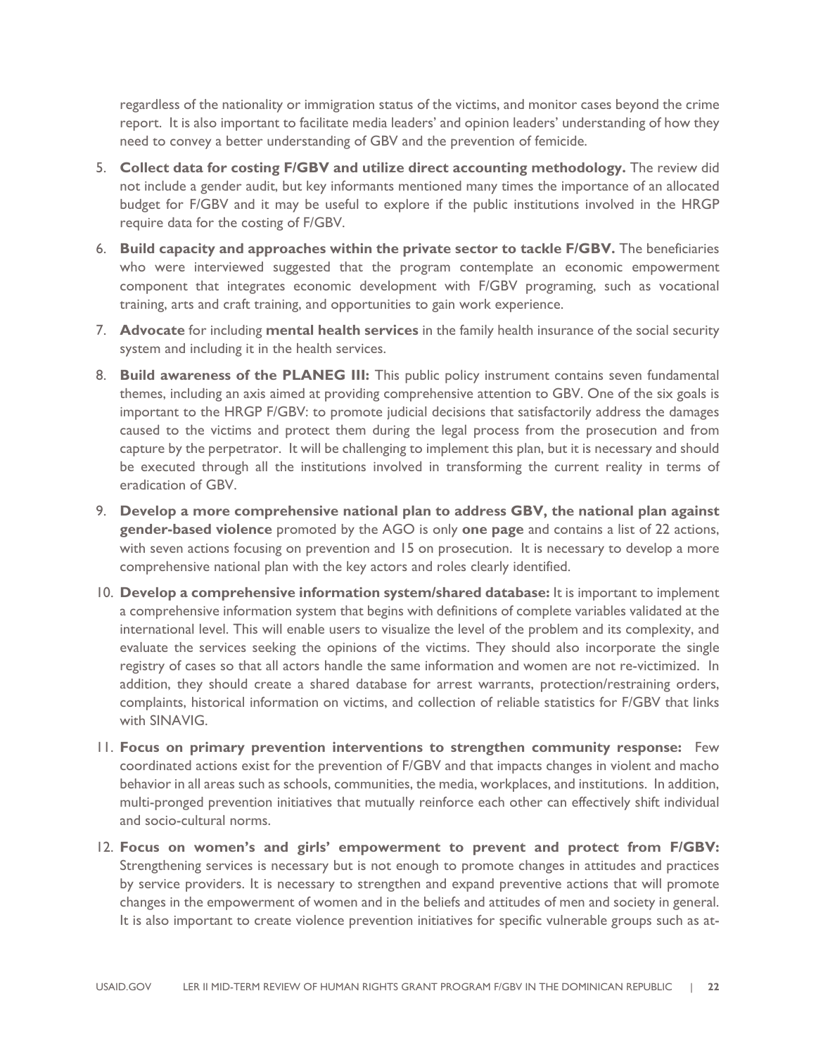regardless of the nationality or immigration status of the victims, and monitor cases beyond the crime report.It is also important to facilitate media leaders' and opinion leaders' understanding of how they need to convey a better understanding of GBV and the prevention of femicide.

- 5. **Collect data for costing F/GBV and utilize direct accounting methodology.** The review did not include a gender audit, but key informants mentioned many times the importance of an allocated budget for F/GBV and it may be useful to explore if the public institutions involved in the HRGP require data for the costing of F/GBV.
- 6. **Build capacity and approaches within the private sector to tackle F/GBV.** The beneficiaries who were interviewed suggested that the program contemplate an economic empowerment component that integrates economic development with F/GBV programing, such as vocational training, arts and craft training, and opportunities to gain work experience.
- 7. **Advocate** for including **mental health services** in the family health insurance of the social security system and including it in the health services.
- 8. **Build awareness of the PLANEG III:** This public policy instrument contains seven fundamental themes, including an axis aimed at providing comprehensive attention to GBV. One of the six goals is important to the HRGP F/GBV: to promote judicial decisions that satisfactorily address the damages caused to the victims and protect them during the legal process from the prosecution and from capture by the perpetrator. It will be challenging to implement this plan, but it is necessary and should be executed through all the institutions involved in transforming the current reality in terms of eradication of GBV.
- 9. **Develop a more comprehensive national plan to address GBV, the national plan against gender-based violence** promoted by the AGO is only **one page** and contains a list of 22 actions, with seven actions focusing on prevention and 15 on prosecution. It is necessary to develop a more comprehensive national plan with the key actors and roles clearly identified.
- 10. **Develop a comprehensive information system/shared database:** It is important to implement a comprehensive information system that begins with definitions of complete variables validated at the international level. This will enable users to visualize the level of the problem and its complexity, and evaluate the services seeking the opinions of the victims. They should also incorporate the single registry of cases so that all actors handle the same information and women are not re-victimized. In addition, they should create a shared database for arrest warrants, protection/restraining orders, complaints, historical information on victims, and collection of reliable statistics for F/GBV that links with SINAVIG.
- 11. **Focus on primary prevention interventions to strengthen community response:** Few coordinated actions exist for the prevention of F/GBV and that impacts changes in violent and macho behavior in all areas such as schools, communities, the media, workplaces, and institutions. In addition, multi-pronged prevention initiatives that mutually reinforce each other can effectively shift individual and socio-cultural norms.
- 12. **Focus on women's and girls' empowerment to prevent and protect from F/GBV:** Strengthening services is necessary but is not enough to promote changes in attitudes and practices by service providers. It is necessary to strengthen and expand preventive actions that will promote changes in the empowerment of women and in the beliefs and attitudes of men and society in general. It is also important to create violence prevention initiatives for specific vulnerable groups such as at-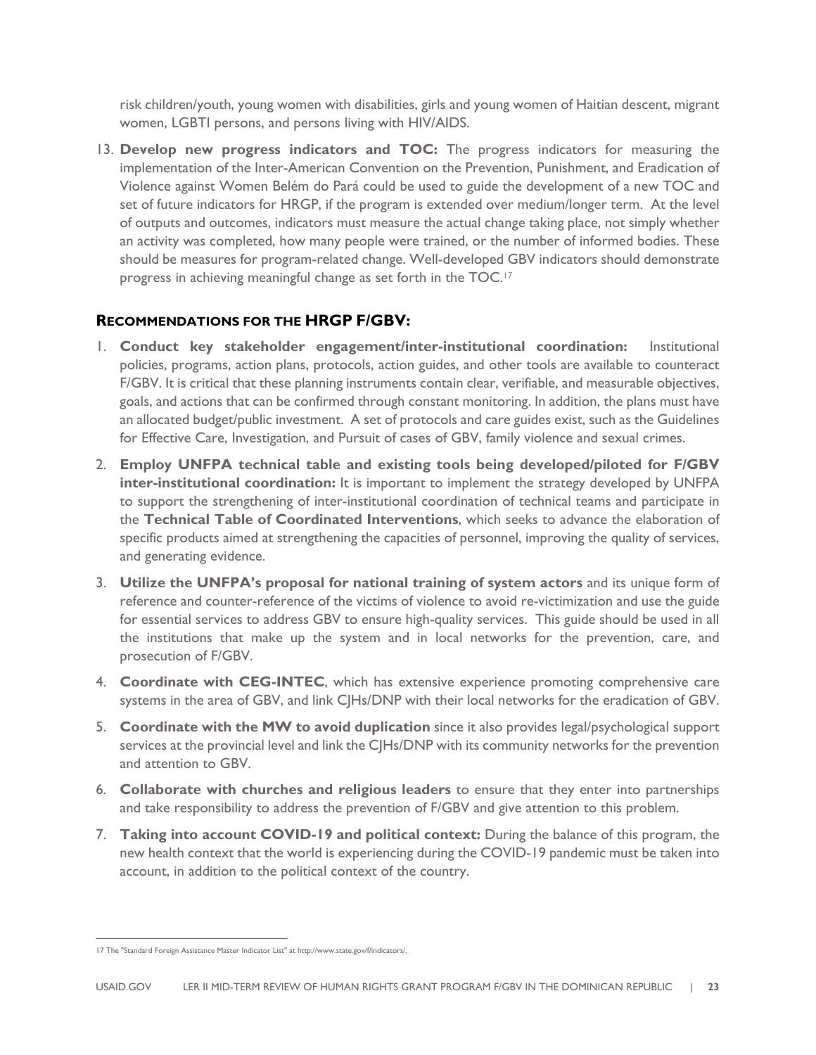risk children/youth, young women with disabilities, girls and young women of Haitian descent, migrant women, LGBTI persons, and persons living with HIV/AIDS.

13. **Develop new progress indicators and TOC:** The progress indicators for measuring the implementation of the Inter-American Convention on the Prevention, Punishment, and Eradication of Violence against Women Belém do Pará could be used to guide the development of a new TOC and set of future indicators for HRGP, if the program is extended over medium/longer term. At the level of outputs and outcomes, indicators must measure the actual change taking place, not simply whether an activity was completed, how many people were trained, or the number of informed bodies. These should be measures for program-related change. Well-developed GBV indicators should demonstrate progress in achieving meaningful change as set forth in the TOC.<sup>17</sup>

#### **RECOMMENDATIONS FOR THE HRGP F/GBV:**

- 1. **Conduct key stakeholder engagement/inter-institutional coordination:** Institutional policies, programs, action plans, protocols, action guides, and other tools are available to counteract F/GBV. It is critical that these planning instruments contain clear, verifiable, and measurable objectives, goals, and actions that can be confirmed through constant monitoring. In addition, the plans must have an allocated budget/public investment. A set of protocols and care guides exist, such as the Guidelines for Effective Care, Investigation, and Pursuit of cases of GBV, family violence and sexual crimes.
- 2. **Employ UNFPA technical table and existing tools being developed/piloted for F/GBV inter-institutional coordination:** It is important to implement the strategy developed by UNFPA to support the strengthening of inter-institutional coordination of technical teams and participate in the **Technical Table of Coordinated Interventions**, which seeks to advance the elaboration of specific products aimed at strengthening the capacities of personnel, improving the quality of services, and generating evidence.
- 3. **Utilize the UNFPA's proposal for national training of system actors** and its unique form of reference and counter-reference of the victims of violence to avoid re-victimization and use the guide for essential services to address GBV to ensure high-quality services. This guide should be used in all the institutions that make up the system and in local networks for the prevention, care, and prosecution of F/GBV.
- 4. **Coordinate with CEG-INTEC**, which has extensive experience promoting comprehensive care systems in the area of GBV, and link CJHs/DNP with their local networks for the eradication of GBV.
- 5. **Coordinate with the MW to avoid duplication** since it also provides legal/psychological support services at the provincial level and link the CJHs/DNP with its community networks for the prevention and attention to GBV.
- 6. **Collaborate with churches and religious leaders** to ensure that they enter into partnerships and take responsibility to address the prevention of F/GBV and give attention to this problem.
- 7. **Taking into account COVID-19 and political context:** During the balance of this program, the new health context that the world is experiencing during the COVID-19 pandemic must be taken into account, in addition to the political context of the country.

<sup>17</sup> The "Standard Foreign Assistance Master Indicator List" at http://www.state.gov/f/indicators/.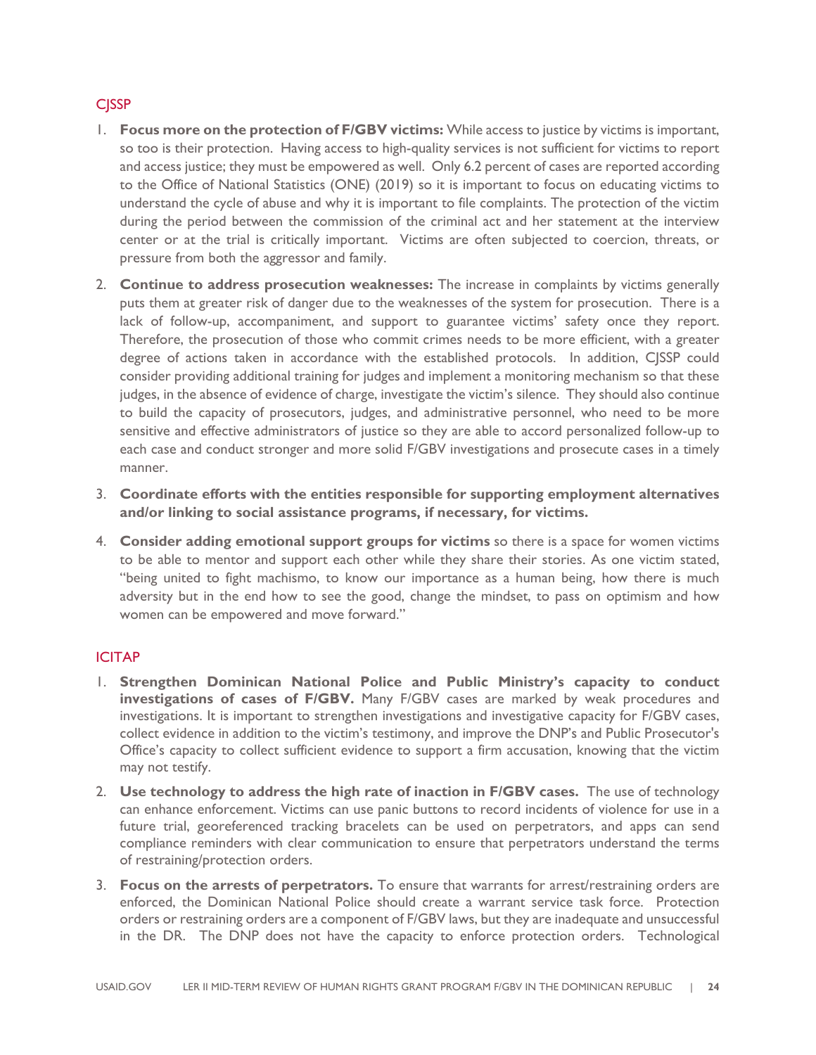#### **C**<sub>I</sub>SSP

- 1. **Focus more on the protection of F/GBV victims:** While access to justice by victims is important, so too is their protection. Having access to high-quality services is not sufficient for victims to report and access justice; they must be empowered as well. Only 6.2 percent of cases are reported according to the Office of National Statistics (ONE) (2019) so it is important to focus on educating victims to understand the cycle of abuse and why it is important to file complaints. The protection of the victim during the period between the commission of the criminal act and her statement at the interview center or at the trial is critically important. Victims are often subjected to coercion, threats, or pressure from both the aggressor and family.
- 2. **Continue to address prosecution weaknesses:** The increase in complaints by victims generally puts them at greater risk of danger due to the weaknesses of the system for prosecution. There is a lack of follow-up, accompaniment, and support to guarantee victims' safety once they report. Therefore, the prosecution of those who commit crimes needs to be more efficient, with a greater degree of actions taken in accordance with the established protocols. In addition, CJSSP could consider providing additional training for judges and implement a monitoring mechanism so that these judges, in the absence of evidence of charge, investigate the victim's silence. They should also continue to build the capacity of prosecutors, judges, and administrative personnel, who need to be more sensitive and effective administrators of justice so they are able to accord personalized follow-up to each case and conduct stronger and more solid F/GBV investigations and prosecute cases in a timely manner.
- 3. **Coordinate efforts with the entities responsible for supporting employment alternatives and/or linking to social assistance programs, if necessary, for victims.**
- 4. **Consider adding emotional support groups for victims** so there is a space for women victims to be able to mentor and support each other while they share their stories. As one victim stated, "being united to fight machismo, to know our importance as a human being, how there is much adversity but in the end how to see the good, change the mindset, to pass on optimism and how women can be empowered and move forward."

#### ICITAP

- 1. **Strengthen Dominican National Police and Public Ministry's capacity to conduct investigations of cases of F/GBV.** Many F/GBV cases are marked by weak procedures and investigations. It is important to strengthen investigations and investigative capacity for F/GBV cases, collect evidence in addition to the victim's testimony, and improve the DNP's and Public Prosecutor's Office's capacity to collect sufficient evidence to support a firm accusation, knowing that the victim may not testify.
- 2. **Use technology to address the high rate of inaction in F/GBV cases.** The use of technology can enhance enforcement. Victims can use panic buttons to record incidents of violence for use in a future trial, georeferenced tracking bracelets can be used on perpetrators, and apps can send compliance reminders with clear communication to ensure that perpetrators understand the terms of restraining/protection orders.
- 3. **Focus on the arrests of perpetrators.** To ensure that warrants for arrest/restraining orders are enforced, the Dominican National Police should create a warrant service task force. Protection orders or restraining orders are a component of F/GBV laws, but they are inadequate and unsuccessful in the DR. The DNP does not have the capacity to enforce protection orders. Technological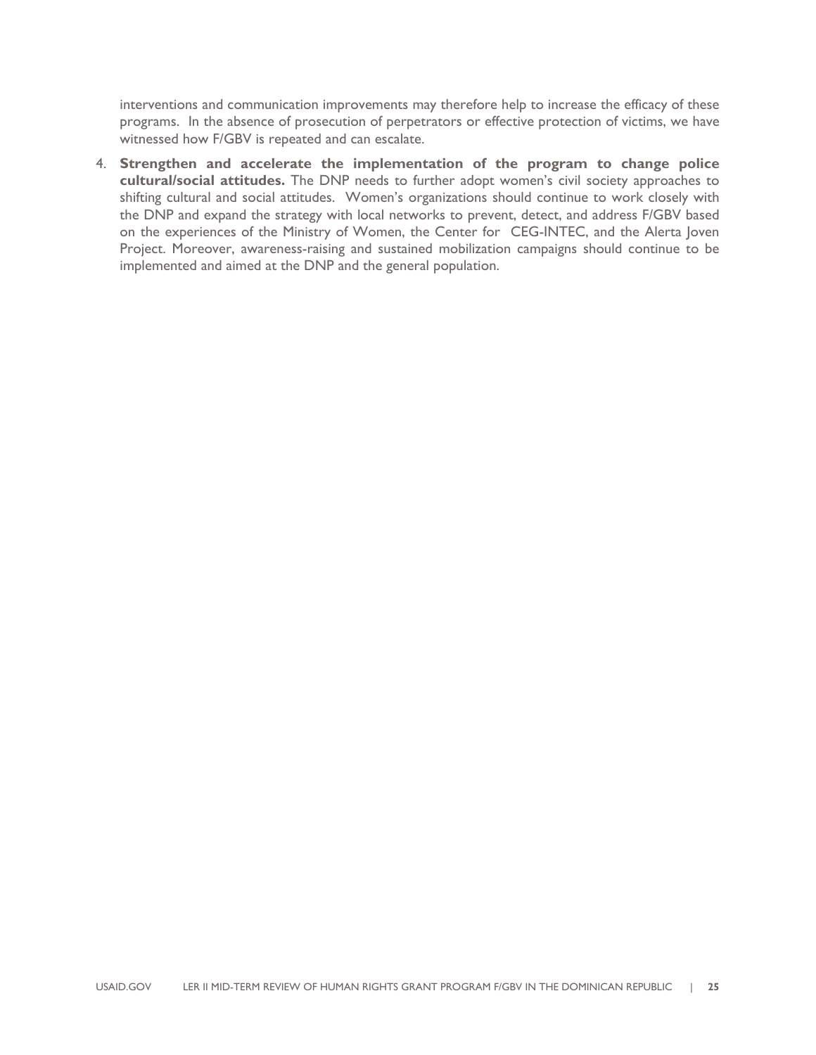interventions and communication improvements may therefore help to increase the efficacy of these programs. In the absence of prosecution of perpetrators or effective protection of victims, we have witnessed how F/GBV is repeated and can escalate.

4. **Strengthen and accelerate the implementation of the program to change police cultural/social attitudes.** The DNP needs to further adopt women's civil society approaches to shifting cultural and social attitudes. Women's organizations should continue to work closely with the DNP and expand the strategy with local networks to prevent, detect, and address F/GBV based on the experiences of the Ministry of Women, the Center for CEG-INTEC, and the Alerta Joven Project. Moreover, awareness-raising and sustained mobilization campaigns should continue to be implemented and aimed at the DNP and the general population.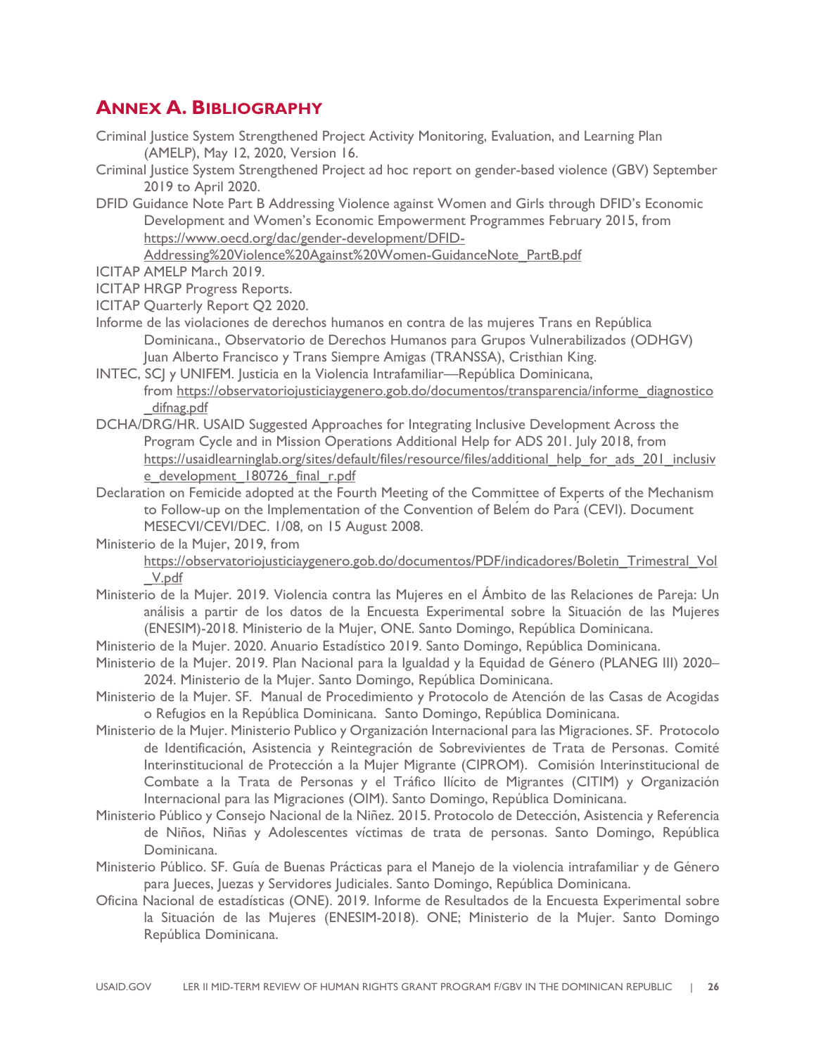### **ANNEX A. BIBLIOGRAPHY**

- Criminal Justice System Strengthened Project Activity Monitoring, Evaluation, and Learning Plan (AMELP), May 12, 2020, Version 16.
- Criminal Justice System Strengthened Project ad hoc report on gender-based violence (GBV) September 2019 to April 2020.
- DFID Guidance Note Part B Addressing Violence against Women and Girls through DFID's Economic Development and Women's Economic Empowerment Programmes February 2015, from https://www.oecd.org/dac/gender-development/DFID-

Addressing%20Violence%20Against%20Women-GuidanceNote\_PartB.pdf

ICITAP AMELP March 2019.

ICITAP HRGP Progress Reports.

- ICITAP Quarterly Report Q2 2020.
- Informe de las violaciones de derechos humanos en contra de las mujeres Trans en República Dominicana., Observatorio de Derechos Humanos para Grupos Vulnerabilizados (ODHGV) Juan Alberto Francisco y Trans Siempre Amigas (TRANSSA), Cristhian King.
- INTEC, SCJ y UNIFEM. Justicia en la Violencia Intrafamiliar—República Dominicana, from https://observatoriojusticiaygenero.gob.do/documentos/transparencia/informe\_diagnostico \_difnag.pdf
- DCHA/DRG/HR. USAID Suggested Approaches for Integrating Inclusive Development Across the Program Cycle and in Mission Operations Additional Help for ADS 201. July 2018, from https://usaidlearninglab.org/sites/default/files/resource/files/additional\_help\_for\_ads\_201\_inclusiv e development 180726 final r.pdf
- Declaration on Femicide adopted at the Fourth Meeting of the Committee of Experts of the Mechanism to Follow-up on the Implementation of the Convention of Belem do Para (CEVI). Document MESECVI/CEVI/DEC. 1/08, on 15 August 2008.

Ministerio de la Mujer, 2019, from

https://observatoriojusticiaygenero.gob.do/documentos/PDF/indicadores/Boletin\_Trimestral\_Vol \_V.pdf

- Ministerio de la Mujer. 2019. Violencia contra las Mujeres en el Ámbito de las Relaciones de Pareja: Un análisis a partir de los datos de la Encuesta Experimental sobre la Situación de las Mujeres (ENESIM)-2018. Ministerio de la Mujer, ONE. Santo Domingo, República Dominicana.
- Ministerio de la Mujer. 2020. Anuario Estadístico 2019. Santo Domingo, República Dominicana.
- Ministerio de la Mujer. 2019. Plan Nacional para la Igualdad y la Equidad de Género (PLANEG III) 2020– 2024. Ministerio de la Mujer. Santo Domingo, República Dominicana.
- Ministerio de la Mujer. SF. Manual de Procedimiento y Protocolo de Atención de las Casas de Acogidas o Refugios en la República Dominicana. Santo Domingo, República Dominicana.
- Ministerio de la Mujer. Ministerio Publico y Organización Internacional para las Migraciones. SF. Protocolo de Identificación, Asistencia y Reintegración de Sobrevivientes de Trata de Personas. Comité Interinstitucional de Protección a la Mujer Migrante (CIPROM). Comisión Interinstitucional de Combate a la Trata de Personas y el Tráfico Ilícito de Migrantes (CITIM) y Organización Internacional para las Migraciones (OIM). Santo Domingo, República Dominicana.
- Ministerio Público y Consejo Nacional de la Niñez. 2015. Protocolo de Detección, Asistencia y Referencia de Niños, Niñas y Adolescentes víctimas de trata de personas. Santo Domingo, República Dominicana.
- Ministerio Público. SF. Guía de Buenas Prácticas para el Manejo de la violencia intrafamiliar y de Género para Jueces, Juezas y Servidores Judiciales. Santo Domingo, República Dominicana.
- Oficina Nacional de estadísticas (ONE). 2019. Informe de Resultados de la Encuesta Experimental sobre la Situación de las Mujeres (ENESIM-2018). ONE; Ministerio de la Mujer. Santo Domingo República Dominicana.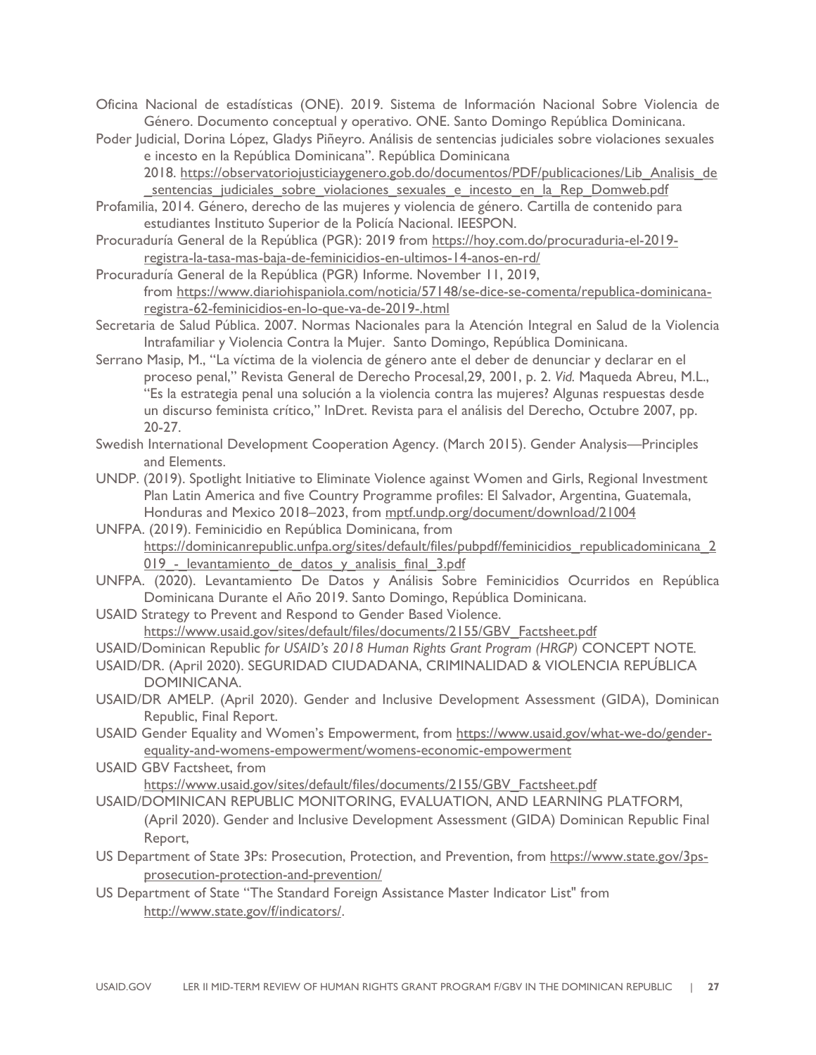Oficina Nacional de estadísticas (ONE). 2019. Sistema de Información Nacional Sobre Violencia de Género. Documento conceptual y operativo. ONE. Santo Domingo República Dominicana.

Poder Judicial, Dorina López, Gladys Piñeyro. Análisis de sentencias judiciales sobre violaciones sexuales e incesto en la República Dominicana". República Dominicana 2018. https://observatoriojusticiaygenero.gob.do/documentos/PDF/publicaciones/Lib\_Analisis\_de sentencias judiciales sobre violaciones sexuales e incesto en la Rep Domweb.pdf

Profamilia, 2014. Género, derecho de las mujeres y violencia de género. Cartilla de contenido para estudiantes Instituto Superior de la Policía Nacional. IEESPON.

Procuraduría General de la República (PGR): 2019 from https://hoy.com.do/procuraduria-el-2019registra-la-tasa-mas-baja-de-feminicidios-en-ultimos-14-anos-en-rd/

Procuraduría General de la República (PGR) Informe. November 11, 2019, from https://www.diariohispaniola.com/noticia/57148/se-dice-se-comenta/republica-dominicanaregistra-62-feminicidios-en-lo-que-va-de-2019-.html

- Secretaria de Salud Pública. 2007. Normas Nacionales para la Atención Integral en Salud de la Violencia Intrafamiliar y Violencia Contra la Mujer. Santo Domingo, República Dominicana.
- Serrano Masip, M., "La víctima de la violencia de género ante el deber de denunciar y declarar en el proceso penal," Revista General de Derecho Procesal,29, 2001, p. 2. *Vid.* Maqueda Abreu, M.L., "Es la estrategia penal una solución a la violencia contra las mujeres? Algunas respuestas desde un discurso feminista crítico," InDret. Revista para el análisis del Derecho, Octubre 2007, pp. 20-27.
- Swedish International Development Cooperation Agency. (March 2015). Gender Analysis—Principles and Elements.
- UNDP. (2019). Spotlight Initiative to Eliminate Violence against Women and Girls, Regional Investment Plan Latin America and five Country Programme profiles: El Salvador, Argentina, Guatemala, Honduras and Mexico 2018–2023, from mptf.undp.org/document/download/21004
- UNFPA. (2019). Feminicidio en República Dominicana, from https://dominicanrepublic.unfpa.org/sites/default/files/pubpdf/feminicidios republicadominicana 2 019 - levantamiento de datos y analisis final 3.pdf
- UNFPA. (2020). Levantamiento De Datos y Análisis Sobre Feminicidios Ocurridos en República Dominicana Durante el Año 2019. Santo Domingo, República Dominicana.
- USAID Strategy to Prevent and Respond to Gender Based Violence. https://www.usaid.gov/sites/default/files/documents/2155/GBV\_Factsheet.pdf

USAID/Dominican Republic *for USAID's 2018 Human Rights Grant Program (HRGP)* CONCEPT NOTE*.*

- USAID/DR. (April 2020). SEGURIDAD CIUDADANA, CRIMINALIDAD & VIOLENCIA REPÚBLICA DOMINICANA.
- USAID/DR AMELP. (April 2020). Gender and Inclusive Development Assessment (GIDA), Dominican Republic, Final Report.
- USAID Gender Equality and Women's Empowerment, from https://www.usaid.gov/what-we-do/genderequality-and-womens-empowerment/womens-economic-empowerment
- USAID GBV Factsheet, from https://www.usaid.gov/sites/default/files/documents/2155/GBV\_Factsheet.pdf
- USAID/DOMINICAN REPUBLIC MONITORING, EVALUATION, AND LEARNING PLATFORM, (April 2020). Gender and Inclusive Development Assessment (GIDA) Dominican Republic Final Report,
- US Department of State 3Ps: Prosecution, Protection, and Prevention, from https://www.state.gov/3psprosecution-protection-and-prevention/
- US Department of State "The Standard Foreign Assistance Master Indicator List" from http://www.state.gov/f/indicators/.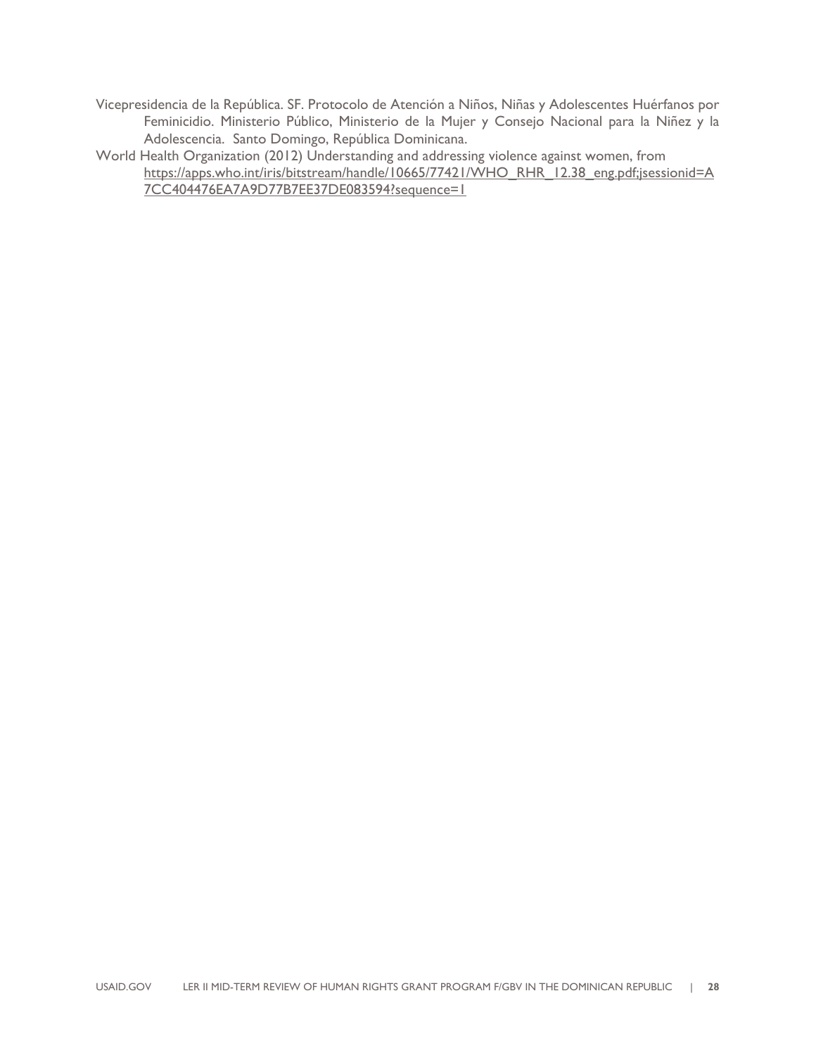Vicepresidencia de la República. SF. Protocolo de Atención a Niños, Niñas y Adolescentes Huérfanos por Feminicidio. Ministerio Público, Ministerio de la Mujer y Consejo Nacional para la Niñez y la Adolescencia. Santo Domingo, República Dominicana.

World Health Organization (2012) Understanding and addressing violence against women, from https://apps.who.int/iris/bitstream/handle/10665/77421/WHO\_RHR\_12.38\_eng.pdf;jsessionid=A 7CC404476EA7A9D77B7EE37DE083594?sequence=1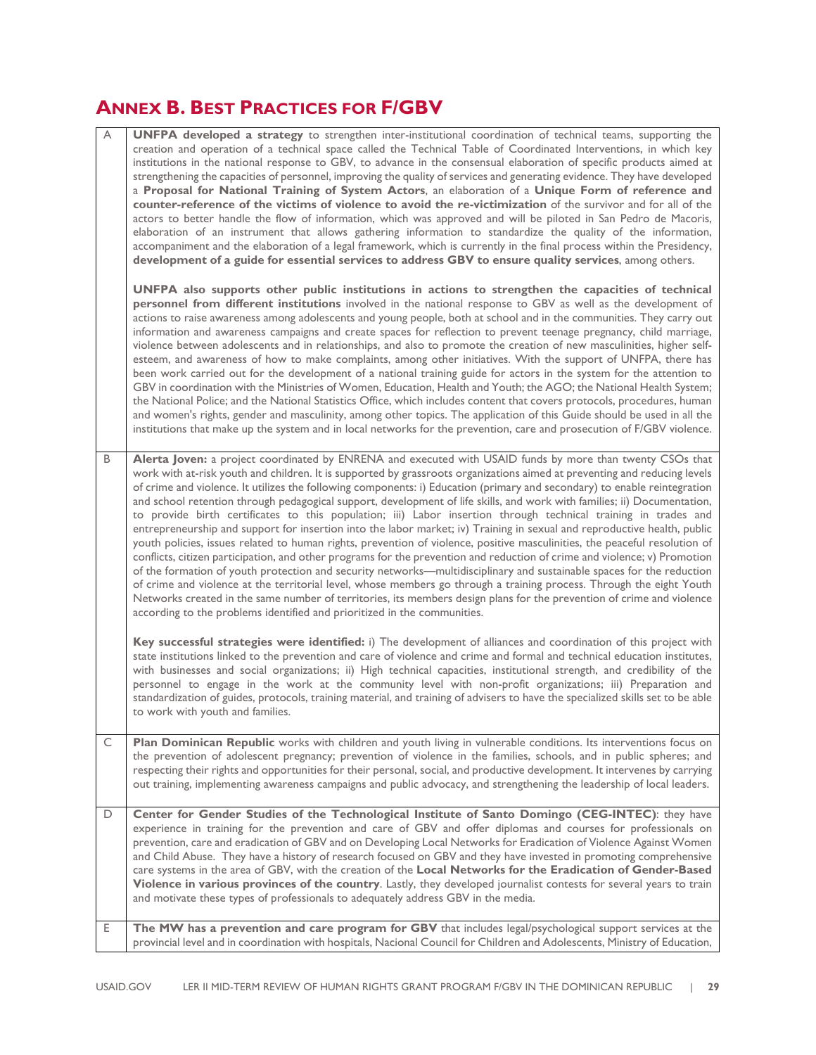## **ANNEX B. BEST PRACTICES FOR F/GBV**

| Α | UNFPA developed a strategy to strengthen inter-institutional coordination of technical teams, supporting the<br>creation and operation of a technical space called the Technical Table of Coordinated Interventions, in which key<br>institutions in the national response to GBV, to advance in the consensual elaboration of specific products aimed at<br>strengthening the capacities of personnel, improving the quality of services and generating evidence. They have developed<br>a Proposal for National Training of System Actors, an elaboration of a Unique Form of reference and<br>counter-reference of the victims of violence to avoid the re-victimization of the survivor and for all of the<br>actors to better handle the flow of information, which was approved and will be piloted in San Pedro de Macoris,<br>elaboration of an instrument that allows gathering information to standardize the quality of the information,<br>accompaniment and the elaboration of a legal framework, which is currently in the final process within the Presidency,<br>development of a guide for essential services to address GBV to ensure quality services, among others.<br>UNFPA also supports other public institutions in actions to strengthen the capacities of technical<br>personnel from different institutions involved in the national response to GBV as well as the development of<br>actions to raise awareness among adolescents and young people, both at school and in the communities. They carry out<br>information and awareness campaigns and create spaces for reflection to prevent teenage pregnancy, child marriage,<br>violence between adolescents and in relationships, and also to promote the creation of new masculinities, higher self-<br>esteem, and awareness of how to make complaints, among other initiatives. With the support of UNFPA, there has<br>been work carried out for the development of a national training guide for actors in the system for the attention to |
|---|---------------------------------------------------------------------------------------------------------------------------------------------------------------------------------------------------------------------------------------------------------------------------------------------------------------------------------------------------------------------------------------------------------------------------------------------------------------------------------------------------------------------------------------------------------------------------------------------------------------------------------------------------------------------------------------------------------------------------------------------------------------------------------------------------------------------------------------------------------------------------------------------------------------------------------------------------------------------------------------------------------------------------------------------------------------------------------------------------------------------------------------------------------------------------------------------------------------------------------------------------------------------------------------------------------------------------------------------------------------------------------------------------------------------------------------------------------------------------------------------------------------------------------------------------------------------------------------------------------------------------------------------------------------------------------------------------------------------------------------------------------------------------------------------------------------------------------------------------------------------------------------------------------------------------------------------------------------------------------------------------------------------------------|
|   | GBV in coordination with the Ministries of Women, Education, Health and Youth; the AGO; the National Health System;<br>the National Police; and the National Statistics Office, which includes content that covers protocols, procedures, human<br>and women's rights, gender and masculinity, among other topics. The application of this Guide should be used in all the<br>institutions that make up the system and in local networks for the prevention, care and prosecution of F/GBV violence.                                                                                                                                                                                                                                                                                                                                                                                                                                                                                                                                                                                                                                                                                                                                                                                                                                                                                                                                                                                                                                                                                                                                                                                                                                                                                                                                                                                                                                                                                                                            |
| B | Alerta Joven: a project coordinated by ENRENA and executed with USAID funds by more than twenty CSOs that<br>work with at-risk youth and children. It is supported by grassroots organizations aimed at preventing and reducing levels<br>of crime and violence. It utilizes the following components: i) Education (primary and secondary) to enable reintegration<br>and school retention through pedagogical support, development of life skills, and work with families; ii) Documentation,<br>to provide birth certificates to this population; iii) Labor insertion through technical training in trades and<br>entrepreneurship and support for insertion into the labor market; iv) Training in sexual and reproductive health, public<br>youth policies, issues related to human rights, prevention of violence, positive masculinities, the peaceful resolution of<br>conflicts, citizen participation, and other programs for the prevention and reduction of crime and violence; v) Promotion<br>of the formation of youth protection and security networks—multidisciplinary and sustainable spaces for the reduction<br>of crime and violence at the territorial level, whose members go through a training process. Through the eight Youth<br>Networks created in the same number of territories, its members design plans for the prevention of crime and violence<br>according to the problems identified and prioritized in the communities.                                                                                                                                                                                                                                                                                                                                                                                                                                                                                                                                                                 |
|   | Key successful strategies were identified: i) The development of alliances and coordination of this project with<br>state institutions linked to the prevention and care of violence and crime and formal and technical education institutes,<br>with businesses and social organizations; ii) High technical capacities, institutional strength, and credibility of the<br>personnel to engage in the work at the community level with non-profit organizations; iii) Preparation and<br>standardization of guides, protocols, training material, and training of advisers to have the specialized skills set to be able<br>to work with youth and families.                                                                                                                                                                                                                                                                                                                                                                                                                                                                                                                                                                                                                                                                                                                                                                                                                                                                                                                                                                                                                                                                                                                                                                                                                                                                                                                                                                   |
| C | Plan Dominican Republic works with children and youth living in vulnerable conditions. Its interventions focus on<br>the prevention of adolescent pregnancy; prevention of violence in the families, schools, and in public spheres; and<br>respecting their rights and opportunities for their personal, social, and productive development. It intervenes by carrying<br>out training, implementing awareness campaigns and public advocacy, and strengthening the leadership of local leaders.                                                                                                                                                                                                                                                                                                                                                                                                                                                                                                                                                                                                                                                                                                                                                                                                                                                                                                                                                                                                                                                                                                                                                                                                                                                                                                                                                                                                                                                                                                                               |
| D | Center for Gender Studies of the Technological Institute of Santo Domingo (CEG-INTEC): they have<br>experience in training for the prevention and care of GBV and offer diplomas and courses for professionals on<br>prevention, care and eradication of GBV and on Developing Local Networks for Eradication of Violence Against Women<br>and Child Abuse. They have a history of research focused on GBV and they have invested in promoting comprehensive<br>care systems in the area of GBV, with the creation of the Local Networks for the Eradication of Gender-Based<br>Violence in various provinces of the country. Lastly, they developed journalist contests for several years to train<br>and motivate these types of professionals to adequately address GBV in the media.                                                                                                                                                                                                                                                                                                                                                                                                                                                                                                                                                                                                                                                                                                                                                                                                                                                                                                                                                                                                                                                                                                                                                                                                                                        |
| Е | The MW has a prevention and care program for GBV that includes legal/psychological support services at the<br>provincial level and in coordination with hospitals, Nacional Council for Children and Adolescents, Ministry of Education,                                                                                                                                                                                                                                                                                                                                                                                                                                                                                                                                                                                                                                                                                                                                                                                                                                                                                                                                                                                                                                                                                                                                                                                                                                                                                                                                                                                                                                                                                                                                                                                                                                                                                                                                                                                        |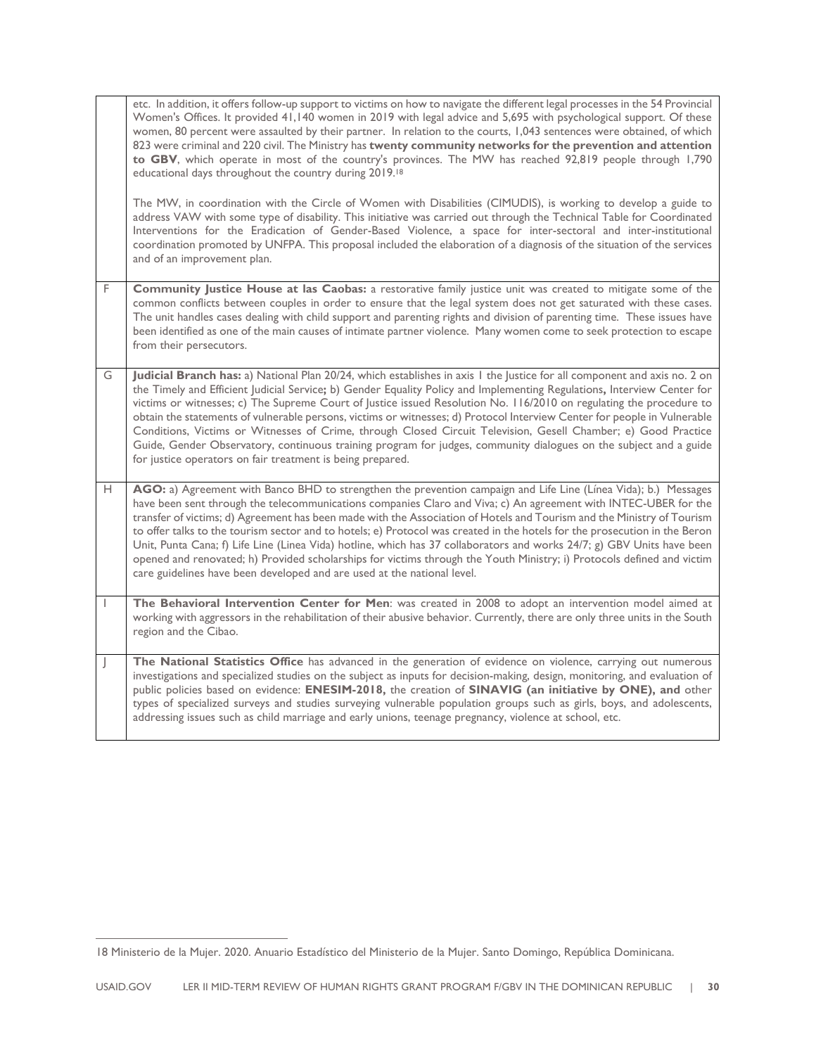|   | etc. In addition, it offers follow-up support to victims on how to navigate the different legal processes in the 54 Provincial<br>Women's Offices. It provided 41,140 women in 2019 with legal advice and 5,695 with psychological support. Of these<br>women, 80 percent were assaulted by their partner. In relation to the courts, 1,043 sentences were obtained, of which<br>823 were criminal and 220 civil. The Ministry has twenty community networks for the prevention and attention<br>to GBV, which operate in most of the country's provinces. The MW has reached 92,819 people through 1,790<br>educational days throughout the country during 2019. <sup>18</sup><br>The MW, in coordination with the Circle of Women with Disabilities (CIMUDIS), is working to develop a guide to<br>address VAW with some type of disability. This initiative was carried out through the Technical Table for Coordinated<br>Interventions for the Eradication of Gender-Based Violence, a space for inter-sectoral and inter-institutional<br>coordination promoted by UNFPA. This proposal included the elaboration of a diagnosis of the situation of the services<br>and of an improvement plan. |
|---|-------------------------------------------------------------------------------------------------------------------------------------------------------------------------------------------------------------------------------------------------------------------------------------------------------------------------------------------------------------------------------------------------------------------------------------------------------------------------------------------------------------------------------------------------------------------------------------------------------------------------------------------------------------------------------------------------------------------------------------------------------------------------------------------------------------------------------------------------------------------------------------------------------------------------------------------------------------------------------------------------------------------------------------------------------------------------------------------------------------------------------------------------------------------------------------------------------|
| F | Community Justice House at las Caobas: a restorative family justice unit was created to mitigate some of the<br>common conflicts between couples in order to ensure that the legal system does not get saturated with these cases.<br>The unit handles cases dealing with child support and parenting rights and division of parenting time. These issues have<br>been identified as one of the main causes of intimate partner violence. Many women come to seek protection to escape<br>from their persecutors.                                                                                                                                                                                                                                                                                                                                                                                                                                                                                                                                                                                                                                                                                     |
| G | Judicial Branch has: a) National Plan 20/24, which establishes in axis I the Justice for all component and axis no. 2 on<br>the Timely and Efficient Judicial Service; b) Gender Equality Policy and Implementing Regulations, Interview Center for<br>victims or witnesses; c) The Supreme Court of Justice issued Resolution No. 116/2010 on regulating the procedure to<br>obtain the statements of vulnerable persons, victims or witnesses; d) Protocol Interview Center for people in Vulnerable<br>Conditions, Victims or Witnesses of Crime, through Closed Circuit Television, Gesell Chamber; e) Good Practice<br>Guide, Gender Observatory, continuous training program for judges, community dialogues on the subject and a guide<br>for justice operators on fair treatment is being prepared.                                                                                                                                                                                                                                                                                                                                                                                           |
| н | AGO: a) Agreement with Banco BHD to strengthen the prevention campaign and Life Line (Línea Vida); b.) Messages<br>have been sent through the telecommunications companies Claro and Viva; c) An agreement with INTEC-UBER for the<br>transfer of victims; d) Agreement has been made with the Association of Hotels and Tourism and the Ministry of Tourism<br>to offer talks to the tourism sector and to hotels; e) Protocol was created in the hotels for the prosecution in the Beron<br>Unit, Punta Cana; f) Life Line (Linea Vida) hotline, which has 37 collaborators and works 24/7; g) GBV Units have been<br>opened and renovated; h) Provided scholarships for victims through the Youth Ministry; i) Protocols defined and victim<br>care guidelines have been developed and are used at the national level.                                                                                                                                                                                                                                                                                                                                                                             |
| 1 | The Behavioral Intervention Center for Men: was created in 2008 to adopt an intervention model aimed at<br>working with aggressors in the rehabilitation of their abusive behavior. Currently, there are only three units in the South<br>region and the Cibao.                                                                                                                                                                                                                                                                                                                                                                                                                                                                                                                                                                                                                                                                                                                                                                                                                                                                                                                                       |
|   | The National Statistics Office has advanced in the generation of evidence on violence, carrying out numerous<br>investigations and specialized studies on the subject as inputs for decision-making, design, monitoring, and evaluation of<br>public policies based on evidence: ENESIM-2018, the creation of SINAVIG (an initiative by ONE), and other<br>types of specialized surveys and studies surveying vulnerable population groups such as girls, boys, and adolescents,<br>addressing issues such as child marriage and early unions, teenage pregnancy, violence at school, etc.                                                                                                                                                                                                                                                                                                                                                                                                                                                                                                                                                                                                            |

<sup>18</sup> Ministerio de la Mujer. 2020. Anuario Estadístico del Ministerio de la Mujer. Santo Domingo, República Dominicana.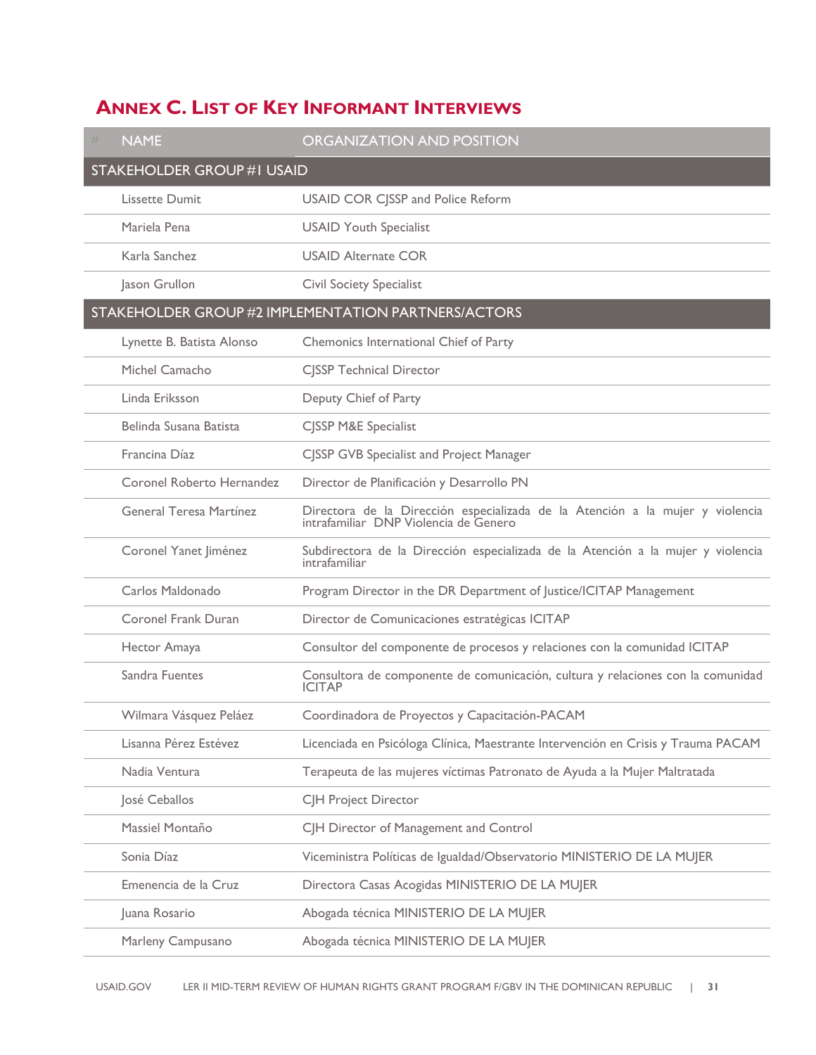## **ANNEX C. LIST OF KEY INFORMANT INTERVIEWS**

| <b>NAME</b><br>#                  | <b>ORGANIZATION AND POSITION</b>                                                                                    |
|-----------------------------------|---------------------------------------------------------------------------------------------------------------------|
| <b>STAKEHOLDER GROUP #I USAID</b> |                                                                                                                     |
| Lissette Dumit                    | <b>USAID COR CJSSP and Police Reform</b>                                                                            |
| Mariela Pena                      | <b>USAID Youth Specialist</b>                                                                                       |
| Karla Sanchez                     | <b>USAID Alternate COR</b>                                                                                          |
| Jason Grullon                     | <b>Civil Society Specialist</b>                                                                                     |
|                                   | <b>STAKEHOLDER GROUP #2 IMPLEMENTATION PARTNERS/ACTORS</b>                                                          |
| Lynette B. Batista Alonso         | Chemonics International Chief of Party                                                                              |
| Michel Camacho                    | <b>CJSSP Technical Director</b>                                                                                     |
| Linda Eriksson                    | Deputy Chief of Party                                                                                               |
| Belinda Susana Batista            | <b>CISSP M&amp;E Specialist</b>                                                                                     |
| Francina Díaz                     | CJSSP GVB Specialist and Project Manager                                                                            |
| Coronel Roberto Hernandez         | Director de Planificación y Desarrollo PN                                                                           |
| General Teresa Martínez           | Directora de la Dirección especializada de la Atención a la mujer y violencia intrafamiliar DNP Violencia de Genero |
| Coronel Yanet Jiménez             | Subdirectora de la Dirección especializada de la Atención a la mujer y violencia<br>intrafamiliar                   |
| Carlos Maldonado                  | Program Director in the DR Department of Justice/ICITAP Management                                                  |
| Coronel Frank Duran               | Director de Comunicaciones estratégicas ICITAP                                                                      |
| Hector Amaya                      | Consultor del componente de procesos y relaciones con la comunidad ICITAP                                           |
| Sandra Fuentes                    | Consultora de componente de comunicación, cultura y relaciones con la comunidad<br>ICITAP                           |
| Wilmara Vásquez Peláez            | Coordinadora de Proyectos y Capacitación-PACAM                                                                      |
| Lisanna Pérez Estévez             | Licenciada en Psicóloga Clínica, Maestrante Intervención en Crisis y Trauma PACAM                                   |
| Nadia Ventura                     | Terapeuta de las mujeres víctimas Patronato de Ayuda a la Mujer Maltratada                                          |
| José Ceballos                     | CJH Project Director                                                                                                |
| Massiel Montaño                   | CJH Director of Management and Control                                                                              |
| Sonia Díaz                        | Viceministra Políticas de Igualdad/Observatorio MINISTERIO DE LA MUJER                                              |
| Emenencia de la Cruz              | Directora Casas Acogidas MINISTERIO DE LA MUJER                                                                     |
| Juana Rosario                     | Abogada técnica MINISTERIO DE LA MUJER                                                                              |
| Marleny Campusano                 | Abogada técnica MINISTERIO DE LA MUJER                                                                              |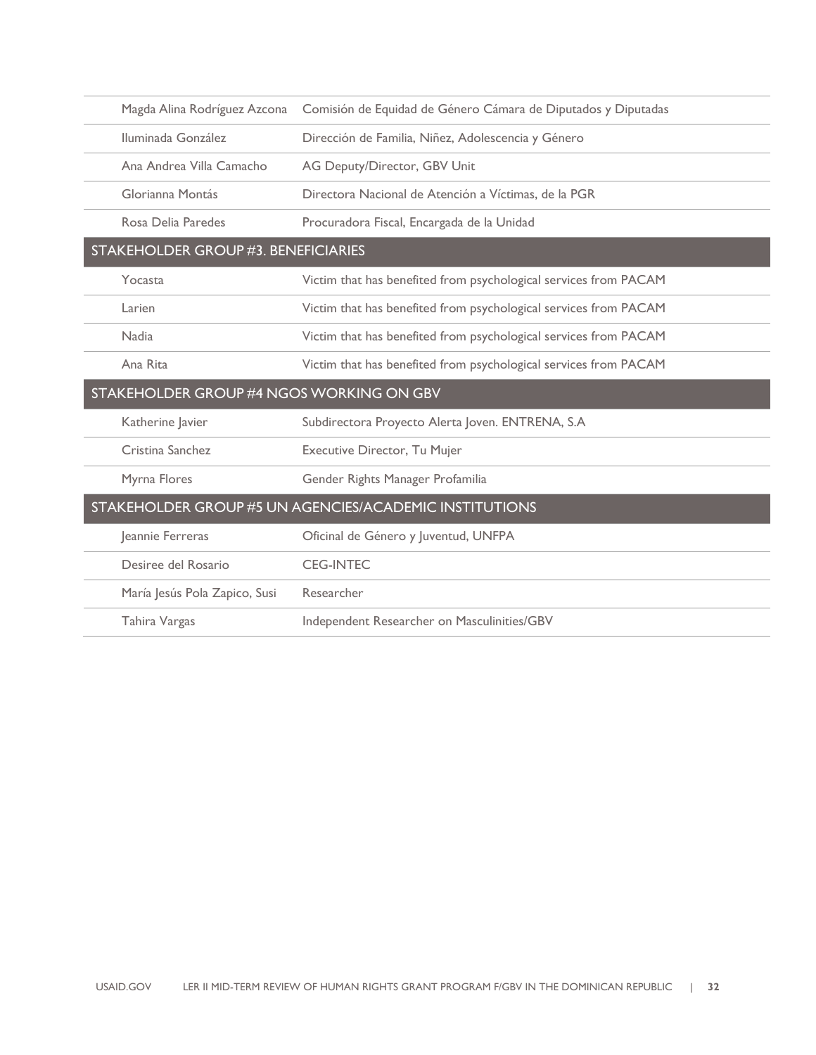| Magda Alina Rodríguez Azcona             | Comisión de Equidad de Género Cámara de Diputados y Diputadas    |  |  |
|------------------------------------------|------------------------------------------------------------------|--|--|
| Iluminada González                       | Dirección de Familia, Niñez, Adolescencia y Género               |  |  |
| Ana Andrea Villa Camacho                 | AG Deputy/Director, GBV Unit                                     |  |  |
| Glorianna Montás                         | Directora Nacional de Atención a Víctimas, de la PGR             |  |  |
| Rosa Delia Paredes                       | Procuradora Fiscal, Encargada de la Unidad                       |  |  |
| STAKEHOLDER GROUP #3. BENEFICIARIES      |                                                                  |  |  |
| Yocasta                                  | Victim that has benefited from psychological services from PACAM |  |  |
| Larien                                   | Victim that has benefited from psychological services from PACAM |  |  |
| <b>Nadia</b>                             | Victim that has benefited from psychological services from PACAM |  |  |
| Ana Rita                                 | Victim that has benefited from psychological services from PACAM |  |  |
| STAKEHOLDER GROUP #4 NGOS WORKING ON GBV |                                                                  |  |  |
| Katherine Javier                         | Subdirectora Proyecto Alerta Joven. ENTRENA, S.A                 |  |  |
| Cristina Sanchez                         | Executive Director, Tu Mujer                                     |  |  |
| Myrna Flores                             | Gender Rights Manager Profamilia                                 |  |  |
|                                          | STAKEHOLDER GROUP #5 UN AGENCIES/ACADEMIC INSTITUTIONS           |  |  |
| Jeannie Ferreras                         | Oficinal de Género y Juventud, UNFPA                             |  |  |
| Desiree del Rosario                      | <b>CEG-INTEC</b>                                                 |  |  |
| María Jesús Pola Zapico, Susi            | Researcher                                                       |  |  |
| Tahira Vargas                            | Independent Researcher on Masculinities/GBV                      |  |  |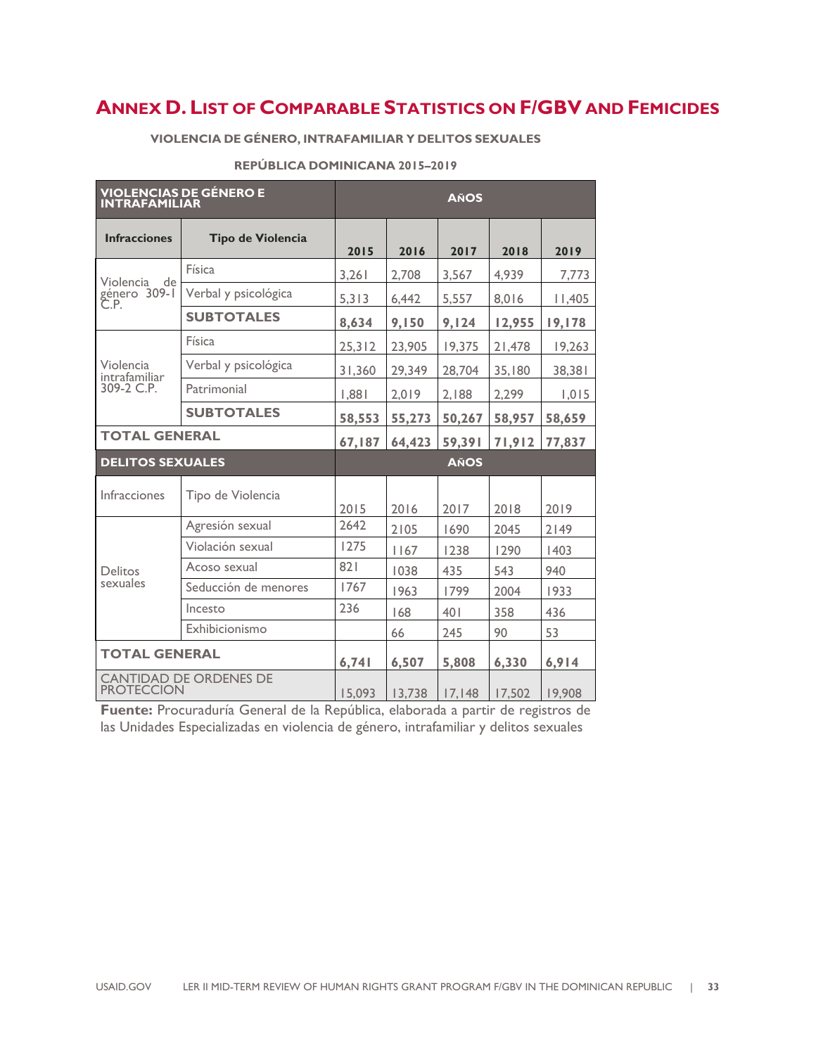## **ANNEX D. LIST OF COMPARABLE STATISTICS ON F/GBV AND FEMICIDES**

#### **VIOLENCIA DE GÉNERO, INTRAFAMILIAR Y DELITOS SEXUALES**

| <b>VIOLENCIAS DE GÉNERO E<br/>INTRAFAMILIAR</b>    | <b>AÑOS</b>          |        |        |             |        |        |
|----------------------------------------------------|----------------------|--------|--------|-------------|--------|--------|
| <b>Infracciones</b>                                | Tipo de Violencia    | 2015   | 2016   | 2017        | 2018   | 2019   |
| Violencia<br>de                                    | Física               | 3,261  | 2,708  | 3,567       | 4,939  | 7,773  |
| género 309-I<br>Č.P.                               | Verbal y psicológica | 5,313  | 6,442  | 5,557       | 8,016  | 11,405 |
|                                                    | <b>SUBTOTALES</b>    | 8,634  | 9,150  | 9,124       | 12,955 | 19,178 |
|                                                    | Física               | 25,312 | 23,905 | 19,375      | 21,478 | 19,263 |
| Violencia<br>intrafamiliar                         | Verbal y psicológica | 31,360 | 29,349 | 28,704      | 35,180 | 38,381 |
| 309-2 C.P.                                         | Patrimonial          | 1,881  | 2,019  | 2,188       | 2,299  | 1,015  |
|                                                    | <b>SUBTOTALES</b>    | 58,553 | 55,273 | 50,267      | 58,957 | 58,659 |
| <b>TOTAL GENERAL</b>                               |                      | 67,187 | 64,423 | 59,391      | 71,912 | 77,837 |
| <b>DELITOS SEXUALES</b>                            |                      |        |        | <b>AÑOS</b> |        |        |
| <b>Infracciones</b>                                | Tipo de Violencia    | 2015   | 2016   | 2017        | 2018   | 2019   |
|                                                    | Agresión sexual      | 2642   | 2105   | 1690        | 2045   | 2149   |
|                                                    | Violación sexual     | 1275   | 1167   | 1238        | 1290   | 1403   |
| <b>Delitos</b>                                     | Acoso sexual         | 821    | 1038   | 435         | 543    | 940    |
| sexuales                                           | Seducción de menores | 1767   | 1963   | 1799        | 2004   | 1933   |
|                                                    | Incesto              | 236    | 168    | 401         | 358    | 436    |
|                                                    | Exhibicionismo       |        | 66     | 245         | 90     | 53     |
| <b>TOTAL GENERAL</b>                               |                      | 6,741  | 6,507  | 5,808       | 6,330  | 6,914  |
| <b>CANTIDAD DE ORDENES DE</b><br><b>PROTECCION</b> |                      | 15,093 | 13.738 | 17,148      | 17,502 | 19.908 |

#### **REPÚBLICA DOMINICANA 2015–2019**

**Fuente:** Procuraduría General de la República, elaborada a partir de registros de las Unidades Especializadas en violencia de género, intrafamiliar y delitos sexuales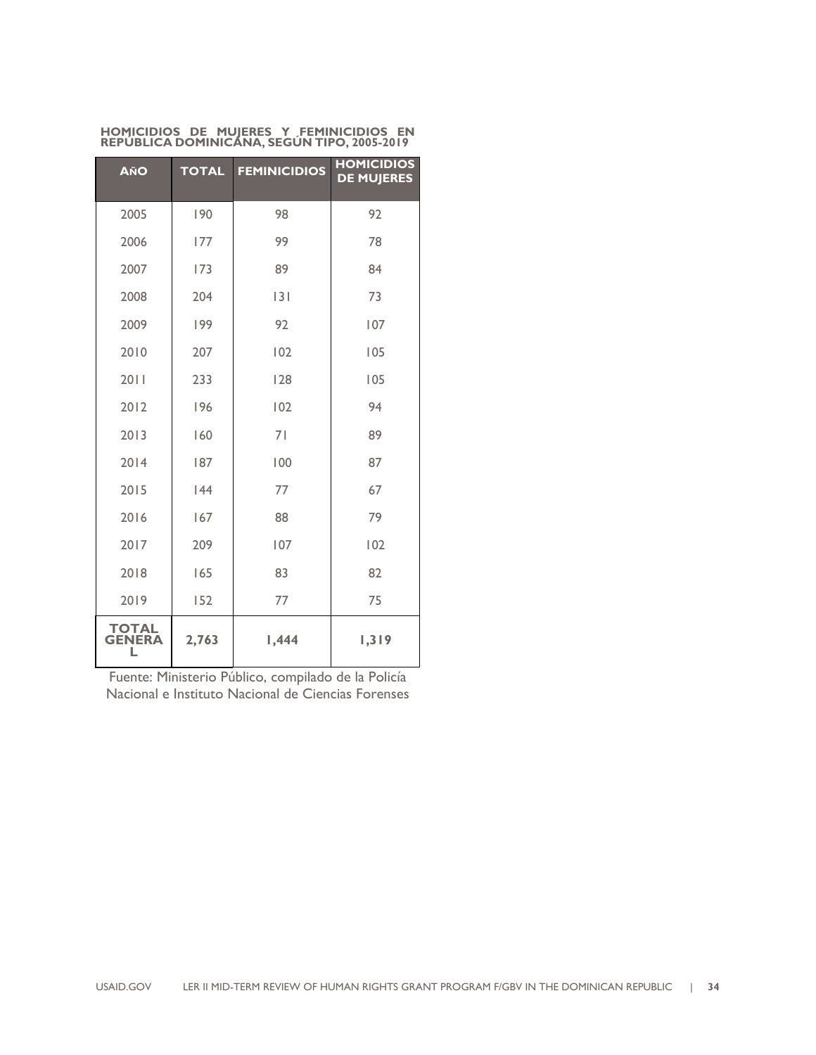| HOMICIDIOS DE MUJERES Y FEMINICIDIOS EN     |  |  |  |
|---------------------------------------------|--|--|--|
| REPUBLICA DOMINICANA, SEGUN TIPO, 2005-2019 |  |  |  |

| <b>AÑO</b>             | <b>TOTAL</b> | <b>FEMINICIDIOS</b> | <b>HOMICIDIOS</b><br><b>DE MUJERES</b> |
|------------------------|--------------|---------------------|----------------------------------------|
| 2005                   | 190          | 98                  | 92                                     |
| 2006                   | 177          | 99                  | 78                                     |
| 2007                   | 173          | 89                  | 84                                     |
| 2008                   | 204          | 3                   | 73                                     |
| 2009                   | 199          | 92                  | 107                                    |
| 2010                   | 207          | 102                 | 105                                    |
| 2011                   | 233          | 128                 | 105                                    |
| 2012                   | 196          | 102                 | 94                                     |
| 2013                   | 160          | 71                  | 89                                     |
| 2014                   | 187          | 100                 | 87                                     |
| 2015                   | 44           | 77                  | 67                                     |
| 2016                   | 167          | 88                  | 79                                     |
| 2017                   | 209          | 107                 | 102                                    |
| 2018                   | 165          | 83                  | 82                                     |
| 2019                   | 152          | 77                  | 75                                     |
| TOTAL<br><b>GENERA</b> | 2,763        | 1,444               | 1,319                                  |

Fuente: Ministerio Público, compilado de la Policía Nacional e Instituto Nacional de Ciencias Forenses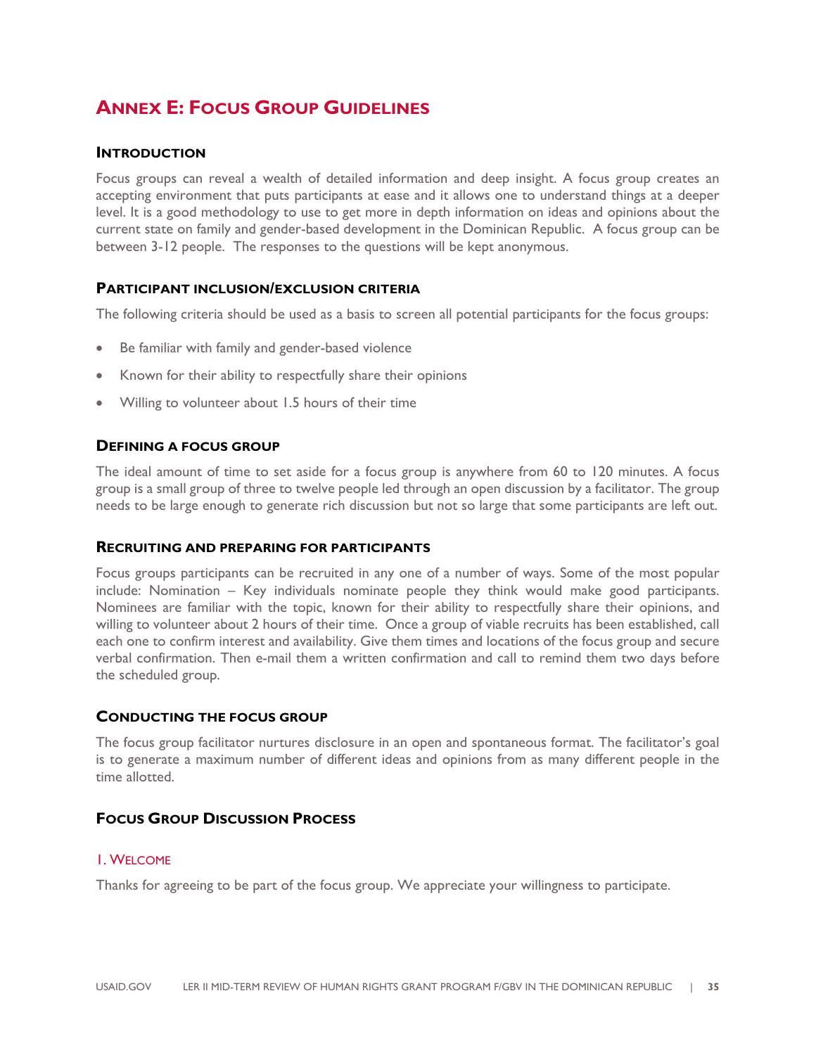## **ANNEX E: FOCUS GROUP GUIDELINES**

#### **INTRODUCTION**

Focus groups can reveal a wealth of detailed information and deep insight. A focus group creates an accepting environment that puts participants at ease and it allows one to understand things at a deeper level. It is a good methodology to use to get more in depth information on ideas and opinions about the current state on family and gender-based development in the Dominican Republic. A focus group can be between 3-12 people. The responses to the questions will be kept anonymous.

#### **PARTICIPANT INCLUSION/EXCLUSION CRITERIA**

The following criteria should be used as a basis to screen all potential participants for the focus groups:

- Be familiar with family and gender-based violence
- Known for their ability to respectfully share their opinions
- Willing to volunteer about 1.5 hours of their time

#### **DEFINING A FOCUS GROUP**

The ideal amount of time to set aside for a focus group is anywhere from 60 to 120 minutes. A focus group is a small group of three to twelve people led through an open discussion by a facilitator. The group needs to be large enough to generate rich discussion but not so large that some participants are left out.

#### **RECRUITING AND PREPARING FOR PARTICIPANTS**

Focus groups participants can be recruited in any one of a number of ways. Some of the most popular include: Nomination – Key individuals nominate people they think would make good participants. Nominees are familiar with the topic, known for their ability to respectfully share their opinions, and willing to volunteer about 2 hours of their time. Once a group of viable recruits has been established, call each one to confirm interest and availability. Give them times and locations of the focus group and secure verbal confirmation. Then e-mail them a written confirmation and call to remind them two days before the scheduled group.

#### **CONDUCTING THE FOCUS GROUP**

The focus group facilitator nurtures disclosure in an open and spontaneous format. The facilitator's goal is to generate a maximum number of different ideas and opinions from as many different people in the time allotted.

#### **FOCUS GROUP DISCUSSION PROCESS**

#### 1. WELCOME

Thanks for agreeing to be part of the focus group. We appreciate your willingness to participate.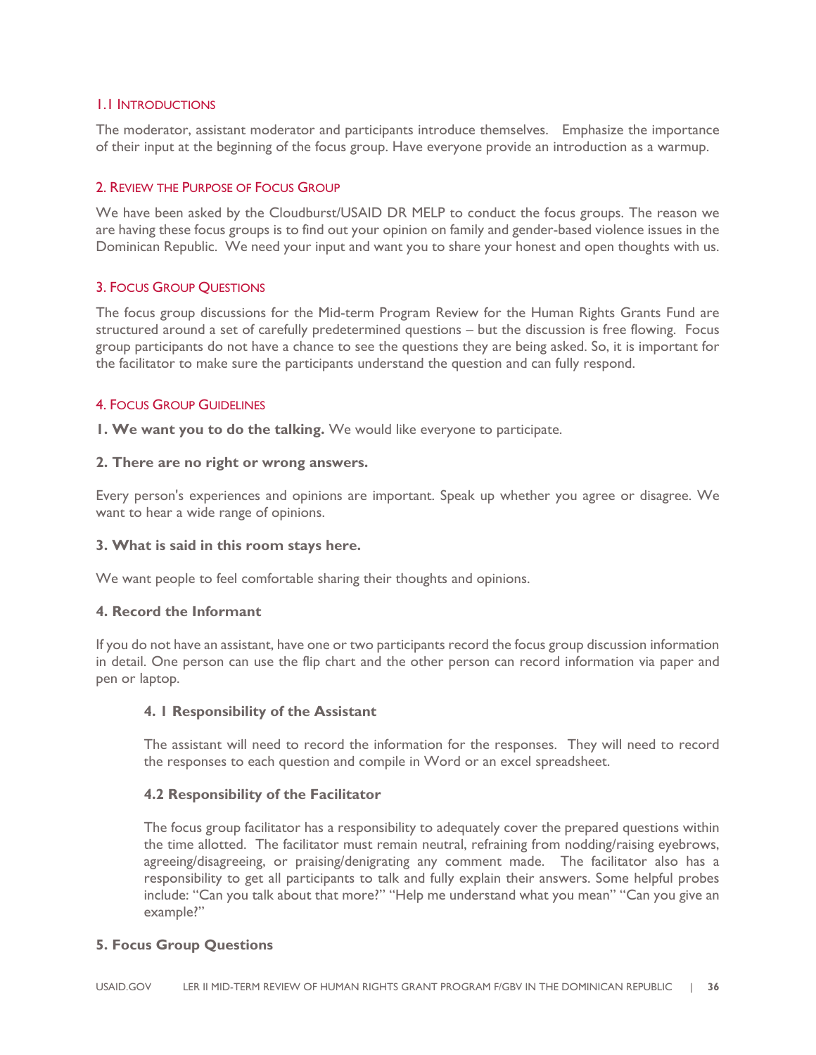#### 1.1 INTRODUCTIONS

The moderator, assistant moderator and participants introduce themselves. Emphasize the importance of their input at the beginning of the focus group. Have everyone provide an introduction as a warmup.

#### 2. REVIEW THE PURPOSE OF FOCUS GROUP

We have been asked by the Cloudburst/USAID DR MELP to conduct the focus groups. The reason we are having these focus groups is to find out your opinion on family and gender-based violence issues in the Dominican Republic. We need your input and want you to share your honest and open thoughts with us.

#### 3. FOCUS GROUP QUESTIONS

The focus group discussions for the Mid-term Program Review for the Human Rights Grants Fund are structured around a set of carefully predetermined questions – but the discussion is free flowing. Focus group participants do not have a chance to see the questions they are being asked. So, it is important for the facilitator to make sure the participants understand the question and can fully respond.

#### 4. FOCUS GROUP GUIDELINES

**1. We want you to do the talking.** We would like everyone to participate.

#### **2. There are no right or wrong answers.**

Every person's experiences and opinions are important. Speak up whether you agree or disagree. We want to hear a wide range of opinions.

#### **3. What is said in this room stays here.**

We want people to feel comfortable sharing their thoughts and opinions.

#### **4. Record the Informant**

If you do not have an assistant, have one or two participants record the focus group discussion information in detail. One person can use the flip chart and the other person can record information via paper and pen or laptop.

#### **4. 1 Responsibility of the Assistant**

The assistant will need to record the information for the responses. They will need to record the responses to each question and compile in Word or an excel spreadsheet.

#### **4.2 Responsibility of the Facilitator**

The focus group facilitator has a responsibility to adequately cover the prepared questions within the time allotted. The facilitator must remain neutral, refraining from nodding/raising eyebrows, agreeing/disagreeing, or praising/denigrating any comment made. The facilitator also has a responsibility to get all participants to talk and fully explain their answers. Some helpful probes include: "Can you talk about that more?" "Help me understand what you mean" "Can you give an example?"

#### **5. Focus Group Questions**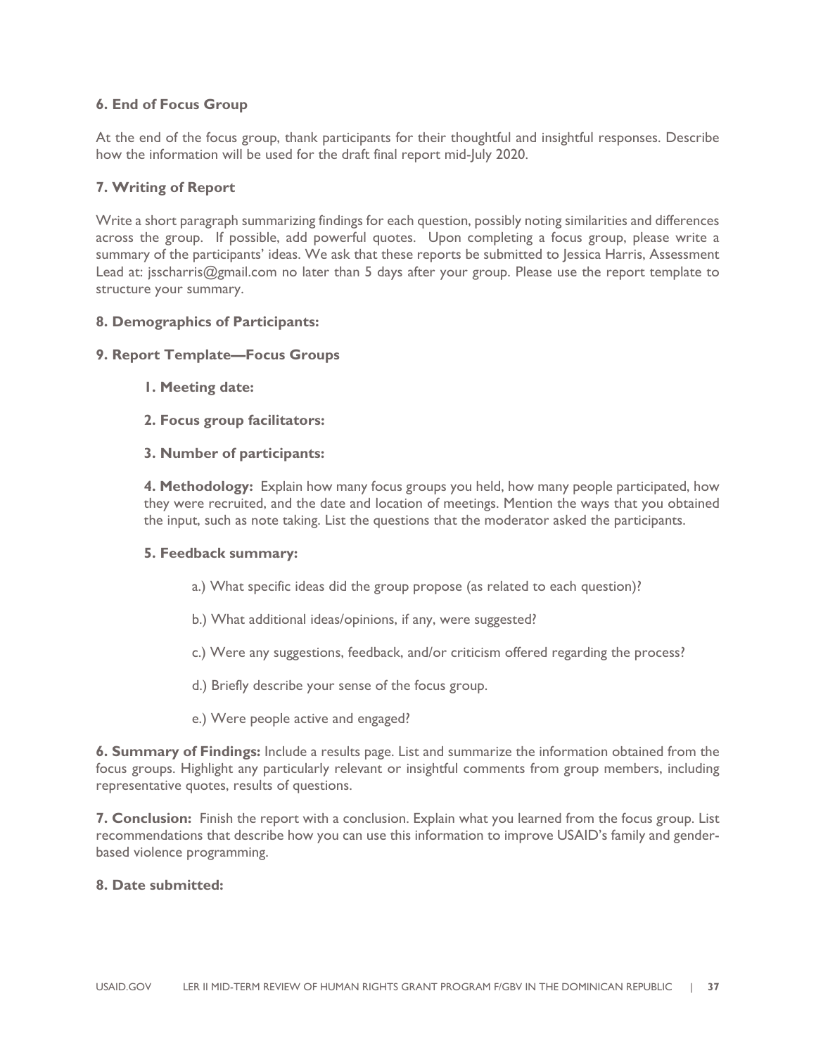#### **6. End of Focus Group**

At the end of the focus group, thank participants for their thoughtful and insightful responses. Describe how the information will be used for the draft final report mid-July 2020.

#### **7. Writing of Report**

Write a short paragraph summarizing findings for each question, possibly noting similarities and differences across the group. If possible, add powerful quotes. Upon completing a focus group, please write a summary of the participants' ideas. We ask that these reports be submitted to Jessica Harris, Assessment Lead at: jsscharris@gmail.com no later than 5 days after your group. Please use the report template to structure your summary.

#### **8. Demographics of Participants:**

#### **9. Report Template—Focus Groups**

- **1. Meeting date:**
- **2. Focus group facilitators:**

#### **3. Number of participants:**

**4. Methodology:** Explain how many focus groups you held, how many people participated, how they were recruited, and the date and location of meetings. Mention the ways that you obtained the input, such as note taking. List the questions that the moderator asked the participants.

#### **5. Feedback summary:**

- a.) What specific ideas did the group propose (as related to each question)?
- b.) What additional ideas/opinions, if any, were suggested?
- c.) Were any suggestions, feedback, and/or criticism offered regarding the process?
- d.) Briefly describe your sense of the focus group.
- e.) Were people active and engaged?

**6. Summary of Findings:** Include a results page. List and summarize the information obtained from the focus groups. Highlight any particularly relevant or insightful comments from group members, including representative quotes, results of questions.

**7. Conclusion:** Finish the report with a conclusion. Explain what you learned from the focus group. List recommendations that describe how you can use this information to improve USAID's family and genderbased violence programming.

#### **8. Date submitted:**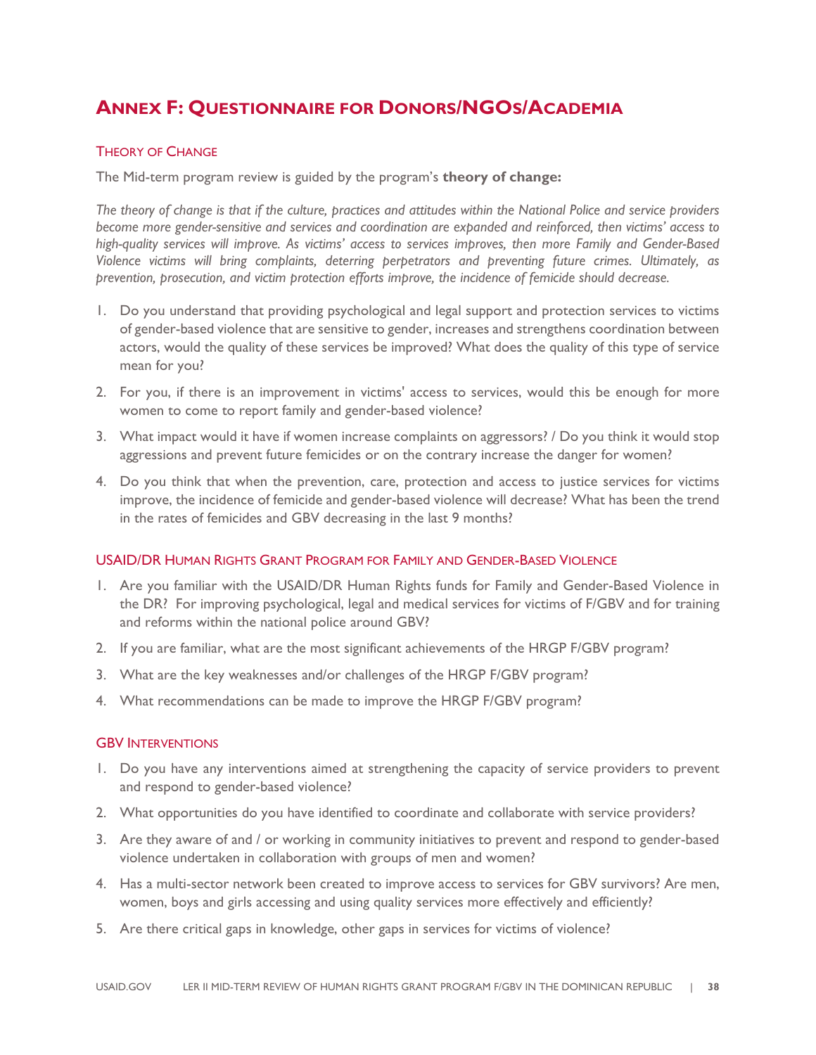## **ANNEX F: QUESTIONNAIRE FOR DONORS/NGOS/ACADEMIA**

#### THEORY OF CHANGE

The Mid-term program review is guided by the program's **theory of change:**

*The theory of change is that if the culture, practices and attitudes within the National Police and service providers become more gender-sensitive and services and coordination are expanded and reinforced, then victims' access to high-quality services will improve. As victims' access to services improves, then more Family and Gender-Based Violence victims will bring complaints, deterring perpetrators and preventing future crimes. Ultimately, as prevention, prosecution, and victim protection efforts improve, the incidence of femicide should decrease.* 

- 1. Do you understand that providing psychological and legal support and protection services to victims of gender-based violence that are sensitive to gender, increases and strengthens coordination between actors, would the quality of these services be improved? What does the quality of this type of service mean for you?
- 2. For you, if there is an improvement in victims' access to services, would this be enough for more women to come to report family and gender-based violence?
- 3. What impact would it have if women increase complaints on aggressors? / Do you think it would stop aggressions and prevent future femicides or on the contrary increase the danger for women?
- 4. Do you think that when the prevention, care, protection and access to justice services for victims improve, the incidence of femicide and gender-based violence will decrease? What has been the trend in the rates of femicides and GBV decreasing in the last 9 months?

#### USAID/DR HUMAN RIGHTS GRANT PROGRAM FOR FAMILY AND GENDER-BASED VIOLENCE

- 1. Are you familiar with the USAID/DR Human Rights funds for Family and Gender-Based Violence in the DR? For improving psychological, legal and medical services for victims of F/GBV and for training and reforms within the national police around GBV?
- 2. If you are familiar, what are the most significant achievements of the HRGP F/GBV program?
- 3. What are the key weaknesses and/or challenges of the HRGP F/GBV program?
- 4. What recommendations can be made to improve the HRGP F/GBV program?

#### GBV INTERVENTIONS

- 1. Do you have any interventions aimed at strengthening the capacity of service providers to prevent and respond to gender-based violence?
- 2. What opportunities do you have identified to coordinate and collaborate with service providers?
- 3. Are they aware of and / or working in community initiatives to prevent and respond to gender-based violence undertaken in collaboration with groups of men and women?
- 4. Has a multi-sector network been created to improve access to services for GBV survivors? Are men, women, boys and girls accessing and using quality services more effectively and efficiently?
- 5. Are there critical gaps in knowledge, other gaps in services for victims of violence?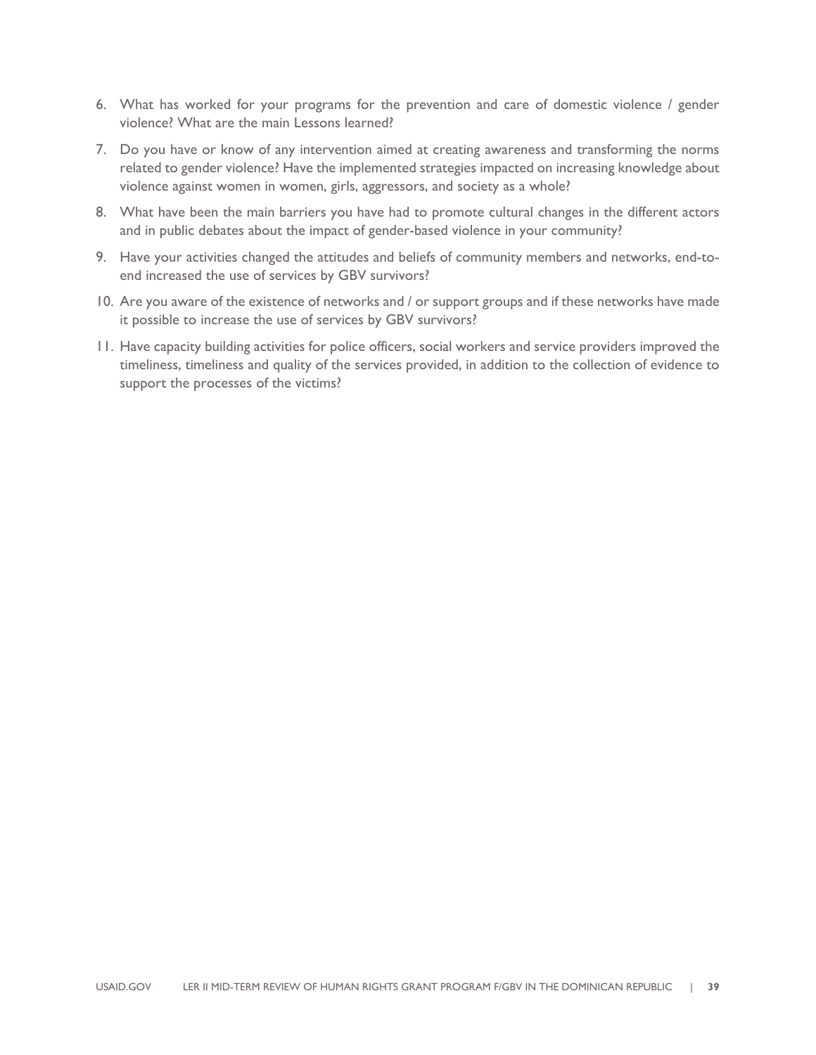- 6. What has worked for your programs for the prevention and care of domestic violence / gender violence? What are the main Lessons learned?
- 7. Do you have or know of any intervention aimed at creating awareness and transforming the norms related to gender violence? Have the implemented strategies impacted on increasing knowledge about violence against women in women, girls, aggressors, and society as a whole?
- 8. What have been the main barriers you have had to promote cultural changes in the different actors and in public debates about the impact of gender-based violence in your community?
- 9. Have your activities changed the attitudes and beliefs of community members and networks, end-toend increased the use of services by GBV survivors?
- 10. Are you aware of the existence of networks and / or support groups and if these networks have made it possible to increase the use of services by GBV survivors?
- 11. Have capacity building activities for police officers, social workers and service providers improved the timeliness, timeliness and quality of the services provided, in addition to the collection of evidence to support the processes of the victims?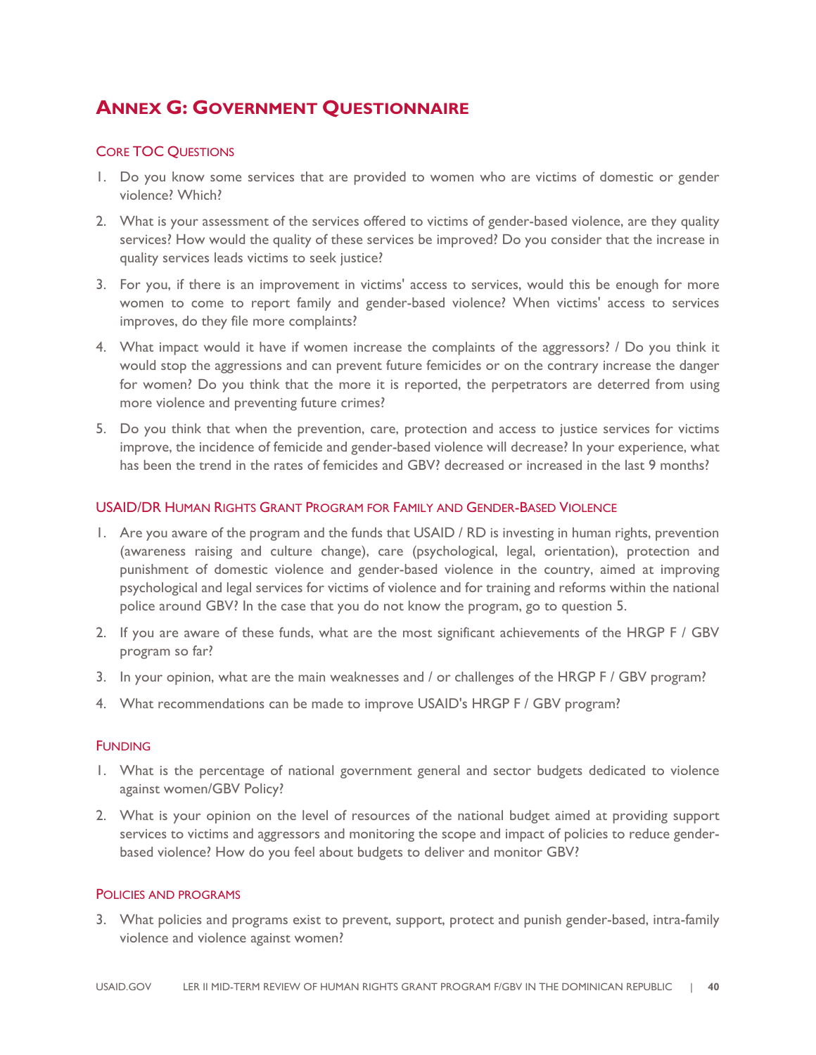## **ANNEX G: GOVERNMENT QUESTIONNAIRE**

#### CORE TOC QUESTIONS

- 1. Do you know some services that are provided to women who are victims of domestic or gender violence? Which?
- 2. What is your assessment of the services offered to victims of gender-based violence, are they quality services? How would the quality of these services be improved? Do you consider that the increase in quality services leads victims to seek justice?
- 3. For you, if there is an improvement in victims' access to services, would this be enough for more women to come to report family and gender-based violence? When victims' access to services improves, do they file more complaints?
- 4. What impact would it have if women increase the complaints of the aggressors? / Do you think it would stop the aggressions and can prevent future femicides or on the contrary increase the danger for women? Do you think that the more it is reported, the perpetrators are deterred from using more violence and preventing future crimes?
- 5. Do you think that when the prevention, care, protection and access to justice services for victims improve, the incidence of femicide and gender-based violence will decrease? In your experience, what has been the trend in the rates of femicides and GBV? decreased or increased in the last 9 months?

#### USAID/DR HUMAN RIGHTS GRANT PROGRAM FOR FAMILY AND GENDER-BASED VIOLENCE

- 1. Are you aware of the program and the funds that USAID / RD is investing in human rights, prevention (awareness raising and culture change), care (psychological, legal, orientation), protection and punishment of domestic violence and gender-based violence in the country, aimed at improving psychological and legal services for victims of violence and for training and reforms within the national police around GBV? In the case that you do not know the program, go to question 5.
- 2. If you are aware of these funds, what are the most significant achievements of the HRGP F / GBV program so far?
- 3. In your opinion, what are the main weaknesses and / or challenges of the HRGP F / GBV program?
- 4. What recommendations can be made to improve USAID's HRGP F / GBV program?

#### **FUNDING**

- 1. What is the percentage of national government general and sector budgets dedicated to violence against women/GBV Policy?
- 2. What is your opinion on the level of resources of the national budget aimed at providing support services to victims and aggressors and monitoring the scope and impact of policies to reduce genderbased violence? How do you feel about budgets to deliver and monitor GBV?

#### POLICIES AND PROGRAMS

3. What policies and programs exist to prevent, support, protect and punish gender-based, intra-family violence and violence against women?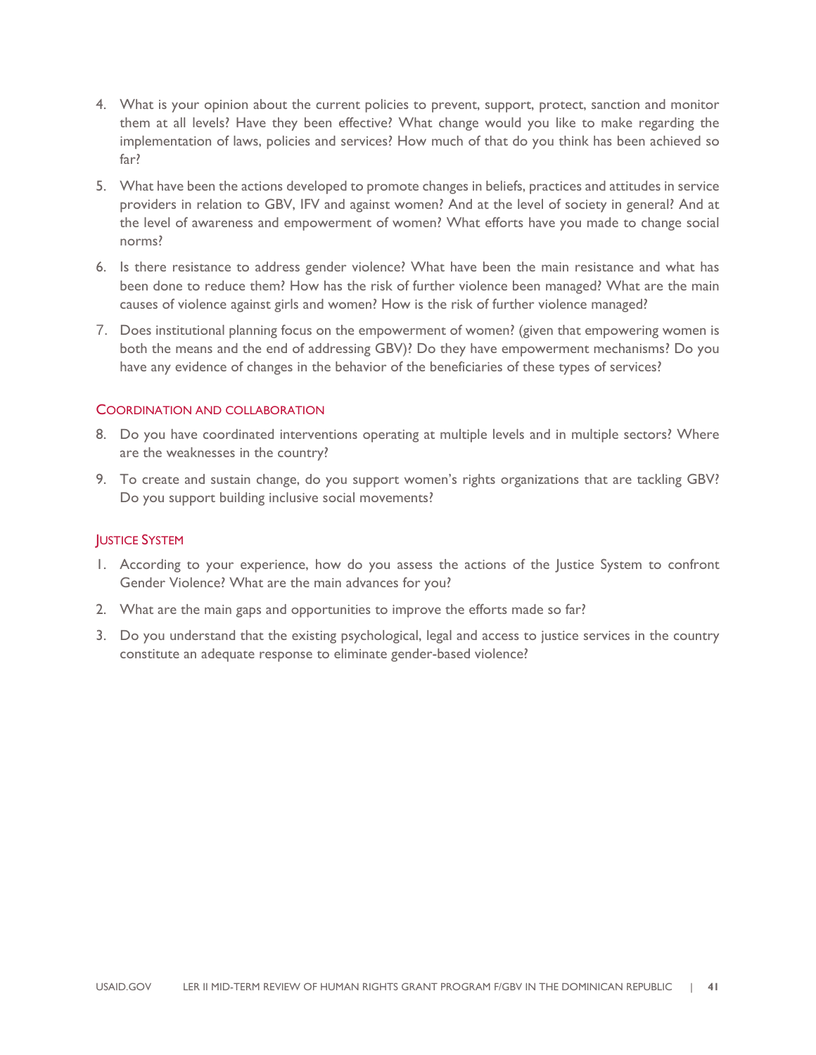- 4. What is your opinion about the current policies to prevent, support, protect, sanction and monitor them at all levels? Have they been effective? What change would you like to make regarding the implementation of laws, policies and services? How much of that do you think has been achieved so far?
- 5. What have been the actions developed to promote changes in beliefs, practices and attitudes in service providers in relation to GBV, IFV and against women? And at the level of society in general? And at the level of awareness and empowerment of women? What efforts have you made to change social norms?
- 6. Is there resistance to address gender violence? What have been the main resistance and what has been done to reduce them? How has the risk of further violence been managed? What are the main causes of violence against girls and women? How is the risk of further violence managed?
- 7. Does institutional planning focus on the empowerment of women? (given that empowering women is both the means and the end of addressing GBV)? Do they have empowerment mechanisms? Do you have any evidence of changes in the behavior of the beneficiaries of these types of services?

#### COORDINATION AND COLLABORATION

- 8. Do you have coordinated interventions operating at multiple levels and in multiple sectors? Where are the weaknesses in the country?
- 9. To create and sustain change, do you support women's rights organizations that are tackling GBV? Do you support building inclusive social movements?

#### JUSTICE SYSTEM

- 1. According to your experience, how do you assess the actions of the Justice System to confront Gender Violence? What are the main advances for you?
- 2. What are the main gaps and opportunities to improve the efforts made so far?
- 3. Do you understand that the existing psychological, legal and access to justice services in the country constitute an adequate response to eliminate gender-based violence?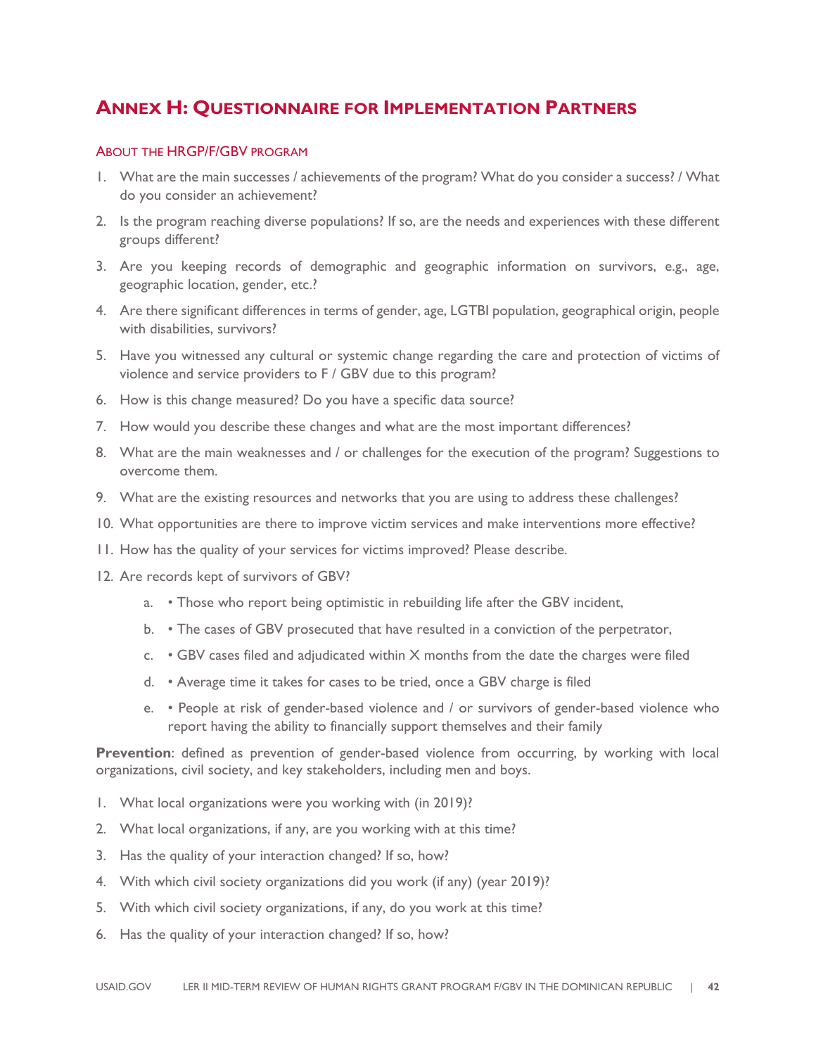## **ANNEX H: QUESTIONNAIRE FOR IMPLEMENTATION PARTNERS**

#### ABOUT THE HRGP/F/GBV PROGRAM

- 1. What are the main successes / achievements of the program? What do you consider a success? / What do you consider an achievement?
- 2. Is the program reaching diverse populations? If so, are the needs and experiences with these different groups different?
- 3. Are you keeping records of demographic and geographic information on survivors, e.g., age, geographic location, gender, etc.?
- 4. Are there significant differences in terms of gender, age, LGTBI population, geographical origin, people with disabilities, survivors?
- 5. Have you witnessed any cultural or systemic change regarding the care and protection of victims of violence and service providers to F / GBV due to this program?
- 6. How is this change measured? Do you have a specific data source?
- 7. How would you describe these changes and what are the most important differences?
- 8. What are the main weaknesses and / or challenges for the execution of the program? Suggestions to overcome them.
- 9. What are the existing resources and networks that you are using to address these challenges?
- 10. What opportunities are there to improve victim services and make interventions more effective?
- 11. How has the quality of your services for victims improved? Please describe.
- 12. Are records kept of survivors of GBV?
	- a. Those who report being optimistic in rebuilding life after the GBV incident,
	- b. The cases of GBV prosecuted that have resulted in a conviction of the perpetrator,
	- c. GBV cases filed and adjudicated within X months from the date the charges were filed
	- d. Average time it takes for cases to be tried, once a GBV charge is filed
	- e. People at risk of gender-based violence and / or survivors of gender-based violence who report having the ability to financially support themselves and their family

**Prevention**: defined as prevention of gender-based violence from occurring, by working with local organizations, civil society, and key stakeholders, including men and boys.

- 1. What local organizations were you working with (in 2019)?
- 2. What local organizations, if any, are you working with at this time?
- 3. Has the quality of your interaction changed? If so, how?
- 4. With which civil society organizations did you work (if any) (year 2019)?
- 5. With which civil society organizations, if any, do you work at this time?
- 6. Has the quality of your interaction changed? If so, how?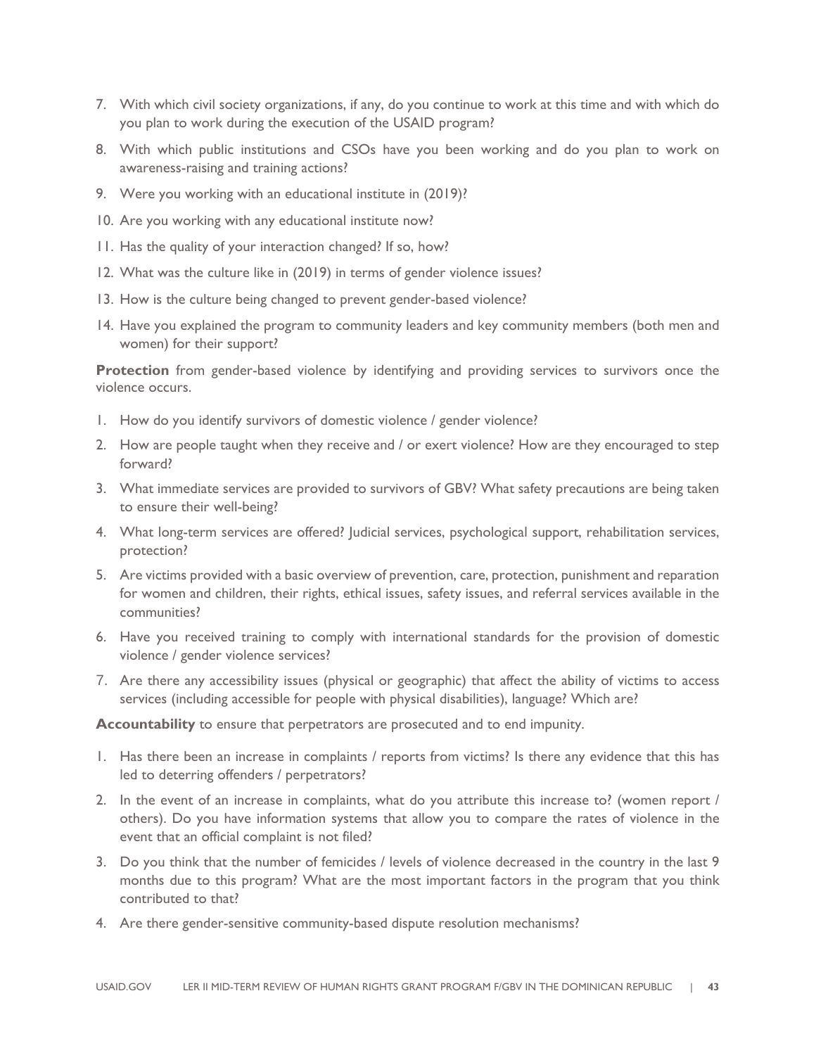- 7. With which civil society organizations, if any, do you continue to work at this time and with which do you plan to work during the execution of the USAID program?
- 8. With which public institutions and CSOs have you been working and do you plan to work on awareness-raising and training actions?
- 9. Were you working with an educational institute in (2019)?
- 10. Are you working with any educational institute now?
- 11. Has the quality of your interaction changed? If so, how?
- 12. What was the culture like in (2019) in terms of gender violence issues?
- 13. How is the culture being changed to prevent gender-based violence?
- 14. Have you explained the program to community leaders and key community members (both men and women) for their support?

**Protection** from gender-based violence by identifying and providing services to survivors once the violence occurs.

- 1. How do you identify survivors of domestic violence / gender violence?
- 2. How are people taught when they receive and / or exert violence? How are they encouraged to step forward?
- 3. What immediate services are provided to survivors of GBV? What safety precautions are being taken to ensure their well-being?
- 4. What long-term services are offered? Judicial services, psychological support, rehabilitation services, protection?
- 5. Are victims provided with a basic overview of prevention, care, protection, punishment and reparation for women and children, their rights, ethical issues, safety issues, and referral services available in the communities?
- 6. Have you received training to comply with international standards for the provision of domestic violence / gender violence services?
- 7. Are there any accessibility issues (physical or geographic) that affect the ability of victims to access services (including accessible for people with physical disabilities), language? Which are?

**Accountability** to ensure that perpetrators are prosecuted and to end impunity.

- 1. Has there been an increase in complaints / reports from victims? Is there any evidence that this has led to deterring offenders / perpetrators?
- 2. In the event of an increase in complaints, what do you attribute this increase to? (women report / others). Do you have information systems that allow you to compare the rates of violence in the event that an official complaint is not filed?
- 3. Do you think that the number of femicides / levels of violence decreased in the country in the last 9 months due to this program? What are the most important factors in the program that you think contributed to that?
- 4. Are there gender-sensitive community-based dispute resolution mechanisms?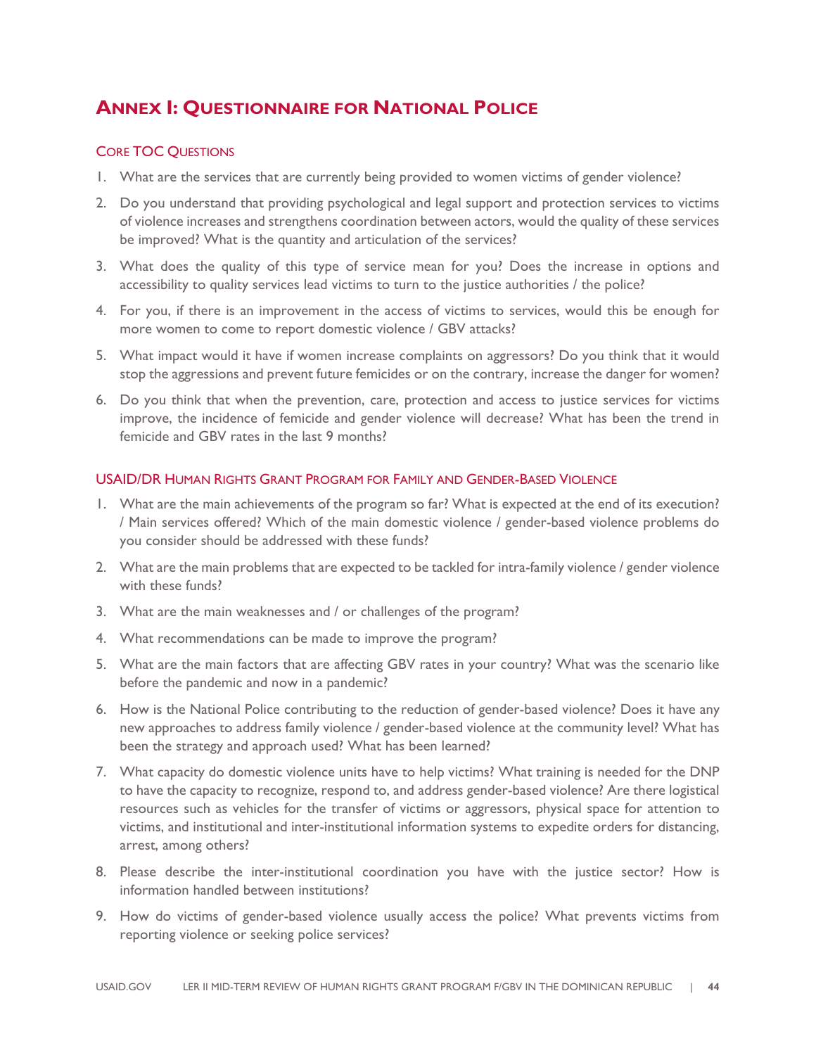## **ANNEX I: QUESTIONNAIRE FOR NATIONAL POLICE**

#### CORE TOC QUESTIONS

- 1. What are the services that are currently being provided to women victims of gender violence?
- 2. Do you understand that providing psychological and legal support and protection services to victims of violence increases and strengthens coordination between actors, would the quality of these services be improved? What is the quantity and articulation of the services?
- 3. What does the quality of this type of service mean for you? Does the increase in options and accessibility to quality services lead victims to turn to the justice authorities / the police?
- 4. For you, if there is an improvement in the access of victims to services, would this be enough for more women to come to report domestic violence / GBV attacks?
- 5. What impact would it have if women increase complaints on aggressors? Do you think that it would stop the aggressions and prevent future femicides or on the contrary, increase the danger for women?
- 6. Do you think that when the prevention, care, protection and access to justice services for victims improve, the incidence of femicide and gender violence will decrease? What has been the trend in femicide and GBV rates in the last 9 months?

#### USAID/DR HUMAN RIGHTS GRANT PROGRAM FOR FAMILY AND GENDER-BASED VIOLENCE

- 1. What are the main achievements of the program so far? What is expected at the end of its execution? / Main services offered? Which of the main domestic violence / gender-based violence problems do you consider should be addressed with these funds?
- 2. What are the main problems that are expected to be tackled for intra-family violence / gender violence with these funds?
- 3. What are the main weaknesses and / or challenges of the program?
- 4. What recommendations can be made to improve the program?
- 5. What are the main factors that are affecting GBV rates in your country? What was the scenario like before the pandemic and now in a pandemic?
- 6. How is the National Police contributing to the reduction of gender-based violence? Does it have any new approaches to address family violence / gender-based violence at the community level? What has been the strategy and approach used? What has been learned?
- 7. What capacity do domestic violence units have to help victims? What training is needed for the DNP to have the capacity to recognize, respond to, and address gender-based violence? Are there logistical resources such as vehicles for the transfer of victims or aggressors, physical space for attention to victims, and institutional and inter-institutional information systems to expedite orders for distancing, arrest, among others?
- 8. Please describe the inter-institutional coordination you have with the justice sector? How is information handled between institutions?
- 9. How do victims of gender-based violence usually access the police? What prevents victims from reporting violence or seeking police services?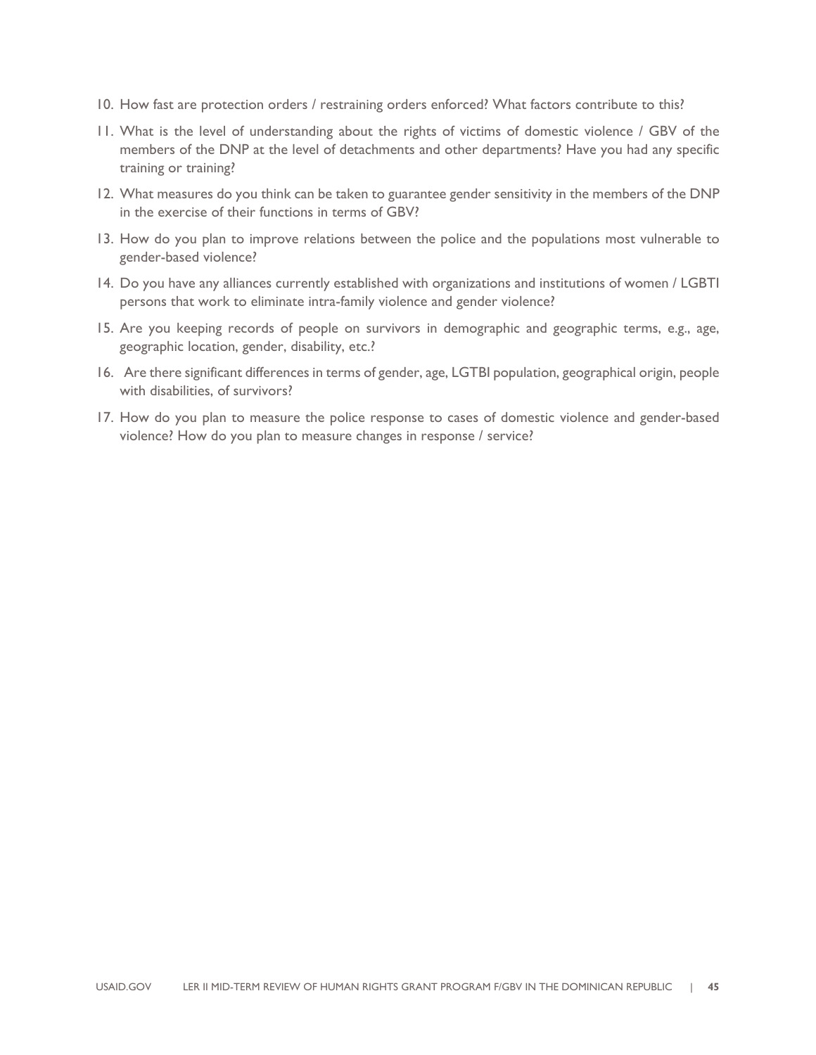- 10. How fast are protection orders / restraining orders enforced? What factors contribute to this?
- 11. What is the level of understanding about the rights of victims of domestic violence / GBV of the members of the DNP at the level of detachments and other departments? Have you had any specific training or training?
- 12. What measures do you think can be taken to guarantee gender sensitivity in the members of the DNP in the exercise of their functions in terms of GBV?
- 13. How do you plan to improve relations between the police and the populations most vulnerable to gender-based violence?
- 14. Do you have any alliances currently established with organizations and institutions of women / LGBTI persons that work to eliminate intra-family violence and gender violence?
- 15. Are you keeping records of people on survivors in demographic and geographic terms, e.g., age, geographic location, gender, disability, etc.?
- 16. Are there significant differences in terms of gender, age, LGTBI population, geographical origin, people with disabilities, of survivors?
- 17. How do you plan to measure the police response to cases of domestic violence and gender-based violence? How do you plan to measure changes in response / service?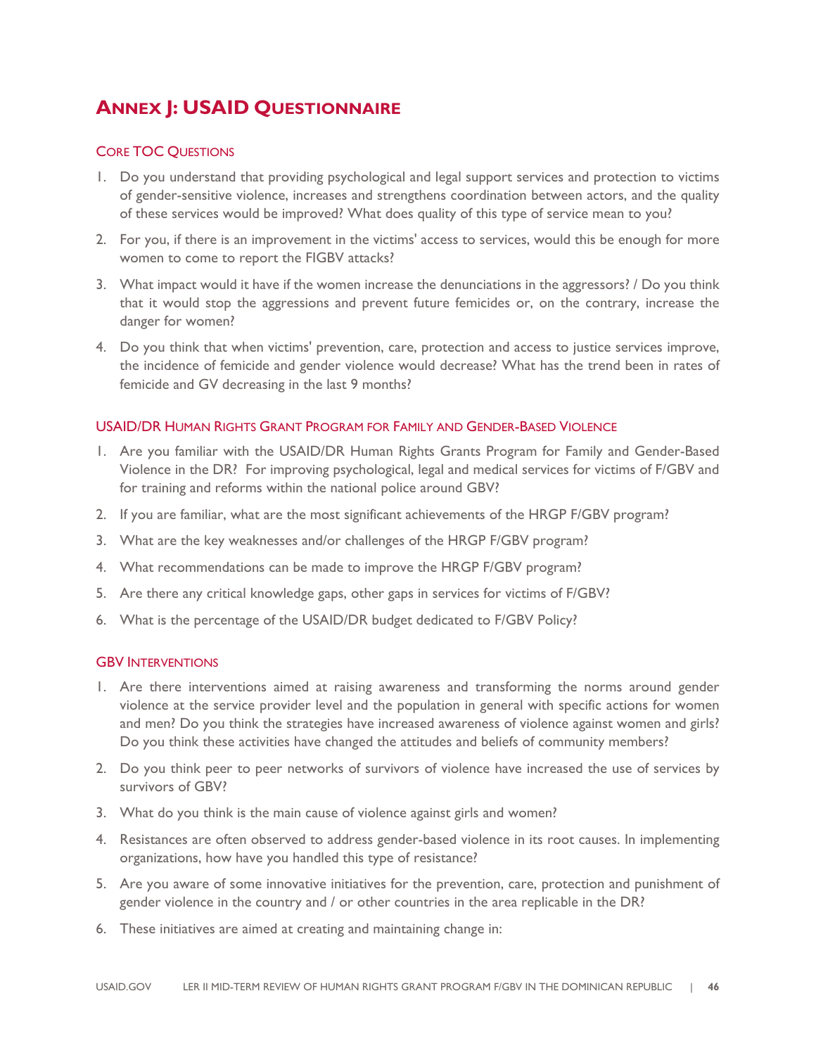## **ANNEX J: USAID QUESTIONNAIRE**

#### CORE TOC QUESTIONS

- 1. Do you understand that providing psychological and legal support services and protection to victims of gender-sensitive violence, increases and strengthens coordination between actors, and the quality of these services would be improved? What does quality of this type of service mean to you?
- 2. For you, if there is an improvement in the victims' access to services, would this be enough for more women to come to report the FIGBV attacks?
- 3. What impact would it have if the women increase the denunciations in the aggressors? / Do you think that it would stop the aggressions and prevent future femicides or, on the contrary, increase the danger for women?
- 4. Do you think that when victims' prevention, care, protection and access to justice services improve, the incidence of femicide and gender violence would decrease? What has the trend been in rates of femicide and GV decreasing in the last 9 months?

#### USAID/DR HUMAN RIGHTS GRANT PROGRAM FOR FAMILY AND GENDER-BASED VIOLENCE

- 1. Are you familiar with the USAID/DR Human Rights Grants Program for Family and Gender-Based Violence in the DR? For improving psychological, legal and medical services for victims of F/GBV and for training and reforms within the national police around GBV?
- 2. If you are familiar, what are the most significant achievements of the HRGP F/GBV program?
- 3. What are the key weaknesses and/or challenges of the HRGP F/GBV program?
- 4. What recommendations can be made to improve the HRGP F/GBV program?
- 5. Are there any critical knowledge gaps, other gaps in services for victims of F/GBV?
- 6. What is the percentage of the USAID/DR budget dedicated to F/GBV Policy?

#### GBV INTERVENTIONS

- 1. Are there interventions aimed at raising awareness and transforming the norms around gender violence at the service provider level and the population in general with specific actions for women and men? Do you think the strategies have increased awareness of violence against women and girls? Do you think these activities have changed the attitudes and beliefs of community members?
- 2. Do you think peer to peer networks of survivors of violence have increased the use of services by survivors of GBV?
- 3. What do you think is the main cause of violence against girls and women?
- 4. Resistances are often observed to address gender-based violence in its root causes. In implementing organizations, how have you handled this type of resistance?
- 5. Are you aware of some innovative initiatives for the prevention, care, protection and punishment of gender violence in the country and / or other countries in the area replicable in the DR?
- 6. These initiatives are aimed at creating and maintaining change in: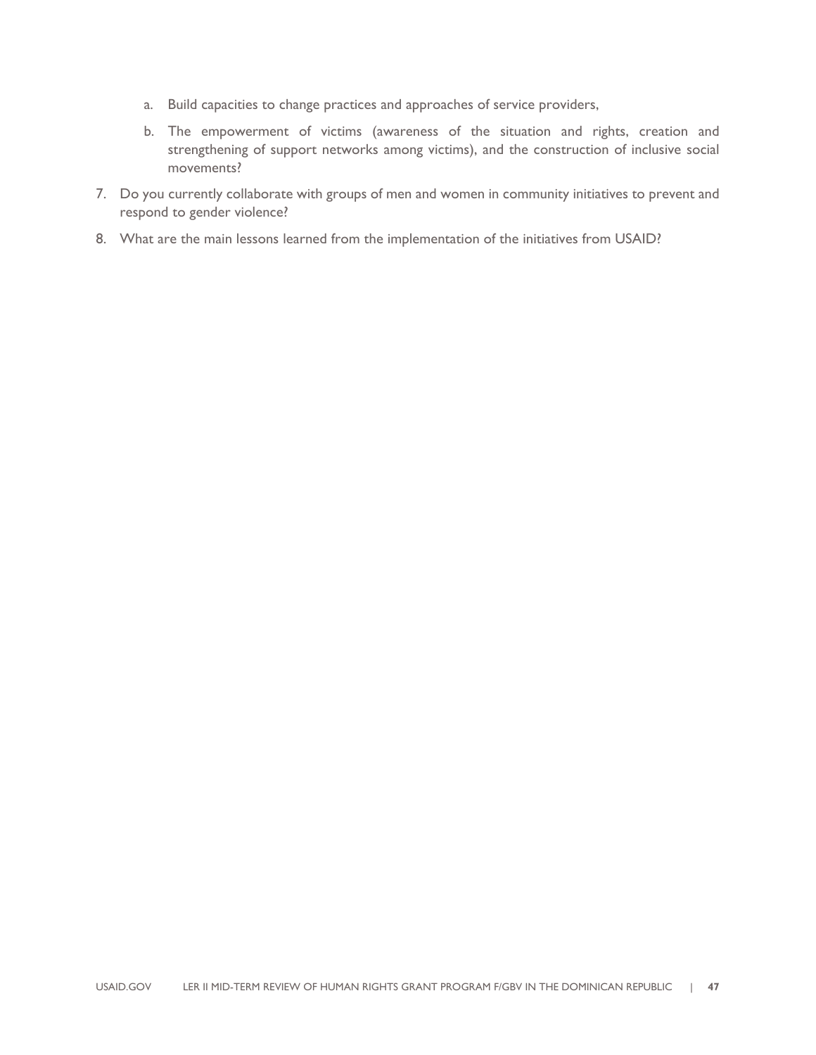- a. Build capacities to change practices and approaches of service providers,
- b. The empowerment of victims (awareness of the situation and rights, creation and strengthening of support networks among victims), and the construction of inclusive social movements?
- 7. Do you currently collaborate with groups of men and women in community initiatives to prevent and respond to gender violence?
- 8. What are the main lessons learned from the implementation of the initiatives from USAID?